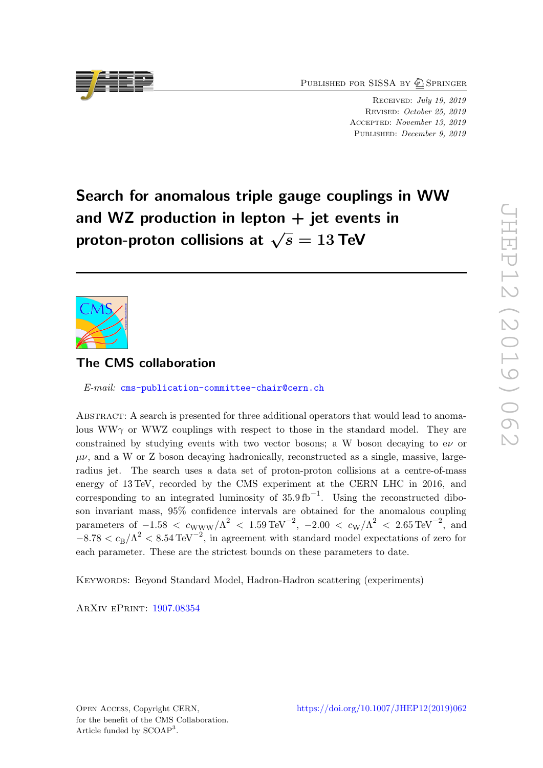PUBLISHED FOR SISSA BY 2 SPRINGER

Received: July 19, 2019 Revised: October 25, 2019 Accepted: November 13, 2019 PUBLISHED: December 9, 2019

Search for anomalous triple gauge couplings in WW and WZ production in lepton  $+$  jet events in proton-proton collisions at  $\sqrt{s} = 13$  TeV



# The CMS collaboration

E-mail: [cms-publication-committee-chair@cern.ch](mailto:cms-publication-committee-chair@cern.ch)

ABSTRACT: A search is presented for three additional operators that would lead to anomalous WW $\gamma$  or WWZ couplings with respect to those in the standard model. They are constrained by studying events with two vector bosons; a W boson decaying to  $e\nu$  or  $\mu\nu$ , and a W or Z boson decaying hadronically, reconstructed as a single, massive, largeradius jet. The search uses a data set of proton-proton collisions at a centre-of-mass energy of 13 TeV, recorded by the CMS experiment at the CERN LHC in 2016, and corresponding to an integrated luminosity of  $35.9 \text{ fb}^{-1}$ . Using the reconstructed diboson invariant mass, 95% confidence intervals are obtained for the anomalous coupling parameters of  $-1.58 < c_{\rm WWW}/\Lambda^2 < 1.59 \,\rm TeV^{-2}, -2.00 < c_{\rm W}/\Lambda^2 < 2.65 \,\rm TeV^{-2},$  and  $-8.78 < c_B/\Lambda^2 < 8.54 \,\text{TeV}^{-2}$ , in agreement with standard model expectations of zero for each parameter. These are the strictest bounds on these parameters to date.

Keywords: Beyond Standard Model, Hadron-Hadron scattering (experiments)

ArXiv ePrint: [1907.08354](https://arxiv.org/abs/1907.08354)

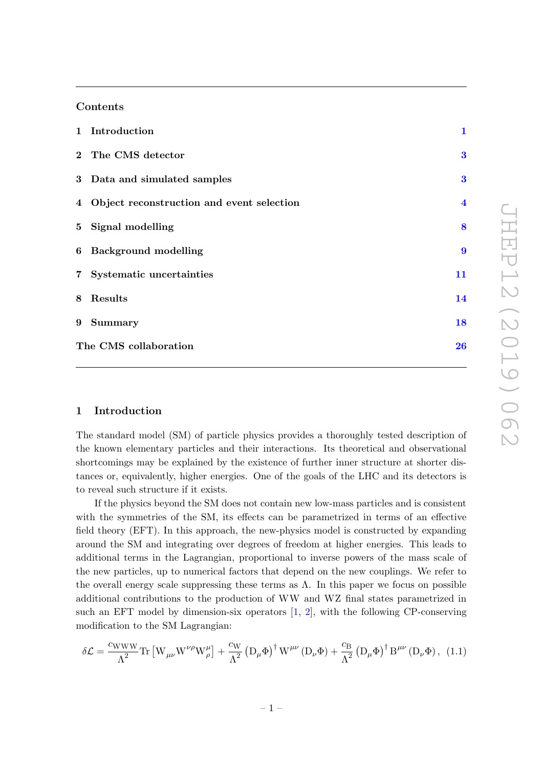# Contents

| 1 Introduction                              | $\mathbf{1}$            |
|---------------------------------------------|-------------------------|
| 2 The CMS detector                          | 3                       |
| 3 Data and simulated samples                | 3                       |
| 4 Object reconstruction and event selection | $\overline{\mathbf{4}}$ |
| 5 Signal modelling                          | 8                       |
| 6 Background modelling                      | $\boldsymbol{9}$        |
| 7 Systematic uncertainties                  | 11                      |
| 8 Results                                   | 14                      |
| 9 Summary                                   | 18                      |
| The CMS collaboration                       | 26                      |

## <span id="page-1-0"></span>1 Introduction

The standard model (SM) of particle physics provides a thoroughly tested description of the known elementary particles and their interactions. Its theoretical and observational shortcomings may be explained by the existence of further inner structure at shorter distances or, equivalently, higher energies. One of the goals of the LHC and its detectors is to reveal such structure if it exists.

If the physics beyond the SM does not contain new low-mass particles and is consistent with the symmetries of the SM, its effects can be parametrized in terms of an effective field theory (EFT). In this approach, the new-physics model is constructed by expanding around the SM and integrating over degrees of freedom at higher energies. This leads to additional terms in the Lagrangian, proportional to inverse powers of the mass scale of the new particles, up to numerical factors that depend on the new couplings. We refer to the overall energy scale suppressing these terms as  $\Lambda$ . In this paper we focus on possible additional contributions to the production of WW and WZ final states parametrized in such an EFT model by dimension-six operators [\[1,](#page-20-0) [2\]](#page-20-1), with the following CP-conserving modification to the SM Lagrangian:

<span id="page-1-1"></span>
$$
\delta \mathcal{L} = \frac{c_{\text{WWW}}}{\Lambda^2} \text{Tr} \left[ W_{\mu\nu} W^{\nu\rho} W^{\mu}_{\rho} \right] + \frac{c_{\text{W}}}{\Lambda^2} \left( D_{\mu} \Phi \right)^{\dagger} W^{\mu\nu} \left( D_{\nu} \Phi \right) + \frac{c_{\text{B}}}{\Lambda^2} \left( D_{\mu} \Phi \right)^{\dagger} B^{\mu\nu} \left( D_{\nu} \Phi \right), \tag{1.1}
$$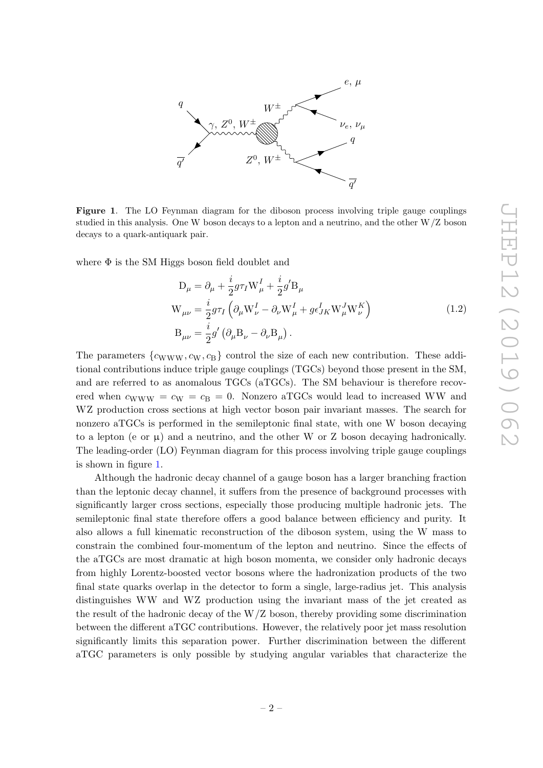

<span id="page-2-0"></span>Figure 1. The LO Feynman diagram for the diboson process involving triple gauge couplings studied in this analysis. One W boson decays to a lepton and a neutrino, and the other W/Z boson decays to a quark-antiquark pair.

where  $\Phi$  is the SM Higgs boson field doublet and

$$
D_{\mu} = \partial_{\mu} + \frac{i}{2} g \tau_I W_{\mu}^I + \frac{i}{2} g' B_{\mu}
$$
  
\n
$$
W_{\mu\nu} = \frac{i}{2} g \tau_I \left( \partial_{\mu} W_{\nu}^I - \partial_{\nu} W_{\mu}^I + g \epsilon_{JK}^I W_{\mu}^J W_{\nu}^K \right)
$$
  
\n
$$
B_{\mu\nu} = \frac{i}{2} g' \left( \partial_{\mu} B_{\nu} - \partial_{\nu} B_{\mu} \right).
$$
\n(1.2)

The parameters  $\{c_{\text{WWW}}, c_{\text{W}}, c_{\text{B}}\}$  control the size of each new contribution. These additional contributions induce triple gauge couplings (TGCs) beyond those present in the SM, and are referred to as anomalous TGCs (aTGCs). The SM behaviour is therefore recovered when  $c_{WWW} = c_W = c_B = 0$ . Nonzero aTGCs would lead to increased WW and WZ production cross sections at high vector boson pair invariant masses. The search for nonzero aTGCs is performed in the semileptonic final state, with one W boson decaying to a lepton (e or  $\mu$ ) and a neutrino, and the other W or Z boson decaying hadronically. The leading-order (LO) Feynman diagram for this process involving triple gauge couplings is shown in figure [1.](#page-2-0)

Although the hadronic decay channel of a gauge boson has a larger branching fraction than the leptonic decay channel, it suffers from the presence of background processes with significantly larger cross sections, especially those producing multiple hadronic jets. The semileptonic final state therefore offers a good balance between efficiency and purity. It also allows a full kinematic reconstruction of the diboson system, using the W mass to constrain the combined four-momentum of the lepton and neutrino. Since the effects of the aTGCs are most dramatic at high boson momenta, we consider only hadronic decays from highly Lorentz-boosted vector bosons where the hadronization products of the two final state quarks overlap in the detector to form a single, large-radius jet. This analysis distinguishes WW and WZ production using the invariant mass of the jet created as the result of the hadronic decay of the  $W/Z$  boson, thereby providing some discrimination between the different aTGC contributions. However, the relatively poor jet mass resolution significantly limits this separation power. Further discrimination between the different aTGC parameters is only possible by studying angular variables that characterize the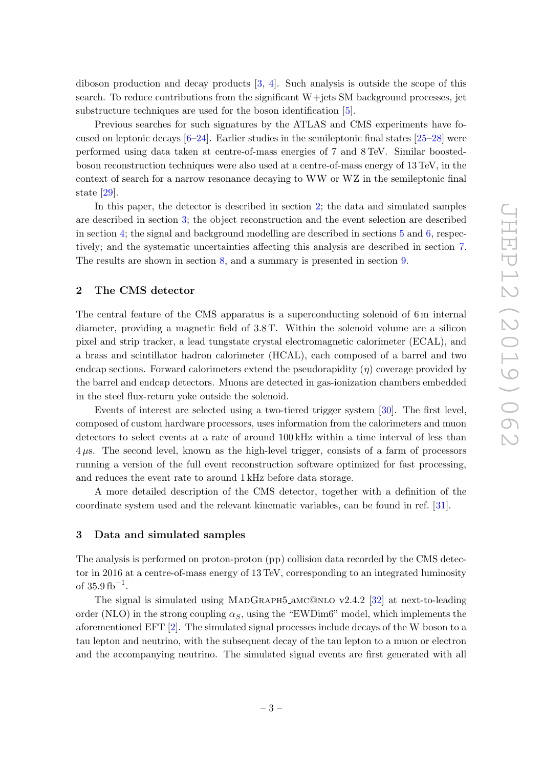diboson production and decay products  $[3, 4]$  $[3, 4]$  $[3, 4]$ . Such analysis is outside the scope of this search. To reduce contributions from the significant W+jets SM background processes, jet substructure techniques are used for the boson identification [\[5\]](#page-20-4).

Previous searches for such signatures by the ATLAS and CMS experiments have focused on leptonic decays  $[6–24]$  $[6–24]$ . Earlier studies in the semileptonic final states  $[25–28]$  $[25–28]$  were performed using data taken at centre-of-mass energies of 7 and 8 TeV. Similar boostedboson reconstruction techniques were also used at a centre-of-mass energy of 13 TeV, in the context of search for a narrow resonance decaying to WW or WZ in the semileptonic final state [\[29\]](#page-22-3).

In this paper, the detector is described in section [2;](#page-3-0) the data and simulated samples are described in section [3;](#page-3-1) the object reconstruction and the event selection are described in section [4;](#page-4-0) the signal and background modelling are described in sections [5](#page-8-0) and [6,](#page-9-0) respectively; and the systematic uncertainties affecting this analysis are described in section [7.](#page-11-0) The results are shown in section [8,](#page-14-0) and a summary is presented in section [9.](#page-18-0)

#### <span id="page-3-0"></span>2 The CMS detector

The central feature of the CMS apparatus is a superconducting solenoid of 6 m internal diameter, providing a magnetic field of 3.8 T. Within the solenoid volume are a silicon pixel and strip tracker, a lead tungstate crystal electromagnetic calorimeter (ECAL), and a brass and scintillator hadron calorimeter (HCAL), each composed of a barrel and two endcap sections. Forward calorimeters extend the pseudorapidity  $(\eta)$  coverage provided by the barrel and endcap detectors. Muons are detected in gas-ionization chambers embedded in the steel flux-return yoke outside the solenoid.

Events of interest are selected using a two-tiered trigger system [\[30\]](#page-22-4). The first level, composed of custom hardware processors, uses information from the calorimeters and muon detectors to select events at a rate of around 100 kHz within a time interval of less than 4 µs. The second level, known as the high-level trigger, consists of a farm of processors running a version of the full event reconstruction software optimized for fast processing, and reduces the event rate to around 1 kHz before data storage.

A more detailed description of the CMS detector, together with a definition of the coordinate system used and the relevant kinematic variables, can be found in ref. [\[31\]](#page-22-5).

### <span id="page-3-1"></span>3 Data and simulated samples

The analysis is performed on proton-proton (pp) collision data recorded by the CMS detector in 2016 at a centre-of-mass energy of 13 TeV, corresponding to an integrated luminosity of  $35.9$  fb<sup>-1</sup>.

The signal is simulated using MADGRAPH5 amc@nLO v2.4.2 [\[32\]](#page-22-6) at next-to-leading order (NLO) in the strong coupling  $\alpha_S$ , using the "EWDim6" model, which implements the aforementioned EFT  $[2]$ . The simulated signal processes include decays of the W boson to a tau lepton and neutrino, with the subsequent decay of the tau lepton to a muon or electron and the accompanying neutrino. The simulated signal events are first generated with all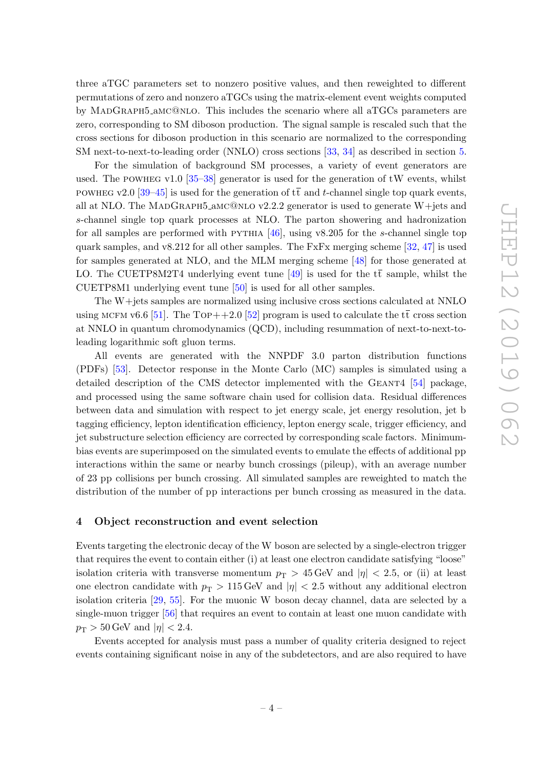three aTGC parameters set to nonzero positive values, and then reweighted to different permutations of zero and nonzero aTGCs using the matrix-element event weights computed by MADGRAPH5 aMC@NLO. This includes the scenario where all aTGCs parameters are zero, corresponding to SM diboson production. The signal sample is rescaled such that the cross sections for diboson production in this scenario are normalized to the corresponding SM next-to-next-to-leading order (NNLO) cross sections [\[33,](#page-22-7) [34\]](#page-22-8) as described in section [5.](#page-8-0)

For the simulation of background SM processes, a variety of event generators are used. The POWHEG v1.0  $[35-38]$  $[35-38]$  generator is used for the generation of tW events, whilst POWHEG v2.0 [\[39–](#page-23-0)[45\]](#page-23-1) is used for the generation of  $t\bar{t}$  and t-channel single top quark events, all at NLO. The MADGRAPH5 amc@nLO v2.2.2 generator is used to generate W+jets and s-channel single top quark processes at NLO. The parton showering and hadronization for all samples are performed with PYTHIA  $[46]$ , using v8.205 for the s-channel single top quark samples, and v8.212 for all other samples. The FxFx merging scheme [\[32,](#page-22-6) [47\]](#page-23-3) is used for samples generated at NLO, and the MLM merging scheme [\[48\]](#page-23-4) for those generated at LO. The CUETP8M2T4 underlying event tune [\[49\]](#page-23-5) is used for the  $t\bar{t}$  sample, whilst the CUETP8M1 underlying event tune [\[50\]](#page-23-6) is used for all other samples.

The W+jets samples are normalized using inclusive cross sections calculated at NNLO using MCFM v6.6 [\[51\]](#page-23-7). The TOP++2.0 [\[52\]](#page-23-8) program is used to calculate the  $t\bar{t}$  cross section at NNLO in quantum chromodynamics (QCD), including resummation of next-to-next-toleading logarithmic soft gluon terms.

All events are generated with the NNPDF 3.0 parton distribution functions (PDFs) [\[53\]](#page-23-9). Detector response in the Monte Carlo (MC) samples is simulated using a detailed description of the CMS detector implemented with the GEANT4  $[54]$  package, and processed using the same software chain used for collision data. Residual differences between data and simulation with respect to jet energy scale, jet energy resolution, jet b tagging efficiency, lepton identification efficiency, lepton energy scale, trigger efficiency, and jet substructure selection efficiency are corrected by corresponding scale factors. Minimumbias events are superimposed on the simulated events to emulate the effects of additional pp interactions within the same or nearby bunch crossings (pileup), with an average number of 23 pp collisions per bunch crossing. All simulated samples are reweighted to match the distribution of the number of pp interactions per bunch crossing as measured in the data.

#### <span id="page-4-0"></span>4 Object reconstruction and event selection

Events targeting the electronic decay of the W boson are selected by a single-electron trigger that requires the event to contain either (i) at least one electron candidate satisfying "loose" isolation criteria with transverse momentum  $p_T > 45$  GeV and  $|\eta| < 2.5$ , or (ii) at least one electron candidate with  $p_T > 115 \,\text{GeV}$  and  $|\eta| < 2.5$  without any additional electron isolation criteria [\[29,](#page-22-3) [55\]](#page-23-11). For the muonic W boson decay channel, data are selected by a single-muon trigger [\[56\]](#page-23-12) that requires an event to contain at least one muon candidate with  $p_{\rm T} > 50$  GeV and  $|\eta| < 2.4$ .

Events accepted for analysis must pass a number of quality criteria designed to reject events containing significant noise in any of the subdetectors, and are also required to have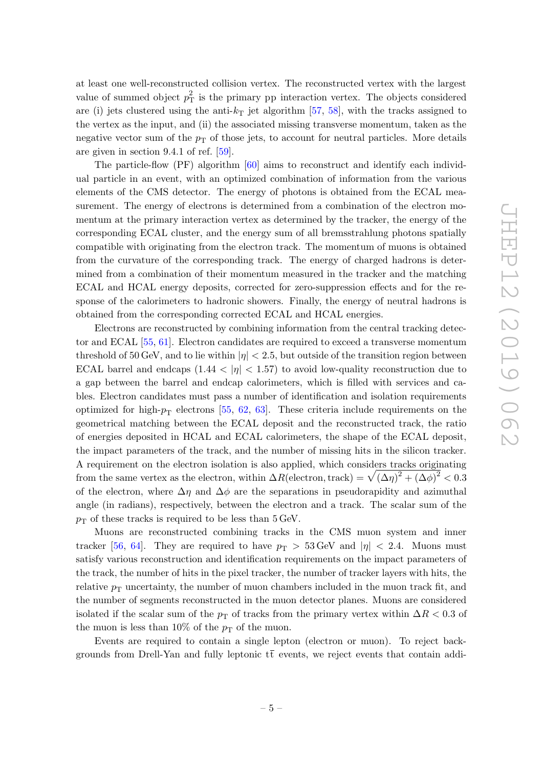at least one well-reconstructed collision vertex. The reconstructed vertex with the largest value of summed object  $p_T^2$  is the primary pp interaction vertex. The objects considered are (i) jets clustered using the anti- $k_T$  jet algorithm [\[57,](#page-24-0) [58\]](#page-24-1), with the tracks assigned to the vertex as the input, and (ii) the associated missing transverse momentum, taken as the negative vector sum of the  $p<sub>T</sub>$  of those jets, to account for neutral particles. More details are given in section 9.4.1 of ref. [\[59\]](#page-24-2).

The particle-flow (PF) algorithm [\[60\]](#page-24-3) aims to reconstruct and identify each individual particle in an event, with an optimized combination of information from the various elements of the CMS detector. The energy of photons is obtained from the ECAL measurement. The energy of electrons is determined from a combination of the electron momentum at the primary interaction vertex as determined by the tracker, the energy of the corresponding ECAL cluster, and the energy sum of all bremsstrahlung photons spatially compatible with originating from the electron track. The momentum of muons is obtained from the curvature of the corresponding track. The energy of charged hadrons is determined from a combination of their momentum measured in the tracker and the matching ECAL and HCAL energy deposits, corrected for zero-suppression effects and for the response of the calorimeters to hadronic showers. Finally, the energy of neutral hadrons is obtained from the corresponding corrected ECAL and HCAL energies.

Electrons are reconstructed by combining information from the central tracking detector and ECAL [\[55,](#page-23-11) [61\]](#page-24-4). Electron candidates are required to exceed a transverse momentum threshold of 50 GeV, and to lie within  $|\eta| < 2.5$ , but outside of the transition region between ECAL barrel and endcaps  $(1.44 < |\eta| < 1.57)$  to avoid low-quality reconstruction due to a gap between the barrel and endcap calorimeters, which is filled with services and cables. Electron candidates must pass a number of identification and isolation requirements optimized for high- $p_{\rm T}$  electrons [\[55,](#page-23-11) [62,](#page-24-5) [63\]](#page-24-6). These criteria include requirements on the geometrical matching between the ECAL deposit and the reconstructed track, the ratio of energies deposited in HCAL and ECAL calorimeters, the shape of the ECAL deposit, the impact parameters of the track, and the number of missing hits in the silicon tracker. A requirement on the electron isolation is also applied, which considers tracks originating from the same vertex as the electron, within  $\Delta R$ (electron, track) =  $\sqrt{(\Delta \eta)^2 + (\Delta \phi)^2} < 0.3$ of the electron, where  $\Delta \eta$  and  $\Delta \phi$  are the separations in pseudorapidity and azimuthal angle (in radians), respectively, between the electron and a track. The scalar sum of the  $p_T$  of these tracks is required to be less than  $5 \,\text{GeV}$ .

Muons are reconstructed combining tracks in the CMS muon system and inner tracker [\[56,](#page-23-12) [64\]](#page-24-7). They are required to have  $p_T > 53 \text{ GeV}$  and  $|\eta| < 2.4$ . Muons must satisfy various reconstruction and identification requirements on the impact parameters of the track, the number of hits in the pixel tracker, the number of tracker layers with hits, the relative  $p_T$  uncertainty, the number of muon chambers included in the muon track fit, and the number of segments reconstructed in the muon detector planes. Muons are considered isolated if the scalar sum of the  $p<sub>T</sub>$  of tracks from the primary vertex within  $\Delta R < 0.3$  of the muon is less than 10% of the  $p_T$  of the muon.

Events are required to contain a single lepton (electron or muon). To reject backgrounds from Drell-Yan and fully leptonic  $t\bar{t}$  events, we reject events that contain addi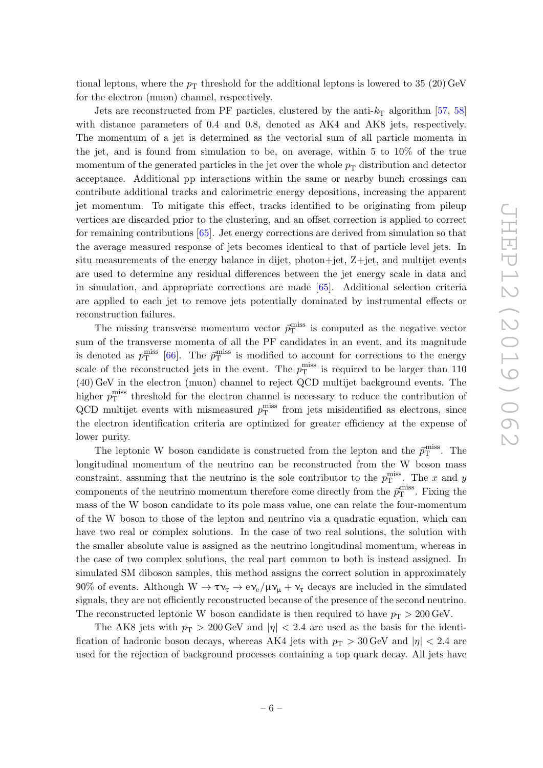tional leptons, where the  $p_T$  threshold for the additional leptons is lowered to 35 (20) GeV for the electron (muon) channel, respectively.

Jets are reconstructed from PF particles, clustered by the anti- $k_T$  algorithm [\[57,](#page-24-0) [58\]](#page-24-1) with distance parameters of 0.4 and 0.8, denoted as AK4 and AK8 jets, respectively. The momentum of a jet is determined as the vectorial sum of all particle momenta in the jet, and is found from simulation to be, on average, within 5 to 10% of the true momentum of the generated particles in the jet over the whole  $p<sub>T</sub>$  distribution and detector acceptance. Additional pp interactions within the same or nearby bunch crossings can contribute additional tracks and calorimetric energy depositions, increasing the apparent jet momentum. To mitigate this effect, tracks identified to be originating from pileup vertices are discarded prior to the clustering, and an offset correction is applied to correct for remaining contributions [\[65\]](#page-24-8). Jet energy corrections are derived from simulation so that the average measured response of jets becomes identical to that of particle level jets. In situ measurements of the energy balance in dijet, photon+jet,  $Z+$ jet, and multijet events are used to determine any residual differences between the jet energy scale in data and in simulation, and appropriate corrections are made [\[65\]](#page-24-8). Additional selection criteria are applied to each jet to remove jets potentially dominated by instrumental effects or reconstruction failures.

The missing transverse momentum vector  $\vec{p}_{\rm T}^{\rm miss}$  is computed as the negative vector sum of the transverse momenta of all the PF candidates in an event, and its magnitude is denoted as  $p_T^{\text{miss}}$  [\[66\]](#page-24-9). The  $\vec{p}_T^{\text{miss}}$  is modified to account for corrections to the energy scale of the reconstructed jets in the event. The  $p_T^{\text{miss}}$  is required to be larger than 110 (40) GeV in the electron (muon) channel to reject QCD multijet background events. The higher  $p_T^{\text{miss}}$  threshold for the electron channel is necessary to reduce the contribution of QCD multijet events with mismeasured  $p_T^{\text{miss}}$  from jets misidentified as electrons, since the electron identification criteria are optimized for greater efficiency at the expense of lower purity.

The leptonic W boson candidate is constructed from the lepton and the  $\vec{p}_{\rm T}^{\rm miss}$ . The longitudinal momentum of the neutrino can be reconstructed from the W boson mass constraint, assuming that the neutrino is the sole contributor to the  $p_T^{\text{miss}}$ . The x and y components of the neutrino momentum therefore come directly from the  $\vec{p}_{\text{T}}^{\text{miss}}$ . Fixing the mass of the W boson candidate to its pole mass value, one can relate the four-momentum of the W boson to those of the lepton and neutrino via a quadratic equation, which can have two real or complex solutions. In the case of two real solutions, the solution with the smaller absolute value is assigned as the neutrino longitudinal momentum, whereas in the case of two complex solutions, the real part common to both is instead assigned. In simulated SM diboson samples, this method assigns the correct solution in approximately 90% of events. Although  $W \to \tau \nu_{\tau} \to e \nu_{e}/\mu \nu_{\mu} + \nu_{\tau}$  decays are included in the simulated signals, they are not efficiently reconstructed because of the presence of the second neutrino. The reconstructed leptonic W boson candidate is then required to have  $p_T > 200 \,\text{GeV}$ .

The AK8 jets with  $p_T > 200 \,\text{GeV}$  and  $|\eta| < 2.4$  are used as the basis for the identification of hadronic boson decays, whereas AK4 jets with  $p_T > 30$  GeV and  $|\eta| < 2.4$  are used for the rejection of background processes containing a top quark decay. All jets have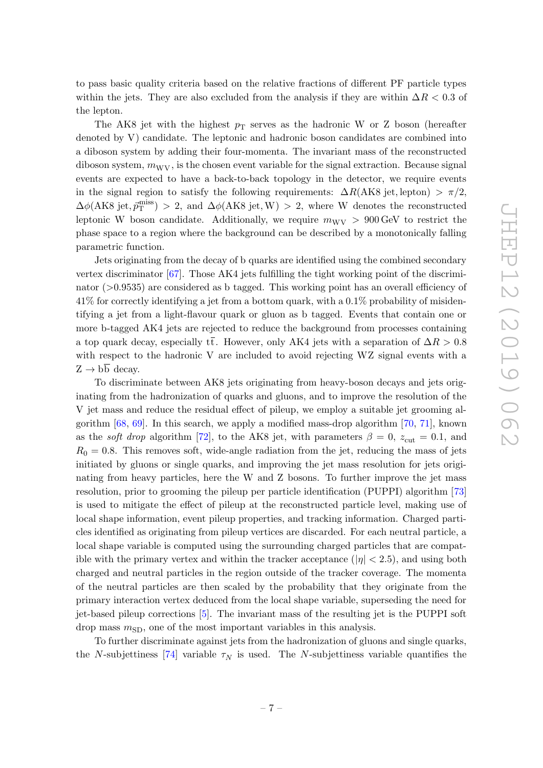to pass basic quality criteria based on the relative fractions of different PF particle types within the jets. They are also excluded from the analysis if they are within  $\Delta R < 0.3$  of the lepton.

The AK8 jet with the highest  $p_T$  serves as the hadronic W or Z boson (hereafter denoted by V) candidate. The leptonic and hadronic boson candidates are combined into a diboson system by adding their four-momenta. The invariant mass of the reconstructed diboson system,  $m_{\text{WV}}$ , is the chosen event variable for the signal extraction. Because signal events are expected to have a back-to-back topology in the detector, we require events in the signal region to satisfy the following requirements:  $\Delta R(\text{AK8 jet}, \text{lepton}) > \pi/2$ ,  $\Delta\phi(\text{AK8 jet}, \vec{p}_{\text{T}}^{\text{miss}}) > 2$ , and  $\Delta\phi(\text{AK8 jet}, \text{W}) > 2$ , where W denotes the reconstructed leptonic W boson candidate. Additionally, we require  $m_{\mathrm{WV}} > 900\,\mathrm{GeV}$  to restrict the phase space to a region where the background can be described by a monotonically falling parametric function.

Jets originating from the decay of b quarks are identified using the combined secondary vertex discriminator [\[67\]](#page-24-10). Those AK4 jets fulfilling the tight working point of the discriminator  $(>0.9535)$  are considered as b tagged. This working point has an overall efficiency of 41% for correctly identifying a jet from a bottom quark, with a 0.1% probability of misidentifying a jet from a light-flavour quark or gluon as b tagged. Events that contain one or more b-tagged AK4 jets are rejected to reduce the background from processes containing a top quark decay, especially tt. However, only AK4 jets with a separation of  $\Delta R > 0.8$ with respect to the hadronic V are included to avoid rejecting WZ signal events with a  $Z \rightarrow b\overline{b}$  decay.

To discriminate between AK8 jets originating from heavy-boson decays and jets originating from the hadronization of quarks and gluons, and to improve the resolution of the V jet mass and reduce the residual effect of pileup, we employ a suitable jet grooming algorithm [\[68,](#page-24-11) [69\]](#page-24-12). In this search, we apply a modified mass-drop algorithm [\[70,](#page-24-13) [71\]](#page-24-14), known as the *soft drop* algorithm [\[72\]](#page-24-15), to the AK8 jet, with parameters  $\beta = 0$ ,  $z_{\text{cut}} = 0.1$ , and  $R_0 = 0.8$ . This removes soft, wide-angle radiation from the jet, reducing the mass of jets initiated by gluons or single quarks, and improving the jet mass resolution for jets originating from heavy particles, here the W and Z bosons. To further improve the jet mass resolution, prior to grooming the pileup per particle identification (PUPPI) algorithm [\[73\]](#page-24-16) is used to mitigate the effect of pileup at the reconstructed particle level, making use of local shape information, event pileup properties, and tracking information. Charged particles identified as originating from pileup vertices are discarded. For each neutral particle, a local shape variable is computed using the surrounding charged particles that are compatible with the primary vertex and within the tracker acceptance  $(|\eta| < 2.5)$ , and using both charged and neutral particles in the region outside of the tracker coverage. The momenta of the neutral particles are then scaled by the probability that they originate from the primary interaction vertex deduced from the local shape variable, superseding the need for jet-based pileup corrections [\[5\]](#page-20-4). The invariant mass of the resulting jet is the PUPPI soft drop mass  $m_{SD}$ , one of the most important variables in this analysis.

To further discriminate against jets from the hadronization of gluons and single quarks, the N-subjettiness [\[74\]](#page-24-17) variable  $\tau_N$  is used. The N-subjettiness variable quantifies the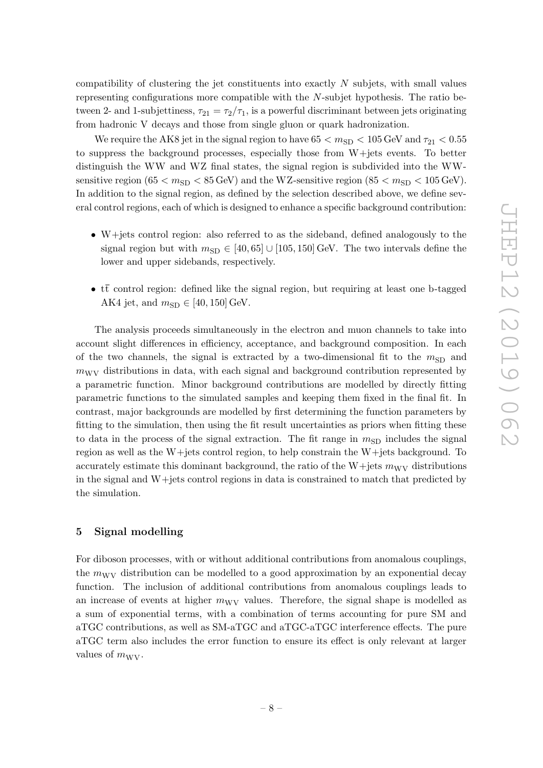compatibility of clustering the jet constituents into exactly  $N$  subjets, with small values representing configurations more compatible with the N-subjet hypothesis. The ratio between 2- and 1-subjettiness,  $\tau_{21} = \tau_2/\tau_1$ , is a powerful discriminant between jets originating from hadronic V decays and those from single gluon or quark hadronization.

We require the AK8 jet in the signal region to have  $65 < m_{SD} < 105 \,\text{GeV}$  and  $\tau_{21} < 0.55$ to suppress the background processes, especially those from W+jets events. To better distinguish the WW and WZ final states, the signal region is subdivided into the WWsensitive region (65  $<$   $m_{SD}$   $<$  85 GeV) and the WZ-sensitive region (85  $<$   $m_{SD}$   $<$  105 GeV). In addition to the signal region, as defined by the selection described above, we define several control regions, each of which is designed to enhance a specific background contribution:

- W+jets control region: also referred to as the sideband, defined analogously to the signal region but with  $m_{SD} \in [40, 65] \cup [105, 150] \text{ GeV}$ . The two intervals define the lower and upper sidebands, respectively.
- $t\bar{t}$  control region: defined like the signal region, but requiring at least one b-tagged AK4 jet, and  $m_{SD} \in [40, 150]$  GeV.

The analysis proceeds simultaneously in the electron and muon channels to take into account slight differences in efficiency, acceptance, and background composition. In each of the two channels, the signal is extracted by a two-dimensional fit to the  $m_{SD}$  and  $m_{\text{WV}}$  distributions in data, with each signal and background contribution represented by a parametric function. Minor background contributions are modelled by directly fitting parametric functions to the simulated samples and keeping them fixed in the final fit. In contrast, major backgrounds are modelled by first determining the function parameters by fitting to the simulation, then using the fit result uncertainties as priors when fitting these to data in the process of the signal extraction. The fit range in  $m_{SD}$  includes the signal region as well as the W+jets control region, to help constrain the W+jets background. To accurately estimate this dominant background, the ratio of the W+jets  $m_{\text{WV}}$  distributions in the signal and W+jets control regions in data is constrained to match that predicted by the simulation.

# <span id="page-8-0"></span>5 Signal modelling

For diboson processes, with or without additional contributions from anomalous couplings, the  $m_{\text{WV}}$  distribution can be modelled to a good approximation by an exponential decay function. The inclusion of additional contributions from anomalous couplings leads to an increase of events at higher  $m_{\text{WV}}$  values. Therefore, the signal shape is modelled as a sum of exponential terms, with a combination of terms accounting for pure SM and aTGC contributions, as well as SM-aTGC and aTGC-aTGC interference effects. The pure aTGC term also includes the error function to ensure its effect is only relevant at larger values of  $m_{\text{WV}}$ .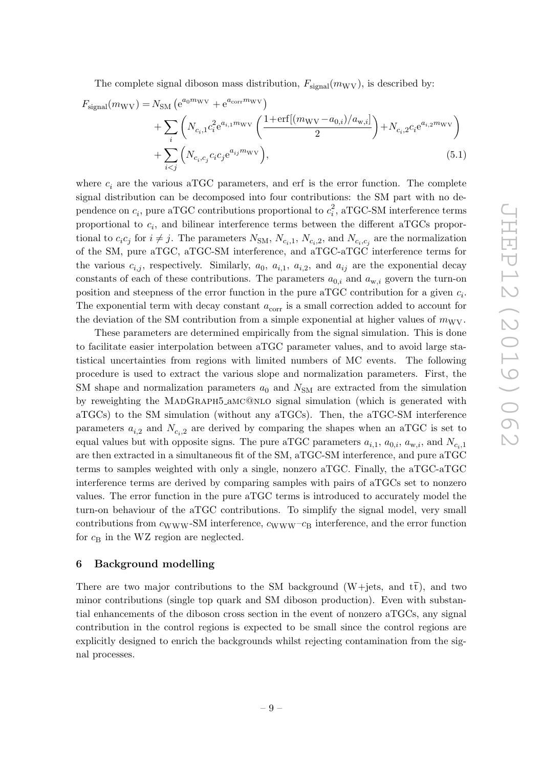The complete signal diboson mass distribution,  $F_{\text{signal}}(m_{\text{WV}})$ , is described by:

$$
F_{\text{signal}}(m_{\text{WV}}) = N_{\text{SM}} \left( e^{a_0 m_{\text{WV}}} + e^{a_{\text{corr}} m_{\text{WV}}} \right) + \sum_{i} \left( N_{c_i,1} c_i^2 e^{a_{i,1} m_{\text{WV}}} \left( \frac{1 + \text{erf}[(m_{\text{WV}} - a_{0,i})/a_{\text{w},i}]}{2} \right) + N_{c_i,2} c_i e^{a_{i,2} m_{\text{WV}}} \right) + \sum_{i < j} \left( N_{c_i, c_j} c_i c_j e^{a_{ij} m_{\text{WV}}} \right),
$$
\n(5.1)

where  $c_i$  are the various aTGC parameters, and erf is the error function. The complete signal distribution can be decomposed into four contributions: the SM part with no dependence on  $c_i$ , pure aTGC contributions proportional to  $c_i^2$ , aTGC-SM interference terms proportional to  $c_i$ , and bilinear interference terms between the different aTGCs proportional to  $c_i c_j$  for  $i \neq j$ . The parameters  $N_{\text{SM}}$ ,  $N_{c_i,1}$ ,  $N_{c_i,2}$ , and  $N_{c_i,c_j}$  are the normalization of the SM, pure aTGC, aTGC-SM interference, and aTGC-aTGC interference terms for the various  $c_{i,j}$ , respectively. Similarly,  $a_0$ ,  $a_{i,1}$ ,  $a_{i,2}$ , and  $a_{ij}$  are the exponential decay constants of each of these contributions. The parameters  $a_{0,i}$  and  $a_{w,i}$  govern the turn-on position and steepness of the error function in the pure aTGC contribution for a given  $c_i$ . The exponential term with decay constant  $a_{\text{corr}}$  is a small correction added to account for the deviation of the SM contribution from a simple exponential at higher values of  $m_{\text{WV}}$ .

These parameters are determined empirically from the signal simulation. This is done to facilitate easier interpolation between aTGC parameter values, and to avoid large statistical uncertainties from regions with limited numbers of MC events. The following procedure is used to extract the various slope and normalization parameters. First, the SM shape and normalization parameters  $a_0$  and  $N_{\text{SM}}$  are extracted from the simulation by reweighting the MadGraph5 amc@nlo signal simulation (which is generated with aTGCs) to the SM simulation (without any aTGCs). Then, the aTGC-SM interference parameters  $a_{i,2}$  and  $N_{c_i,2}$  are derived by comparing the shapes when an aTGC is set to equal values but with opposite signs. The pure aTGC parameters  $a_{i,1}$ ,  $a_{0,i}$ ,  $a_{w,i}$ , and  $N_{c_i,1}$ are then extracted in a simultaneous fit of the SM, aTGC-SM interference, and pure aTGC terms to samples weighted with only a single, nonzero aTGC. Finally, the aTGC-aTGC interference terms are derived by comparing samples with pairs of aTGCs set to nonzero values. The error function in the pure aTGC terms is introduced to accurately model the turn-on behaviour of the aTGC contributions. To simplify the signal model, very small contributions from  $c_{\text{WW}}$ -SM interference,  $c_{\text{WW}}-c_{\text{B}}$  interference, and the error function for  $c_{\text{B}}$  in the WZ region are neglected.

# <span id="page-9-0"></span>6 Background modelling

There are two major contributions to the SM background (W+jets, and  $\tau\bar{\tau}$ ), and two minor contributions (single top quark and SM diboson production). Even with substantial enhancements of the diboson cross section in the event of nonzero aTGCs, any signal contribution in the control regions is expected to be small since the control regions are explicitly designed to enrich the backgrounds whilst rejecting contamination from the signal processes.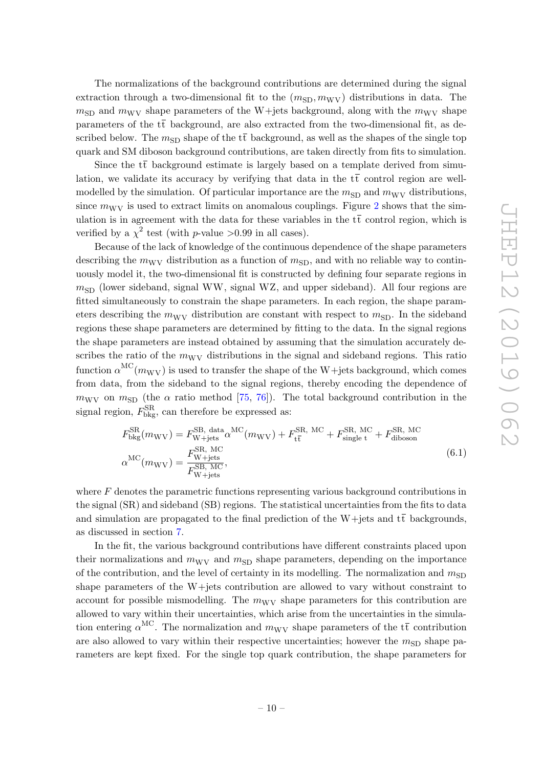The normalizations of the background contributions are determined during the signal extraction through a two-dimensional fit to the  $(m_{SD}, m_{\text{WV}})$  distributions in data. The  $m_{\rm SD}$  and  $m_{\rm WV}$  shape parameters of the W+jets background, along with the  $m_{\rm WV}$  shape parameters of the  $t\bar{t}$  background, are also extracted from the two-dimensional fit, as described below. The  $m_{\text{SD}}$  shape of the  $t\bar{t}$  background, as well as the shapes of the single top quark and SM diboson background contributions, are taken directly from fits to simulation.

Since the  $t\bar{t}$  background estimate is largely based on a template derived from simulation, we validate its accuracy by verifying that data in the  $t\bar{t}$  control region are wellmodelled by the simulation. Of particular importance are the  $m_{SD}$  and  $m_{WV}$  distributions, since  $m_{\text{WV}}$  is used to extract limits on anomalous couplings. Figure [2](#page-11-1) shows that the simulation is in agreement with the data for these variables in the  $t\bar{t}$  control region, which is verified by a  $\chi^2$  test (with *p*-value >0.99 in all cases).

Because of the lack of knowledge of the continuous dependence of the shape parameters describing the  $m_{\text{WV}}$  distribution as a function of  $m_{\text{SD}}$ , and with no reliable way to continuously model it, the two-dimensional fit is constructed by defining four separate regions in  $m<sub>SD</sub>$  (lower sideband, signal WW, signal WZ, and upper sideband). All four regions are fitted simultaneously to constrain the shape parameters. In each region, the shape parameters describing the  $m_{\text{WV}}$  distribution are constant with respect to  $m_{\text{SD}}$ . In the sideband regions these shape parameters are determined by fitting to the data. In the signal regions the shape parameters are instead obtained by assuming that the simulation accurately describes the ratio of the  $m_{\text{WV}}$  distributions in the signal and sideband regions. This ratio function  $\alpha^{\text{MC}}(m_{\text{WV}})$  is used to transfer the shape of the W+jets background, which comes from data, from the sideband to the signal regions, thereby encoding the dependence of  $m_{\text{WV}}$  on  $m_{\text{SD}}$  (the  $\alpha$  ratio method [\[75,](#page-24-18) [76\]](#page-25-0)). The total background contribution in the signal region,  $F_{\text{bkg}}^{\text{SR}}$ , can therefore be expressed as:

$$
F_{\text{bkg}}^{\text{SR}}(m_{\text{WV}}) = F_{\text{W+jets}}^{\text{SB, data}} \alpha^{\text{MC}}(m_{\text{WV}}) + F_{\text{t\bar{t}}}^{\text{SR, MC}} + F_{\text{single t}}^{\text{SR, MC}} + F_{\text{diboson}}^{\text{SR, MC}}
$$

$$
\alpha^{\text{MC}}(m_{\text{WV}}) = \frac{F_{\text{W+jets}}^{\text{SR, MC}}}{F_{\text{W+jets}}^{\text{SB, MC}}},
$$
(6.1)

where  $F$  denotes the parametric functions representing various background contributions in the signal (SR) and sideband (SB) regions. The statistical uncertainties from the fits to data and simulation are propagated to the final prediction of the W+jets and  $t\bar{t}$  backgrounds, as discussed in section [7.](#page-11-0)

In the fit, the various background contributions have different constraints placed upon their normalizations and  $m_{\text{WV}}$  and  $m_{\text{SD}}$  shape parameters, depending on the importance of the contribution, and the level of certainty in its modelling. The normalization and  $m_{SD}$ shape parameters of the W+jets contribution are allowed to vary without constraint to account for possible mismodelling. The  $m_{\text{WV}}$  shape parameters for this contribution are allowed to vary within their uncertainties, which arise from the uncertainties in the simulation entering  $\alpha^{\text{MC}}$ . The normalization and  $m_{\text{WV}}$  shape parameters of the  $\text{t}\bar{\text{t}}$  contribution are also allowed to vary within their respective uncertainties; however the  $m_{SD}$  shape parameters are kept fixed. For the single top quark contribution, the shape parameters for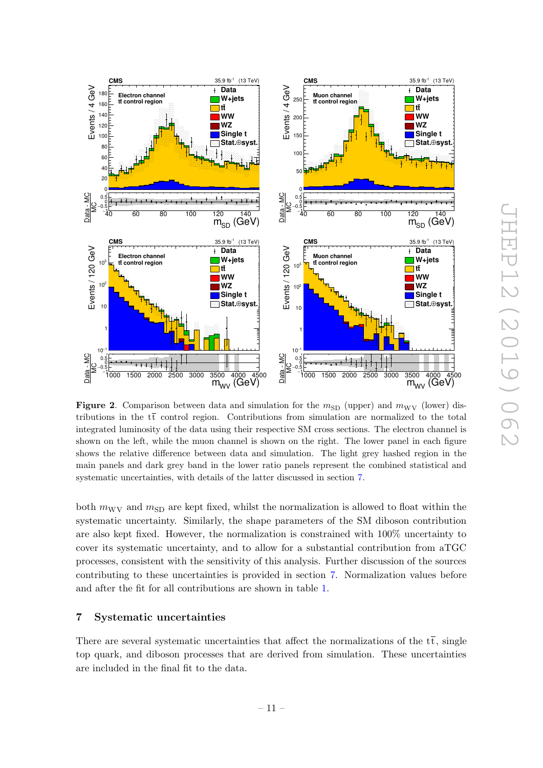

<span id="page-11-1"></span>Figure 2. Comparison between data and simulation for the  $m_{SD}$  (upper) and  $m_{\text{WV}}$  (lower) distributions in the  $t\bar{t}$  control region. Contributions from simulation are normalized to the total integrated luminosity of the data using their respective SM cross sections. The electron channel is shown on the left, while the muon channel is shown on the right. The lower panel in each figure shows the relative difference between data and simulation. The light grey hashed region in the main panels and dark grey band in the lower ratio panels represent the combined statistical and systematic uncertainties, with details of the latter discussed in section [7.](#page-11-0)

both  $m_{\text{WV}}$  and  $m_{\text{SD}}$  are kept fixed, whilst the normalization is allowed to float within the systematic uncertainty. Similarly, the shape parameters of the SM diboson contribution are also kept fixed. However, the normalization is constrained with 100% uncertainty to cover its systematic uncertainty, and to allow for a substantial contribution from aTGC processes, consistent with the sensitivity of this analysis. Further discussion of the sources contributing to these uncertainties is provided in section [7.](#page-11-0) Normalization values before and after the fit for all contributions are shown in table [1.](#page-12-0)

# <span id="page-11-0"></span>7 Systematic uncertainties

There are several systematic uncertainties that affect the normalizations of the  $t\bar{t}$ , single top quark, and diboson processes that are derived from simulation. These uncertainties are included in the final fit to the data.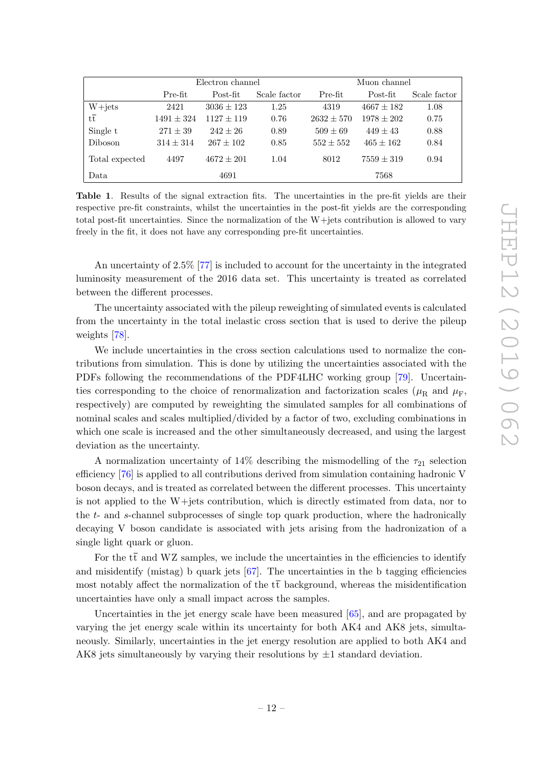|                 |                | Electron channel |              | Muon channel   |                |              |  |
|-----------------|----------------|------------------|--------------|----------------|----------------|--------------|--|
|                 | Pre-fit        | Post-fit         | Scale factor | Pre-fit        | Post-fit       | Scale factor |  |
| $W+jets$        | 2421           | $3036 \pm 123$   | 1.25         | 4319           | $4667 \pm 182$ | 1.08         |  |
| $t\overline{t}$ | $1491 \pm 324$ | $1127 \pm 119$   | 0.76         | $2632 \pm 570$ | $1978 \pm 202$ | 0.75         |  |
| Single t        | $271 \pm 39$   | $242 \pm 26$     | 0.89         | $509 \pm 69$   | $449 \pm 43$   | 0.88         |  |
| <b>Diboson</b>  | $314 \pm 314$  | $267 + 102$      | 0.85         | $552 \pm 552$  | $465 \pm 162$  | 0.84         |  |
| Total expected  | 4497           | $4672 + 201$     | 1.04         | 8012           | $7559 \pm 319$ | 0.94         |  |
| Data            |                | 4691             |              |                | 7568           |              |  |

<span id="page-12-0"></span>Table 1. Results of the signal extraction fits. The uncertainties in the pre-fit yields are their respective pre-fit constraints, whilst the uncertainties in the post-fit yields are the corresponding total post-fit uncertainties. Since the normalization of the W+jets contribution is allowed to vary freely in the fit, it does not have any corresponding pre-fit uncertainties.

An uncertainty of 2.5% [\[77\]](#page-25-1) is included to account for the uncertainty in the integrated luminosity measurement of the 2016 data set. This uncertainty is treated as correlated between the different processes.

The uncertainty associated with the pileup reweighting of simulated events is calculated from the uncertainty in the total inelastic cross section that is used to derive the pileup weights [\[78\]](#page-25-2).

We include uncertainties in the cross section calculations used to normalize the contributions from simulation. This is done by utilizing the uncertainties associated with the PDFs following the recommendations of the PDF4LHC working group [\[79\]](#page-25-3). Uncertainties corresponding to the choice of renormalization and factorization scales ( $\mu_R$  and  $\mu_F$ , respectively) are computed by reweighting the simulated samples for all combinations of nominal scales and scales multiplied/divided by a factor of two, excluding combinations in which one scale is increased and the other simultaneously decreased, and using the largest deviation as the uncertainty.

A normalization uncertainty of 14% describing the mismodelling of the  $\tau_{21}$  selection efficiency [\[76\]](#page-25-0) is applied to all contributions derived from simulation containing hadronic V boson decays, and is treated as correlated between the different processes. This uncertainty is not applied to the W+jets contribution, which is directly estimated from data, nor to the t- and s-channel subprocesses of single top quark production, where the hadronically decaying V boson candidate is associated with jets arising from the hadronization of a single light quark or gluon.

For the  $t\bar{t}$  and WZ samples, we include the uncertainties in the efficiencies to identify and misidentify (mistag) b quark jets [\[67\]](#page-24-10). The uncertainties in the b tagging efficiencies most notably affect the normalization of the  $t\bar{t}$  background, whereas the misidentification uncertainties have only a small impact across the samples.

Uncertainties in the jet energy scale have been measured [\[65\]](#page-24-8), and are propagated by varying the jet energy scale within its uncertainty for both AK4 and AK8 jets, simultaneously. Similarly, uncertainties in the jet energy resolution are applied to both AK4 and AK8 jets simultaneously by varying their resolutions by  $\pm 1$  standard deviation.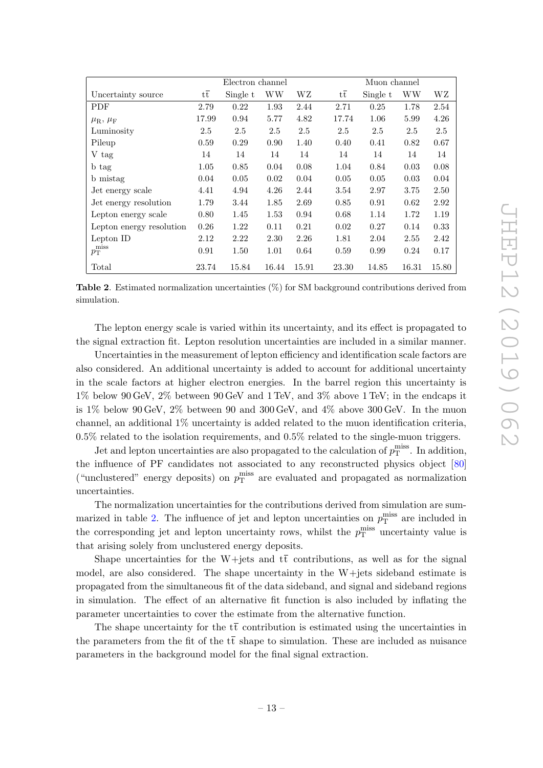|                            |                 | Electron channel |       |       | Muon channel |          |       |       |
|----------------------------|-----------------|------------------|-------|-------|--------------|----------|-------|-------|
| Uncertainty source         | $t\overline{t}$ | Single t         | WW    | WΖ    | $t\bar{t}$   | Single t | WW    | WΖ    |
| PDF                        | 2.79            | 0.22             | 1.93  | 2.44  | 2.71         | 0.25     | 1.78  | 2.54  |
| $\mu_{\rm R}, \mu_{\rm F}$ | 17.99           | 0.94             | 5.77  | 4.82  | 17.74        | 1.06     | 5.99  | 4.26  |
| Luminosity                 | 2.5             | 2.5              | 2.5   | 2.5   | 2.5          | 2.5      | 2.5   | 2.5   |
| Pileup                     | 0.59            | 0.29             | 0.90  | 1.40  | 0.40         | 0.41     | 0.82  | 0.67  |
| V tag                      | 14              | 14               | 14    | 14    | 14           | 14       | 14    | 14    |
| b tag                      | 1.05            | 0.85             | 0.04  | 0.08  | 1.04         | 0.84     | 0.03  | 0.08  |
| b mistag                   | 0.04            | 0.05             | 0.02  | 0.04  | 0.05         | 0.05     | 0.03  | 0.04  |
| Jet energy scale           | 4.41            | 4.94             | 4.26  | 2.44  | 3.54         | 2.97     | 3.75  | 2.50  |
| Jet energy resolution      | 1.79            | 3.44             | 1.85  | 2.69  | 0.85         | 0.91     | 0.62  | 2.92  |
| Lepton energy scale        | 0.80            | 1.45             | 1.53  | 0.94  | 0.68         | 1.14     | 1.72  | 1.19  |
| Lepton energy resolution   | 0.26            | 1.22             | 0.11  | 0.21  | 0.02         | 0.27     | 0.14  | 0.33  |
| Lepton ID                  | 2.12            | 2.22             | 2.30  | 2.26  | 1.81         | 2.04     | 2.55  | 2.42  |
| $p_{\rm T}^{\rm miss}$     | 0.91            | 1.50             | 1.01  | 0.64  | 0.59         | 0.99     | 0.24  | 0.17  |
| Total                      | 23.74           | 15.84            | 16.44 | 15.91 | 23.30        | 14.85    | 16.31 | 15.80 |

<span id="page-13-0"></span>**Table 2.** Estimated normalization uncertainties  $(\%)$  for SM background contributions derived from simulation.

The lepton energy scale is varied within its uncertainty, and its effect is propagated to the signal extraction fit. Lepton resolution uncertainties are included in a similar manner.

Uncertainties in the measurement of lepton efficiency and identification scale factors are also considered. An additional uncertainty is added to account for additional uncertainty in the scale factors at higher electron energies. In the barrel region this uncertainty is 1% below 90 GeV, 2% between 90 GeV and 1 TeV, and 3% above 1 TeV; in the endcaps it is 1% below 90 GeV, 2% between 90 and 300 GeV, and 4% above 300 GeV. In the muon channel, an additional 1% uncertainty is added related to the muon identification criteria,  $0.5\%$  related to the isolation requirements, and  $0.5\%$  related to the single-muon triggers.

Jet and lepton uncertainties are also propagated to the calculation of  $p_T^{\text{miss}}$ . In addition, the influence of PF candidates not associated to any reconstructed physics object [\[80\]](#page-25-4) ("unclustered" energy deposits) on  $p_T^{\text{miss}}$  are evaluated and propagated as normalization uncertainties.

The normalization uncertainties for the contributions derived from simulation are sum-marized in table [2.](#page-13-0) The influence of jet and lepton uncertainties on  $p_T^{\text{miss}}$  are included in the corresponding jet and lepton uncertainty rows, whilst the  $p_T^{\text{miss}}$  uncertainty value is that arising solely from unclustered energy deposits.

Shape uncertainties for the W+jets and  $t\bar{t}$  contributions, as well as for the signal model, are also considered. The shape uncertainty in the W+jets sideband estimate is propagated from the simultaneous fit of the data sideband, and signal and sideband regions in simulation. The effect of an alternative fit function is also included by inflating the parameter uncertainties to cover the estimate from the alternative function.

The shape uncertainty for the  $t\bar{t}$  contribution is estimated using the uncertainties in the parameters from the fit of the  $t\bar{t}$  shape to simulation. These are included as nuisance parameters in the background model for the final signal extraction.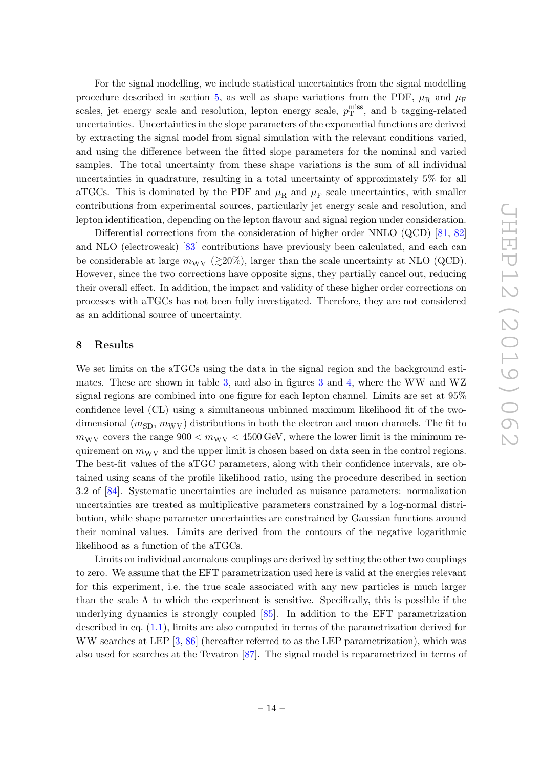For the signal modelling, we include statistical uncertainties from the signal modelling procedure described in section [5,](#page-8-0) as well as shape variations from the PDF,  $\mu_R$  and  $\mu_F$ scales, jet energy scale and resolution, lepton energy scale,  $p_T^{\text{miss}}$ , and b tagging-related uncertainties. Uncertainties in the slope parameters of the exponential functions are derived by extracting the signal model from signal simulation with the relevant conditions varied, and using the difference between the fitted slope parameters for the nominal and varied samples. The total uncertainty from these shape variations is the sum of all individual uncertainties in quadrature, resulting in a total uncertainty of approximately 5% for all aTGCs. This is dominated by the PDF and  $\mu_R$  and  $\mu_F$  scale uncertainties, with smaller contributions from experimental sources, particularly jet energy scale and resolution, and lepton identification, depending on the lepton flavour and signal region under consideration.

Differential corrections from the consideration of higher order NNLO (QCD) [\[81,](#page-25-5) [82\]](#page-25-6) and NLO (electroweak) [\[83\]](#page-25-7) contributions have previously been calculated, and each can be considerable at large  $m_{\text{WV}}$  ( $\gtrsim$ 20%), larger than the scale uncertainty at NLO (QCD). However, since the two corrections have opposite signs, they partially cancel out, reducing their overall effect. In addition, the impact and validity of these higher order corrections on processes with aTGCs has not been fully investigated. Therefore, they are not considered as an additional source of uncertainty.

#### <span id="page-14-0"></span>8 Results

We set limits on the aTGCs using the data in the signal region and the background estimates. These are shown in table [3,](#page-15-0) and also in figures [3](#page-15-1) and [4,](#page-16-0) where the WW and WZ signal regions are combined into one figure for each lepton channel. Limits are set at 95% confidence level (CL) using a simultaneous unbinned maximum likelihood fit of the twodimensional  $(m_{SD}, m_{\text{WV}})$  distributions in both the electron and muon channels. The fit to  $m_{\text{WV}}$  covers the range 900  $< m_{\text{WV}} < 4500 \,\text{GeV}$ , where the lower limit is the minimum requirement on  $m_{\text{WV}}$  and the upper limit is chosen based on data seen in the control regions. The best-fit values of the aTGC parameters, along with their confidence intervals, are obtained using scans of the profile likelihood ratio, using the procedure described in section 3.2 of [\[84\]](#page-25-8). Systematic uncertainties are included as nuisance parameters: normalization uncertainties are treated as multiplicative parameters constrained by a log-normal distribution, while shape parameter uncertainties are constrained by Gaussian functions around their nominal values. Limits are derived from the contours of the negative logarithmic likelihood as a function of the aTGCs.

Limits on individual anomalous couplings are derived by setting the other two couplings to zero. We assume that the EFT parametrization used here is valid at the energies relevant for this experiment, i.e. the true scale associated with any new particles is much larger than the scale  $\Lambda$  to which the experiment is sensitive. Specifically, this is possible if the underlying dynamics is strongly coupled [\[85\]](#page-25-9). In addition to the EFT parametrization described in eq.  $(1.1)$ , limits are also computed in terms of the parametrization derived for WW searches at LEP [\[3,](#page-20-2) [86\]](#page-25-10) (hereafter referred to as the LEP parametrization), which was also used for searches at the Tevatron [\[87\]](#page-25-11). The signal model is reparametrized in terms of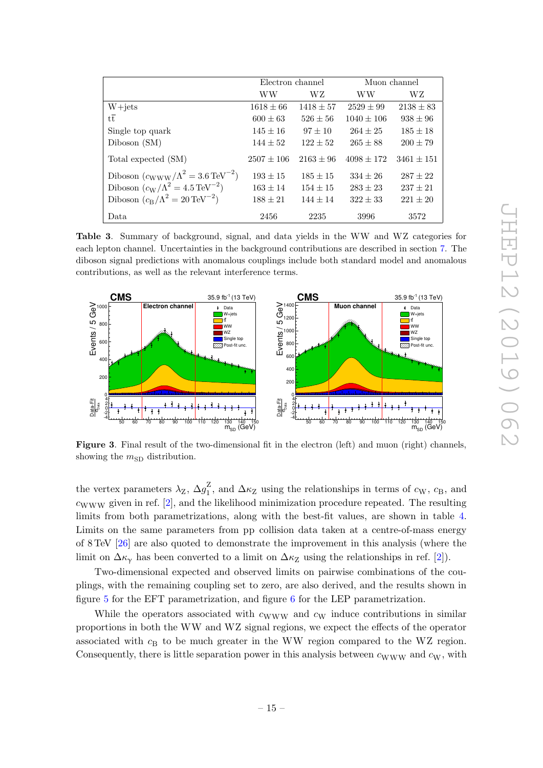|                                                             | WW             | WΖ            | <b>WW</b>      | WΖ             |
|-------------------------------------------------------------|----------------|---------------|----------------|----------------|
| $W+jets$                                                    | $1618 \pm 66$  | $1418 \pm 57$ | $2529 \pm 99$  | $2138 \pm 83$  |
| $t\bar{t}$                                                  | $600 \pm 63$   | $526 \pm 56$  | $1040 \pm 106$ | $938 \pm 96$   |
| Single top quark                                            | $145 \pm 16$   | $97 \pm 10$   | $264 \pm 25$   | $185 \pm 18$   |
| Diboson (SM)                                                | $144 \pm 52$   | $122 \pm 52$  | $265 \pm 88$   | $200 \pm 79$   |
| Total expected (SM)                                         | $2507 \pm 106$ | $2163 \pm 96$ | $4098 \pm 172$ | $3461 \pm 151$ |
| Diboson $(c_{\text{WWW}}/\Lambda^2 = 3.6 \text{ TeV}^{-2})$ | $193 \pm 15$   | $185 \pm 15$  | $334 \pm 26$   | $287 \pm 22$   |
| Diboson $(c_W/\Lambda^2 = 4.5 \,\text{TeV}^{-2})$           | $163 \pm 14$   | $154 \pm 15$  | $283 \pm 23$   | $237 \pm 21$   |
| Diboson $(c_{\rm B}/\Lambda^2=20 \,\text{TeV}^{-2})$        | $188 \pm 21$   | $144 \pm 14$  | $322 \pm 33$   | $221 \pm 20$   |
| Data                                                        | 2456           | 2235          | 3996           | 3572           |

Electron channel Muon channel

<span id="page-15-0"></span>

<span id="page-15-1"></span>Figure 3. Final result of the two-dimensional fit in the electron (left) and muon (right) channels, showing the  $m_{SD}$  distribution.

the vertex parameters  $\lambda_Z$ ,  $\Delta g_1^Z$  $\frac{1}{1}$ , and  $\Delta \kappa_Z$  using the relationships in terms of  $c_W$ ,  $c_B$ , and  $c_{\text{WWW}}$  given in ref. [\[2\]](#page-20-1), and the likelihood minimization procedure repeated. The resulting limits from both parametrizations, along with the best-fit values, are shown in table [4.](#page-17-0) Limits on the same parameters from pp collision data taken at a centre-of-mass energy of 8 TeV [\[26\]](#page-22-11) are also quoted to demonstrate the improvement in this analysis (where the limit on  $\Delta \kappa_{\gamma}$  has been converted to a limit on  $\Delta \kappa_{Z}$  using the relationships in ref. [\[2\]](#page-20-1)).

Two-dimensional expected and observed limits on pairwise combinations of the couplings, with the remaining coupling set to zero, are also derived, and the results shown in figure [5](#page-17-1) for the EFT parametrization, and figure [6](#page-17-2) for the LEP parametrization.

While the operators associated with  $c_{\text{WWW}}$  and  $c_{\text{W}}$  induce contributions in similar proportions in both the WW and WZ signal regions, we expect the effects of the operator associated with  $c_{\text{B}}$  to be much greater in the WW region compared to the WZ region. Consequently, there is little separation power in this analysis between  $c_{\text{WWW}}$  and  $c_{\text{W}}$ , with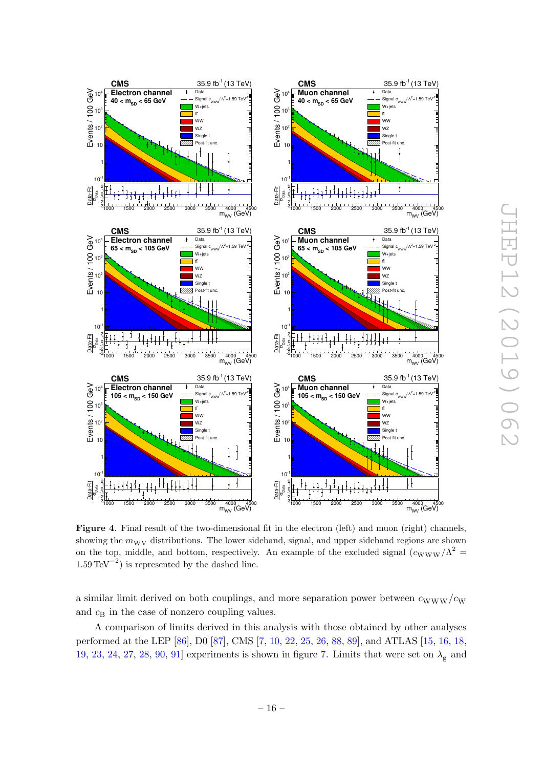

<span id="page-16-0"></span>Figure 4. Final result of the two-dimensional fit in the electron (left) and muon (right) channels, showing the  $m_{\text{WV}}$  distributions. The lower sideband, signal, and upper sideband regions are shown on the top, middle, and bottom, respectively. An example of the excluded signal  $(c_{WWW}/\Lambda^2 =$  $1.59 \,\text{TeV}^{-2}$ ) is represented by the dashed line.

a similar limit derived on both couplings, and more separation power between  $c_{\text{WWW}}/c_{\text{W}}$ and  $c_B$  in the case of nonzero coupling values.

A comparison of limits derived in this analysis with those obtained by other analyses performed at the LEP [\[86\]](#page-25-10), D0 [\[87\]](#page-25-11), CMS [\[7,](#page-20-6) [10,](#page-21-0) [22,](#page-21-1) [25,](#page-22-1) [26,](#page-22-11) [88,](#page-25-12) [89\]](#page-25-13), and ATLAS [\[15,](#page-21-2) [16,](#page-21-3) [18,](#page-21-4) [19,](#page-21-5) [23,](#page-22-12) [24,](#page-22-0) [27,](#page-22-13) [28,](#page-22-2) [90,](#page-25-14) [91\]](#page-25-15) experiments is shown in figure [7.](#page-18-1) Limits that were set on  $\lambda_{\rm g}$  and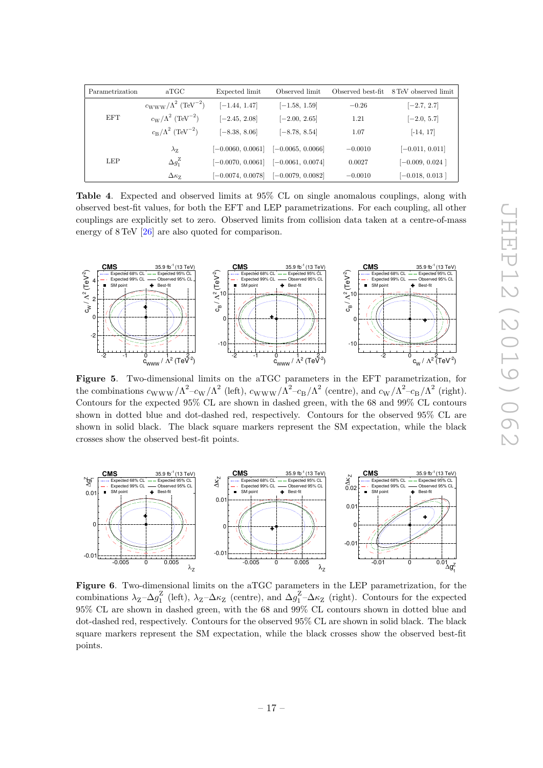| Parametrization | $\rm{aTGC}$                                     | Expected limit  | Observed limit                          | Observed best-fit | 8 TeV observed limit |
|-----------------|-------------------------------------------------|-----------------|-----------------------------------------|-------------------|----------------------|
|                 | $c_{\text{WWW}}/\Lambda^2$ (TeV <sup>-2</sup> ) | $[-1.44, 1.47]$ | $[-1.58, 1.59]$                         | $-0.26$           | $[-2.7, 2.7]$        |
| EFT             | $c_{\rm W}/\Lambda^2$ (TeV <sup>-2</sup> )      | $[-2.45, 2.08]$ | $[-2.00, 2.65]$                         | 1.21              | $[-2.0, 5.7]$        |
|                 | $c_{\rm B}/\Lambda^2$ (TeV <sup>-2</sup> )      | $[-8.38, 8.06]$ | $[-8.78, 8.54]$                         | 1.07              | $[-14, 17]$          |
|                 | $\lambda_{Z_i}$                                 |                 | $[-0.0060, 0.0061]$ $[-0.0065, 0.0066]$ | $-0.0010$         | $[-0.011, 0.011]$    |
| LEP             | $\Delta g_1^{\mathrm{Z}}$                       |                 | $[-0.0070, 0.0061]$ $[-0.0061, 0.0074]$ | 0.0027            | $[-0.009, 0.024]$    |
|                 | $\Delta \kappa_{Z}$                             |                 | $[-0.0074, 0.0078]$ $[-0.0079, 0.0082]$ | $-0.0010$         | $[-0.018, 0.013]$    |

<span id="page-17-0"></span>Table 4. Expected and observed limits at 95% CL on single anomalous couplings, along with observed best-fit values, for both the EFT and LEP parametrizations. For each coupling, all other couplings are explicitly set to zero. Observed limits from collision data taken at a centre-of-mass energy of 8 TeV [\[26\]](#page-22-11) are also quoted for comparison.



<span id="page-17-1"></span>Figure 5. Two-dimensional limits on the aTGC parameters in the EFT parametrization, for the combinations  $c_{\text{WWW}}/\Lambda^2 - c_{\text{W}}/\Lambda^2$  (left),  $c_{\text{WWW}}/\Lambda^2 - c_{\text{B}}/\Lambda^2$  (centre), and  $c_{\text{W}}/\Lambda^2 - c_{\text{B}}/\Lambda^2$  (right). Contours for the expected 95% CL are shown in dashed green, with the 68 and 99% CL contours shown in dotted blue and dot-dashed red, respectively. Contours for the observed 95% CL are shown in solid black. The black square markers represent the SM expectation, while the black crosses show the observed best-fit points.



<span id="page-17-2"></span>Figure 6. Two-dimensional limits on the aTGC parameters in the LEP parametrization, for the combinations  $\lambda_Z - \Delta g_1^Z$  (left),  $\lambda_Z - \Delta \kappa_Z$  (centre), and  $\Delta g_1^Z - \Delta \kappa_Z$  (right). Contours for the expected 95% CL are shown in dashed green, with the 68 and 99% CL contours shown in dotted blue and dot-dashed red, respectively. Contours for the observed 95% CL are shown in solid black. The black square markers represent the SM expectation, while the black crosses show the observed best-fit points.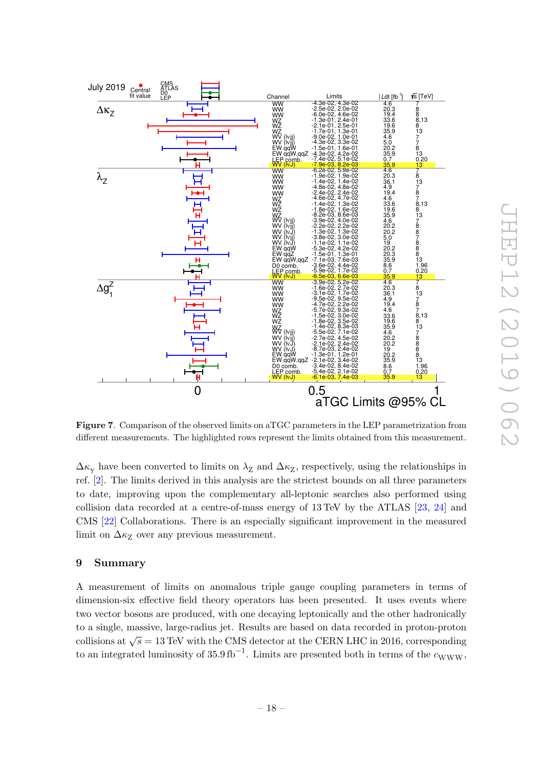

<span id="page-18-1"></span>Figure 7. Comparison of the observed limits on aTGC parameters in the LEP parametrization from different measurements. The highlighted rows represent the limits obtained from this measurement.

 $\Delta \kappa_{\gamma}$  have been converted to limits on  $\lambda_{\rm Z}$  and  $\Delta \kappa_{\rm Z}$ , respectively, using the relationships in ref. [\[2\]](#page-20-1). The limits derived in this analysis are the strictest bounds on all three parameters to date, improving upon the complementary all-leptonic searches also performed using collision data recorded at a centre-of-mass energy of 13 TeV by the ATLAS [\[23,](#page-22-12) [24\]](#page-22-0) and CMS [\[22\]](#page-21-1) Collaborations. There is an especially significant improvement in the measured limit on  $\Delta \kappa_Z$  over any previous measurement.

# <span id="page-18-0"></span>9 Summary

A measurement of limits on anomalous triple gauge coupling parameters in terms of dimension-six effective field theory operators has been presented. It uses events where two vector bosons are produced, with one decaying leptonically and the other hadronically to a single, massive, large-radius jet. Results are based on data recorded in proton-proton collisions at  $\sqrt{s} = 13$  TeV with the CMS detector at the CERN LHC in 2016, corresponding to an integrated luminosity of  $35.9 \text{ fb}^{-1}$ . Limits are presented both in terms of the  $c_{\text{WWW}}$ ,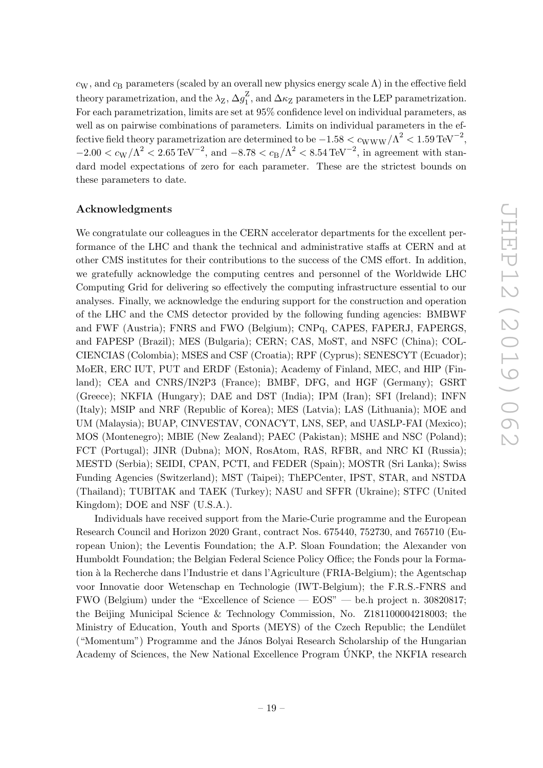$c_W$ , and  $c_B$  parameters (scaled by an overall new physics energy scale  $\Lambda$ ) in the effective field theory parametrization, and the  $\lambda_Z$ ,  $\Delta g_1^Z$  $\frac{1}{1}$ , and  $\Delta \kappa_Z$  parameters in the LEP parametrization. For each parametrization, limits are set at 95% confidence level on individual parameters, as well as on pairwise combinations of parameters. Limits on individual parameters in the effective field theory parametrization are determined to be  $-1.58 < c_{\rm WWW}/\Lambda^2 < 1.59 \,\rm TeV^{-2},$  $-2.00 < c_W/\Lambda^2 < 2.65 \,\text{TeV}^{-2}$ , and  $-8.78 < c_B/\Lambda^2 < 8.54 \,\text{TeV}^{-2}$ , in agreement with standard model expectations of zero for each parameter. These are the strictest bounds on these parameters to date.

# Acknowledgments

We congratulate our colleagues in the CERN accelerator departments for the excellent performance of the LHC and thank the technical and administrative staffs at CERN and at other CMS institutes for their contributions to the success of the CMS effort. In addition, we gratefully acknowledge the computing centres and personnel of the Worldwide LHC Computing Grid for delivering so effectively the computing infrastructure essential to our analyses. Finally, we acknowledge the enduring support for the construction and operation of the LHC and the CMS detector provided by the following funding agencies: BMBWF and FWF (Austria); FNRS and FWO (Belgium); CNPq, CAPES, FAPERJ, FAPERGS, and FAPESP (Brazil); MES (Bulgaria); CERN; CAS, MoST, and NSFC (China); COL-CIENCIAS (Colombia); MSES and CSF (Croatia); RPF (Cyprus); SENESCYT (Ecuador); MoER, ERC IUT, PUT and ERDF (Estonia); Academy of Finland, MEC, and HIP (Finland); CEA and CNRS/IN2P3 (France); BMBF, DFG, and HGF (Germany); GSRT (Greece); NKFIA (Hungary); DAE and DST (India); IPM (Iran); SFI (Ireland); INFN (Italy); MSIP and NRF (Republic of Korea); MES (Latvia); LAS (Lithuania); MOE and UM (Malaysia); BUAP, CINVESTAV, CONACYT, LNS, SEP, and UASLP-FAI (Mexico); MOS (Montenegro); MBIE (New Zealand); PAEC (Pakistan); MSHE and NSC (Poland); FCT (Portugal); JINR (Dubna); MON, RosAtom, RAS, RFBR, and NRC KI (Russia); MESTD (Serbia); SEIDI, CPAN, PCTI, and FEDER (Spain); MOSTR (Sri Lanka); Swiss Funding Agencies (Switzerland); MST (Taipei); ThEPCenter, IPST, STAR, and NSTDA (Thailand); TUBITAK and TAEK (Turkey); NASU and SFFR (Ukraine); STFC (United Kingdom); DOE and NSF (U.S.A.).

Individuals have received support from the Marie-Curie programme and the European Research Council and Horizon 2020 Grant, contract Nos. 675440, 752730, and 765710 (European Union); the Leventis Foundation; the A.P. Sloan Foundation; the Alexander von Humboldt Foundation; the Belgian Federal Science Policy Office; the Fonds pour la Formation `a la Recherche dans l'Industrie et dans l'Agriculture (FRIA-Belgium); the Agentschap voor Innovatie door Wetenschap en Technologie (IWT-Belgium); the F.R.S.-FNRS and FWO (Belgium) under the "Excellence of Science — EOS" — be.h project n. 30820817; the Beijing Municipal Science & Technology Commission, No. Z181100004218003; the Ministry of Education, Youth and Sports (MEYS) of the Czech Republic; the Lendület ("Momentum") Programme and the J´anos Bolyai Research Scholarship of the Hungarian Academy of Sciences, the New National Excellence Program UNKP, the NKFIA research ´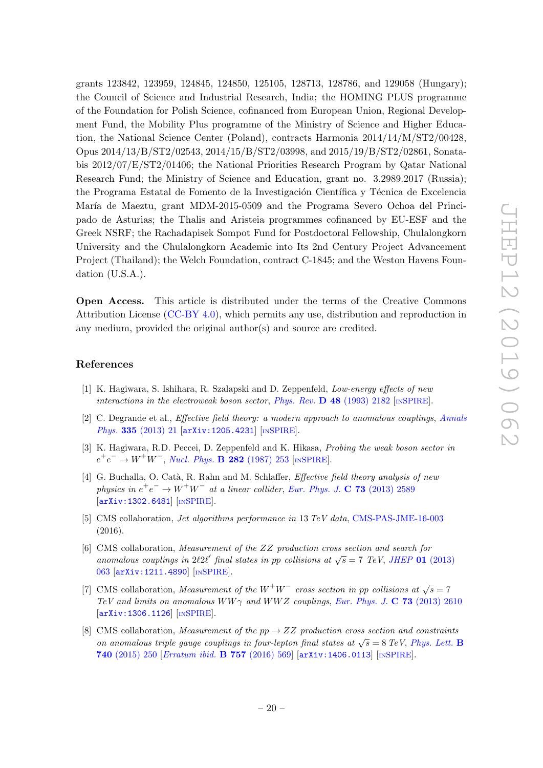grants 123842, 123959, 124845, 124850, 125105, 128713, 128786, and 129058 (Hungary); the Council of Science and Industrial Research, India; the HOMING PLUS programme of the Foundation for Polish Science, cofinanced from European Union, Regional Development Fund, the Mobility Plus programme of the Ministry of Science and Higher Education, the National Science Center (Poland), contracts Harmonia 2014/14/M/ST2/00428, Opus 2014/13/B/ST2/02543, 2014/15/B/ST2/03998, and 2015/19/B/ST2/02861, Sonatabis 2012/07/E/ST2/01406; the National Priorities Research Program by Qatar National Research Fund; the Ministry of Science and Education, grant no. 3.2989.2017 (Russia); the Programa Estatal de Fomento de la Investigación Científica y Técnica de Excelencia María de Maeztu, grant MDM-2015-0509 and the Programa Severo Ochoa del Principado de Asturias; the Thalis and Aristeia programmes cofinanced by EU-ESF and the Greek NSRF; the Rachadapisek Sompot Fund for Postdoctoral Fellowship, Chulalongkorn University and the Chulalongkorn Academic into Its 2nd Century Project Advancement Project (Thailand); the Welch Foundation, contract C-1845; and the Weston Havens Foundation (U.S.A.).

Open Access. This article is distributed under the terms of the Creative Commons Attribution License [\(CC-BY 4.0\)](https://creativecommons.org/licenses/by/4.0/), which permits any use, distribution and reproduction in any medium, provided the original author(s) and source are credited.

# References

- <span id="page-20-0"></span>[1] K. Hagiwara, S. Ishihara, R. Szalapski and D. Zeppenfeld, Low-energy effects of new interactions in the electroweak boson sector, Phys. Rev.  $\bf{D}$  48 [\(1993\) 2182](https://doi.org/10.1103/PhysRevD.48.2182) [IN[SPIRE](https://inspirehep.net/search?p=find+J+%22Phys.Rev.,D48,2182%22)].
- <span id="page-20-1"></span>[2] C. Degrande et al., Effective field theory: a modern approach to anomalous couplings, [Annals](https://doi.org/10.1016/j.aop.2013.04.016) Phys. 335 [\(2013\) 21](https://doi.org/10.1016/j.aop.2013.04.016) [[arXiv:1205.4231](https://arxiv.org/abs/1205.4231)] [IN[SPIRE](https://inspirehep.net/search?p=find+EPRINT+arXiv:1205.4231)].
- <span id="page-20-2"></span>[3] K. Hagiwara, R.D. Peccei, D. Zeppenfeld and K. Hikasa, *Probing the weak boson sector in*  $e^+e^- \to W^+W^-$ , [Nucl. Phys.](https://doi.org/10.1016/0550-3213(87)90685-7) **B** 282 (1987) 253 [IN[SPIRE](https://inspirehep.net/search?p=find+J+%22Nucl.Phys.,B282,253%22)].
- <span id="page-20-3"></span>[4] G. Buchalla, O. Catà, R. Rahn and M. Schlaffer, *Effective field theory analysis of new* physics in  $e^+e^- \rightarrow W^+W^-$  at a linear collider, [Eur. Phys. J.](https://doi.org/10.1140/epjc/s10052-013-2589-1) C 73 (2013) 2589 [[arXiv:1302.6481](https://arxiv.org/abs/1302.6481)] [IN[SPIRE](https://inspirehep.net/search?p=find+EPRINT+arXiv:1302.6481)].
- <span id="page-20-4"></span>[5] CMS collaboration, Jet algorithms performance in 13 TeV data, [CMS-PAS-JME-16-003](http://cds.cern.ch/record/2256875) (2016).
- <span id="page-20-5"></span>[6] CMS collaboration, Measurement of the ZZ production cross section and search for anomalous couplings in  $22\ell$  final states in pp collisions at  $\sqrt{s} = 7$  TeV, JHEP 01 [\(2013\)](https://doi.org/10.1007/JHEP01(2013)063) [063](https://doi.org/10.1007/JHEP01(2013)063) [[arXiv:1211.4890](https://arxiv.org/abs/1211.4890)] [IN[SPIRE](https://inspirehep.net/search?p=find+EPRINT+arXiv:1211.4890)].
- <span id="page-20-6"></span>[7] CMS collaboration, *Measurement of the*  $W^+W^-$  cross section in pp collisions at  $\sqrt{s} = 7$ TeV and limits on anomalous  $WW\gamma$  and  $WWZ$  couplings, [Eur. Phys. J.](https://doi.org/10.1140/epjc/s10052-013-2610-8) C 73 (2013) 2610 [[arXiv:1306.1126](https://arxiv.org/abs/1306.1126)] [IN[SPIRE](https://inspirehep.net/search?p=find+EPRINT+arXiv:1306.1126)].
- [8] CMS collaboration, Measurement of the  $pp \rightarrow ZZ$  production cross section and constraints on anomalous triple gauge couplings in four-lepton final states at  $\sqrt{s} = 8 \text{ TeV}$ , [Phys. Lett.](https://doi.org/10.1016/j.physletb.2014.11.059) B 740 [\(2015\) 250](https://doi.org/10.1016/j.physletb.2014.11.059) [[Erratum ibid.](https://doi.org/10.1016/j.physletb.2016.04.010) B 757 (2016) 569] [[arXiv:1406.0113](https://arxiv.org/abs/1406.0113)] [IN[SPIRE](https://inspirehep.net/search?p=find+EPRINT+arXiv:1406.0113)].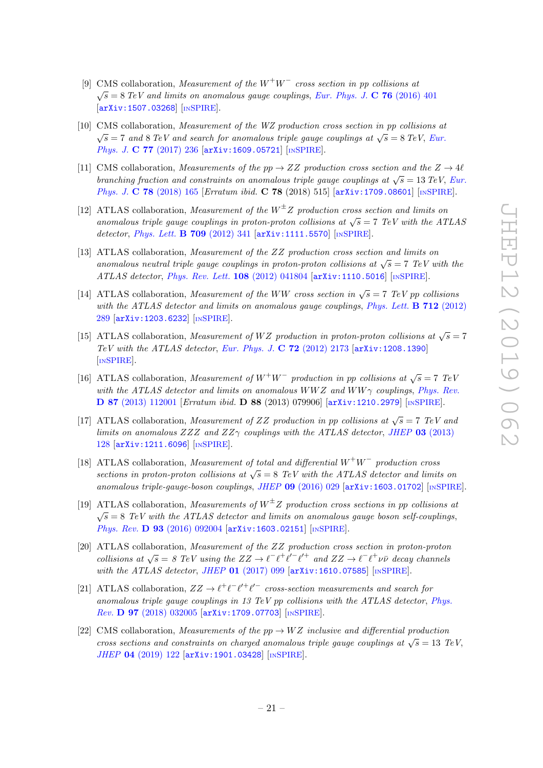- [9] CMS collaboration, Measurement of the  $W^+W^-$  cross section in pp collisions at  $\sqrt{s} = 8 \text{ TeV}$  and limits on anomalous gauge couplings, [Eur. Phys. J.](https://doi.org/10.1140/epjc/s10052-016-4219-1) C 76 (2016) 401 [[arXiv:1507.03268](https://arxiv.org/abs/1507.03268)] [IN[SPIRE](https://inspirehep.net/search?p=find+EPRINT+arXiv:1507.03268)].
- <span id="page-21-0"></span>[10] CMS collaboration, Measurement of the WZ production cross section in pp collisions at  $\sqrt{s}$  = 7 and 8 TeV and search for anomalous triple gauge couplings at  $\sqrt{s}$  = 8 TeV, [Eur.](https://doi.org/10.1140/epjc/s10052-017-4730-z) Phys. J. C 77 [\(2017\) 236](https://doi.org/10.1140/epjc/s10052-017-4730-z) [[arXiv:1609.05721](https://arxiv.org/abs/1609.05721)] [IN[SPIRE](https://inspirehep.net/search?p=find+EPRINT+arXiv:1609.05721)].
- [11] CMS collaboration, Measurements of the  $pp \rightarrow ZZ$  production cross section and the  $Z \rightarrow 4\ell$ branching fraction and constraints on anomalous triple gauge couplings at  $\sqrt{s} = 13 \text{ TeV}$ , [Eur.](https://doi.org/10.1140/epjc/s10052-018-5567-9) Phys. J. C 78 [\(2018\) 165](https://doi.org/10.1140/epjc/s10052-018-5567-9) [Erratum ibid. C 78 (2018) 515] [[arXiv:1709.08601](https://arxiv.org/abs/1709.08601)] [IN[SPIRE](https://inspirehep.net/search?p=find+EPRINT+arXiv:1709.08601)].
- [12] ATLAS collaboration, Measurement of the  $W^{\pm}Z$  production cross section and limits on anomalous triple gauge couplings in proton-proton collisions at  $\sqrt{s} = 7$  TeV with the ATLAS detector, *[Phys. Lett.](https://doi.org/10.1016/j.physletb.2012.02.053)* **B 709** (2012) 341 [[arXiv:1111.5570](https://arxiv.org/abs/1111.5570)] [IN[SPIRE](https://inspirehep.net/search?p=find+EPRINT+arXiv:1111.5570)].
- [13] ATLAS collaboration, Measurement of the ZZ production cross section and limits on anomalous neutral triple gauge couplings in proton-proton collisions at  $\sqrt{s} = 7$  TeV with the  $ATLAS$  detector, [Phys. Rev. Lett.](https://doi.org/10.1103/PhysRevLett.108.041804) 108 (2012) 041804  $[array:1110.5016]$   $[$ IN[SPIRE](https://inspirehep.net/search?p=find+EPRINT+arXiv:1110.5016)].
- [14] ATLAS collaboration, *Measurement of the WW cross section in*  $\sqrt{s} = 7$  TeV pp collisions with the ATLAS detector and limits on anomalous gauge couplings, [Phys. Lett.](https://doi.org/10.1016/j.physletb.2012.05.003)  $\bf{B}$  712 (2012) [289](https://doi.org/10.1016/j.physletb.2012.05.003) [[arXiv:1203.6232](https://arxiv.org/abs/1203.6232)] [IN[SPIRE](https://inspirehep.net/search?p=find+EPRINT+arXiv:1203.6232)].
- <span id="page-21-2"></span>[15] ATLAS collaboration, Measurement of WZ production in proton-proton collisions at  $\sqrt{s} = 7$ TeV with the ATLAS detector, [Eur. Phys. J.](https://doi.org/10.1140/epjc/s10052-012-2173-0) C  $72$  (2012) 2173 [[arXiv:1208.1390](https://arxiv.org/abs/1208.1390)] [IN[SPIRE](https://inspirehep.net/search?p=find+EPRINT+arXiv:1208.1390)].
- <span id="page-21-3"></span>[16] ATLAS collaboration, Measurement of  $W^+W^-$  production in pp collisions at  $\sqrt{s} = 7$  TeV with the ATLAS detector and limits on anomalous  $WWZ$  and  $WW\gamma$  couplings, [Phys. Rev.](https://doi.org/10.1103/PhysRevD.87.112001) D 87 [\(2013\) 112001](https://doi.org/10.1103/PhysRevD.87.112001) [Erratum ibid. D 88 (2013) 079906] [[arXiv:1210.2979](https://arxiv.org/abs/1210.2979)] [IN[SPIRE](https://inspirehep.net/search?p=find+EPRINT+arXiv:1210.2979)].
- [17] ATLAS collaboration, Measurement of ZZ production in pp collisions at  $\sqrt{s} = 7$  TeV and limits on anomalous ZZZ and  $ZZ\gamma$  couplings with the ATLAS detector, JHEP 03 [\(2013\)](https://doi.org/10.1007/JHEP03(2013)128) [128](https://doi.org/10.1007/JHEP03(2013)128) [[arXiv:1211.6096](https://arxiv.org/abs/1211.6096)] [IN[SPIRE](https://inspirehep.net/search?p=find+EPRINT+arXiv:1211.6096)].
- <span id="page-21-4"></span>[18] ATLAS collaboration, Measurement of total and differential  $W^+W^-$  production cross sections in proton-proton collisions at  $\sqrt{s} = 8$  TeV with the ATLAS detector and limits on anomalous triple-gauge-boson couplings, JHEP 09 [\(2016\) 029](https://doi.org/10.1007/JHEP09(2016)029) [[arXiv:1603.01702](https://arxiv.org/abs/1603.01702)] [IN[SPIRE](https://inspirehep.net/search?p=find+EPRINT+arXiv:1603.01702)].
- <span id="page-21-5"></span>[19] ATLAS collaboration, Measurements of  $W^{\pm}Z$  production cross sections in pp collisions at  $\sqrt{s} = 8$  TeV with the ATLAS detector and limits on anomalous gauge boson self-couplings, Phys. Rev. D 93 [\(2016\) 092004](https://doi.org/10.1103/PhysRevD.93.092004) [[arXiv:1603.02151](https://arxiv.org/abs/1603.02151)] [IN[SPIRE](https://inspirehep.net/search?p=find+EPRINT+arXiv:1603.02151)].
- [20] ATLAS collaboration, Measurement of the ZZ production cross section in proton-proton collisions at  $\sqrt{s} = 8$  TeV using the  $ZZ \to \ell^- \ell^+ \ell'^- \ell'^+$  and  $ZZ \to \ell^- \ell^+ \nu \bar{\nu}$  decay channels with the ATLAS detector, JHEP  $01$  [\(2017\) 099](https://doi.org/10.1007/JHEP01(2017)099) [[arXiv:1610.07585](https://arxiv.org/abs/1610.07585)] [IN[SPIRE](https://inspirehep.net/search?p=find+EPRINT+arXiv:1610.07585)].
- [21] ATLAS collaboration,  $ZZ \to \ell^+ \ell^- \ell^{\prime +} \ell^{\prime -}$  cross-section measurements and search for anomalous triple gauge couplings in 13 TeV pp collisions with the ATLAS detector, [Phys.](https://doi.org/10.1103/PhysRevD.97.032005) Rev. D 97 [\(2018\) 032005](https://doi.org/10.1103/PhysRevD.97.032005) [[arXiv:1709.07703](https://arxiv.org/abs/1709.07703)] [IN[SPIRE](https://inspirehep.net/search?p=find+EPRINT+arXiv:1709.07703)].
- <span id="page-21-1"></span>[22] CMS collaboration, Measurements of the  $pp \rightarrow WZ$  inclusive and differential production cross sections and constraints on charged anomalous triple gauge couplings at  $\sqrt{s} = 13$  TeV, JHEP 04 [\(2019\) 122](https://doi.org/10.1007/JHEP04(2019)122) [[arXiv:1901.03428](https://arxiv.org/abs/1901.03428)] [IN[SPIRE](https://inspirehep.net/search?p=find+EPRINT+arXiv:1901.03428)].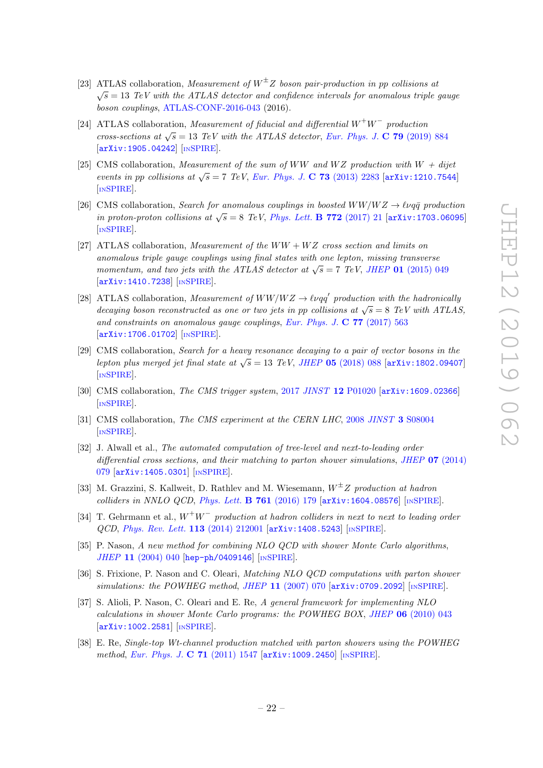- <span id="page-22-12"></span>[23] ATLAS collaboration, Measurement of  $W^{\pm}Z$  boson pair-production in pp collisions at  $\sqrt{s} = 13$  TeV with the ATLAS detector and confidence intervals for anomalous triple gauge boson couplings, [ATLAS-CONF-2016-043](http://cds.cern.ch/record/2206093) (2016).
- <span id="page-22-0"></span>[24] ATLAS collaboration, Measurement of fiducial and differential  $W^+W^-$  production cross-sections at  $\sqrt{s} = 13$  TeV with the ATLAS detector, [Eur. Phys. J.](https://doi.org/10.1140/epjc/s10052-019-7371-6) C 79 (2019) 884 [[arXiv:1905.04242](https://arxiv.org/abs/1905.04242)] [IN[SPIRE](https://inspirehep.net/search?p=find+EPRINT+arXiv:1905.04242)].
- <span id="page-22-1"></span>[25] CMS collaboration, Measurement of the sum of WW and WZ production with  $W +$  dijet events in pp collisions at  $\sqrt{s} = 7$  TeV, [Eur. Phys. J.](https://doi.org/10.1140/epjc/s10052-013-2283-3) C 73 (2013) 2283 [[arXiv:1210.7544](https://arxiv.org/abs/1210.7544)] [IN[SPIRE](https://inspirehep.net/search?p=find+EPRINT+arXiv:1210.7544)].
- <span id="page-22-11"></span>[26] CMS collaboration, Search for anomalous couplings in boosted WW/WZ  $\rightarrow \ell \nu q \bar{q}$  production in proton-proton collisions at  $\sqrt{s} = 8$  TeV, [Phys. Lett.](https://doi.org/10.1016/j.physletb.2017.06.009) **B** 772 (2017) 21 [[arXiv:1703.06095](https://arxiv.org/abs/1703.06095)] [IN[SPIRE](https://inspirehep.net/search?p=find+EPRINT+arXiv:1703.06095)].
- <span id="page-22-13"></span>[27] ATLAS collaboration, Measurement of the  $WW + WZ$  cross section and limits on anomalous triple gauge couplings using final states with one lepton, missing transverse momentum, and two jets with the ATLAS detector at  $\sqrt{s} = 7$  TeV, JHEP 01 [\(2015\) 049](https://doi.org/10.1007/JHEP01(2015)049) [[arXiv:1410.7238](https://arxiv.org/abs/1410.7238)] [IN[SPIRE](https://inspirehep.net/search?p=find+EPRINT+arXiv:1410.7238)].
- <span id="page-22-2"></span>[28] ATLAS collaboration, Measurement of  $WW/WZ \rightarrow \ell \nu qq'$  production with the hadronically decaying boson reconstructed as one or two jets in pp collisions at  $\sqrt{s} = 8$  TeV with ATLAS, and constraints on anomalous gauge couplings, [Eur. Phys. J.](https://doi.org/10.1140/epjc/s10052-017-5084-2)  $C$  77 (2017) 563 [[arXiv:1706.01702](https://arxiv.org/abs/1706.01702)] [IN[SPIRE](https://inspirehep.net/search?p=find+EPRINT+arXiv:1706.01702)].
- <span id="page-22-3"></span>[29] CMS collaboration, Search for a heavy resonance decaying to a pair of vector bosons in the lepton plus merged jet final state at  $\sqrt{s} = 13$  TeV, JHEP 05 [\(2018\) 088](https://doi.org/10.1007/JHEP05(2018)088) [[arXiv:1802.09407](https://arxiv.org/abs/1802.09407)] [IN[SPIRE](https://inspirehep.net/search?p=find+EPRINT+arXiv:1802.09407)].
- <span id="page-22-4"></span>[30] CMS collaboration, The CMS trigger system, 2017 JINST 12 [P01020](https://doi.org/10.1088/1748-0221/12/01/P01020) [[arXiv:1609.02366](https://arxiv.org/abs/1609.02366)] [IN[SPIRE](https://inspirehep.net/search?p=find+EPRINT+arXiv:1609.02366)].
- <span id="page-22-5"></span>[31] CMS collaboration, *The CMS experiment at the CERN LHC*, 2008 JINST **3** [S08004](https://doi.org/10.1088/1748-0221/3/08/S08004) [IN[SPIRE](https://inspirehep.net/search?p=find+J+%22JINST,3,S08004%22)].
- <span id="page-22-6"></span>[32] J. Alwall et al., *The automated computation of tree-level and next-to-leading order* differential cross sections, and their matching to parton shower simulations, JHEP 07 [\(2014\)](https://doi.org/10.1007/JHEP07(2014)079) [079](https://doi.org/10.1007/JHEP07(2014)079) [[arXiv:1405.0301](https://arxiv.org/abs/1405.0301)] [IN[SPIRE](https://inspirehep.net/search?p=find+EPRINT+arXiv:1405.0301)].
- <span id="page-22-7"></span>[33] M. Grazzini, S. Kallweit, D. Rathlev and M. Wiesemann,  $W^{\pm}Z$  production at hadron colliders in NNLO QCD, [Phys. Lett.](https://doi.org/10.1016/j.physletb.2016.08.017) **B 761** (2016) 179 [[arXiv:1604.08576](https://arxiv.org/abs/1604.08576)] [IN[SPIRE](https://inspirehep.net/search?p=find+EPRINT+arXiv:1604.08576)].
- <span id="page-22-8"></span>[34] T. Gehrmann et al.,  $W^+W^-$  production at hadron colliders in next to next to leading order QCD, [Phys. Rev. Lett.](https://doi.org/10.1103/PhysRevLett.113.212001) 113 (2014) 212001 [[arXiv:1408.5243](https://arxiv.org/abs/1408.5243)] [IN[SPIRE](https://inspirehep.net/search?p=find+EPRINT+arXiv:1408.5243)].
- <span id="page-22-9"></span>[35] P. Nason, A new method for combining NLO QCD with shower Monte Carlo algorithms, JHEP 11 [\(2004\) 040](https://doi.org/10.1088/1126-6708/2004/11/040) [[hep-ph/0409146](https://arxiv.org/abs/hep-ph/0409146)] [IN[SPIRE](https://inspirehep.net/search?p=find+EPRINT+hep-ph/0409146)].
- [36] S. Frixione, P. Nason and C. Oleari, Matching NLO QCD computations with parton shower simulations: the POWHEG method, JHEP 11 [\(2007\) 070](https://doi.org/10.1088/1126-6708/2007/11/070)  $\ar{x}$ v:0709.2092] [IN[SPIRE](https://inspirehep.net/search?p=find+EPRINT+arXiv:0709.2092)].
- [37] S. Alioli, P. Nason, C. Oleari and E. Re, A general framework for implementing NLO calculations in shower Monte Carlo programs: the POWHEG BOX, JHEP  $06$  [\(2010\) 043](https://doi.org/10.1007/JHEP06(2010)043) [[arXiv:1002.2581](https://arxiv.org/abs/1002.2581)] [IN[SPIRE](https://inspirehep.net/search?p=find+EPRINT+arXiv:1002.2581)].
- <span id="page-22-10"></span>[38] E. Re, Single-top Wt-channel production matched with parton showers using the POWHEG method, [Eur. Phys. J.](https://doi.org/10.1140/epjc/s10052-011-1547-z) C 71 (2011) 1547  $\left[$ [arXiv:1009.2450](https://arxiv.org/abs/1009.2450) $\right]$  [IN[SPIRE](https://inspirehep.net/search?p=find+EPRINT+arXiv:1009.2450)].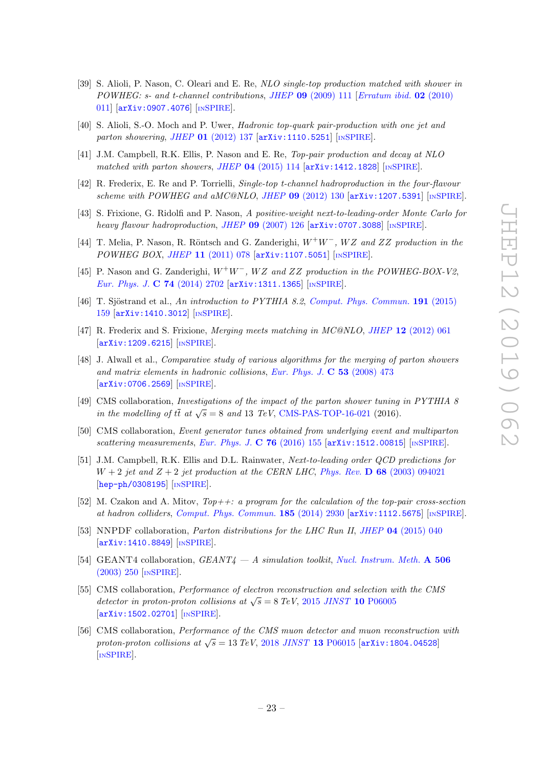- <span id="page-23-0"></span>[39] S. Alioli, P. Nason, C. Oleari and E. Re, NLO single-top production matched with shower in POWHEG: s- and t-channel contributions, JHEP 09 [\(2009\) 111](https://doi.org/10.1088/1126-6708/2009/09/111) [[Erratum ibid.](https://dx.doi.org/10.1007/JHEP02(2010)011) 02 (2010) [011\]](https://dx.doi.org/10.1007/JHEP02(2010)011) [[arXiv:0907.4076](https://arxiv.org/abs/0907.4076)] [IN[SPIRE](https://inspirehep.net/search?p=find+EPRINT+arXiv:0907.4076)].
- [40] S. Alioli, S.-O. Moch and P. Uwer, Hadronic top-quark pair-production with one jet and parton showering, JHEP  $01$  [\(2012\) 137](https://doi.org/10.1007/JHEP01(2012)137)  $\text{arXiv:1110.5251}$  $\text{arXiv:1110.5251}$  $\text{arXiv:1110.5251}$  [IN[SPIRE](https://inspirehep.net/search?p=find+EPRINT+arXiv:1110.5251)].
- [41] J.M. Campbell, R.K. Ellis, P. Nason and E. Re, Top-pair production and decay at NLO matched with parton showers, JHEP  $04$  [\(2015\) 114](https://doi.org/10.1007/JHEP04(2015)114) [[arXiv:1412.1828](https://arxiv.org/abs/1412.1828)] [IN[SPIRE](https://inspirehep.net/search?p=find+EPRINT+arXiv:1412.1828)].
- [42] R. Frederix, E. Re and P. Torrielli, Single-top t-channel hadroproduction in the four-flavour scheme with POWHEG and aMC@NLO, JHEP  $09$  [\(2012\) 130](https://doi.org/10.1007/JHEP09(2012)130) [[arXiv:1207.5391](https://arxiv.org/abs/1207.5391)] [IN[SPIRE](https://inspirehep.net/search?p=find+EPRINT+arXiv:1207.5391)].
- [43] S. Frixione, G. Ridolfi and P. Nason, A positive-weight next-to-leading-order Monte Carlo for heavy flavour hadroproduction, JHEP 09 [\(2007\) 126](https://doi.org/10.1088/1126-6708/2007/09/126)  $\left[$ [arXiv:0707.3088](https://arxiv.org/abs/0707.3088) $\right]$   $\left[$ IN[SPIRE](https://inspirehep.net/search?p=find+EPRINT+arXiv:0707.3088) $\right]$ .
- [44] T. Melia, P. Nason, R. Röntsch and G. Zanderighi,  $W^+W^-$ ,  $WZ$  and ZZ production in the POWHEG BOX, JHEP 11 [\(2011\) 078](https://doi.org/10.1007/JHEP11(2011)078) [[arXiv:1107.5051](https://arxiv.org/abs/1107.5051)] [IN[SPIRE](https://inspirehep.net/search?p=find+EPRINT+arXiv:1107.5051)].
- <span id="page-23-1"></span>[45] P. Nason and G. Zanderighi,  $W^+W^-$ ,  $WZ$  and ZZ production in the POWHEG-BOX-V2, [Eur. Phys. J.](https://doi.org/10.1140/epjc/s10052-013-2702-5) C 74 (2014) 2702 [[arXiv:1311.1365](https://arxiv.org/abs/1311.1365)] [IN[SPIRE](https://inspirehep.net/search?p=find+EPRINT+arXiv:1311.1365)].
- <span id="page-23-2"></span>[46] T. Sjöstrand et al., An introduction to PYTHIA 8.2, [Comput. Phys. Commun.](https://doi.org/10.1016/j.cpc.2015.01.024) 191 (2015) [159](https://doi.org/10.1016/j.cpc.2015.01.024) [[arXiv:1410.3012](https://arxiv.org/abs/1410.3012)] [IN[SPIRE](https://inspirehep.net/search?p=find+EPRINT+arXiv:1410.3012)].
- <span id="page-23-3"></span>[47] R. Frederix and S. Frixione, Merging meets matching in MC@NLO, JHEP 12 [\(2012\) 061](https://doi.org/10.1007/JHEP12(2012)061) [[arXiv:1209.6215](https://arxiv.org/abs/1209.6215)] [IN[SPIRE](https://inspirehep.net/search?p=find+EPRINT+arXiv:1209.6215)].
- <span id="page-23-4"></span>[48] J. Alwall et al., Comparative study of various algorithms for the merging of parton showers and matrix elements in hadronic collisions, [Eur. Phys. J.](https://doi.org/10.1140/epjc/s10052-007-0490-5) C 53 (2008) 473 [[arXiv:0706.2569](https://arxiv.org/abs/0706.2569)] [IN[SPIRE](https://inspirehep.net/search?p=find+EPRINT+arXiv:0706.2569)].
- <span id="page-23-5"></span>[49] CMS collaboration, Investigations of the impact of the parton shower tuning in PYTHIA 8 in the modelling of tt at  $\sqrt{s} = 8$  and 13 TeV, [CMS-PAS-TOP-16-021](http://cds.cern.ch/record/2235192) (2016).
- <span id="page-23-6"></span>[50] CMS collaboration, Event generator tunes obtained from underlying event and multiparton scattering measurements, [Eur. Phys. J.](https://doi.org/10.1140/epjc/s10052-016-3988-x) C  $76$  (2016) 155 [[arXiv:1512.00815](https://arxiv.org/abs/1512.00815)] [IN[SPIRE](https://inspirehep.net/search?p=find+EPRINT+arXiv:1512.00815)].
- <span id="page-23-7"></span>[51] J.M. Campbell, R.K. Ellis and D.L. Rainwater, Next-to-leading order QCD predictions for  $W + 2$  jet and  $Z + 2$  jet production at the CERN LHC, Phys. Rev. **D 68** [\(2003\) 094021](https://doi.org/10.1103/PhysRevD.68.094021) [[hep-ph/0308195](https://arxiv.org/abs/hep-ph/0308195)] [IN[SPIRE](https://inspirehep.net/search?p=find+EPRINT+hep-ph/0308195)].
- <span id="page-23-8"></span>[52] M. Czakon and A. Mitov,  $Top++: a program for the calculation of the top-pair cross-section$ at hadron colliders, [Comput. Phys. Commun.](https://doi.org/10.1016/j.cpc.2014.06.021) 185 (2014) 2930 [[arXiv:1112.5675](https://arxiv.org/abs/1112.5675)] [IN[SPIRE](https://inspirehep.net/search?p=find+EPRINT+arXiv:1112.5675)].
- <span id="page-23-9"></span>[53] NNPDF collaboration, *Parton distributions for the LHC Run II, JHEP* **04** [\(2015\) 040](https://doi.org/10.1007/JHEP04(2015)040) [[arXiv:1410.8849](https://arxiv.org/abs/1410.8849)] [IN[SPIRE](https://inspirehep.net/search?p=find+EPRINT+arXiv:1410.8849)].
- <span id="page-23-10"></span>[54] GEANT4 collaboration,  $GEANT4 - A$  simulation toolkit, [Nucl. Instrum. Meth.](https://doi.org/10.1016/S0168-9002(03)01368-8) A 506 [\(2003\) 250](https://doi.org/10.1016/S0168-9002(03)01368-8) [IN[SPIRE](https://inspirehep.net/search?p=find+J+%22Nucl.Instrum.Meth.,A506,250%22)].
- <span id="page-23-11"></span>[55] CMS collaboration, Performance of electron reconstruction and selection with the CMS  $\alpha$  detector in proton-proton collisions at  $\sqrt{s} = 8$  TeV, 2015 JINST 10 [P06005](https://doi.org/10.1088/1748-0221/10/06/P06005) [[arXiv:1502.02701](https://arxiv.org/abs/1502.02701)] [IN[SPIRE](https://inspirehep.net/search?p=find+EPRINT+arXiv:1502.02701)].
- <span id="page-23-12"></span>[56] CMS collaboration, Performance of the CMS muon detector and muon reconstruction with proton-proton collisions at  $\sqrt{s} = 13 \text{ TeV}$ , 2018 JINST 13 [P06015](https://doi.org/10.1088/1748-0221/13/06/P06015) [[arXiv:1804.04528](https://arxiv.org/abs/1804.04528)] [IN[SPIRE](https://inspirehep.net/search?p=find+EPRINT+arXiv:1804.04528)].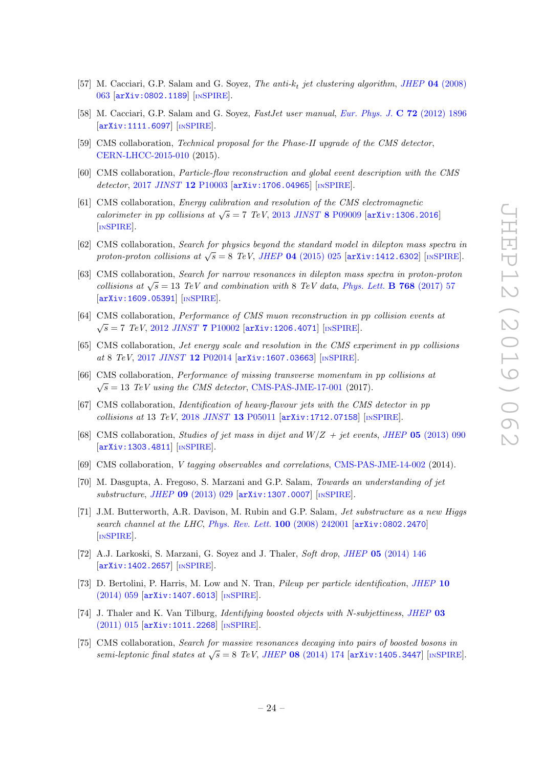- <span id="page-24-0"></span>[57] M. Cacciari, G.P. Salam and G. Soyez, *The anti-k<sub>t</sub>* jet clustering algorithm, *JHEP* **04** [\(2008\)](https://doi.org/10.1088/1126-6708/2008/04/063) [063](https://doi.org/10.1088/1126-6708/2008/04/063) [[arXiv:0802.1189](https://arxiv.org/abs/0802.1189)] [IN[SPIRE](https://inspirehep.net/search?p=find+EPRINT+arXiv:0802.1189)].
- <span id="page-24-1"></span>[58] M. Cacciari, G.P. Salam and G. Soyez, FastJet user manual, [Eur. Phys. J.](https://doi.org/10.1140/epjc/s10052-012-1896-2) C 72 (2012) 1896 [[arXiv:1111.6097](https://arxiv.org/abs/1111.6097)] [IN[SPIRE](https://inspirehep.net/search?p=find+EPRINT+arXiv:1111.6097)].
- <span id="page-24-2"></span>[59] CMS collaboration, *Technical proposal for the Phase-II upgrade of the CMS detector*, [CERN-LHCC-2015-010](http://cds.cern.ch/record/2020886) (2015).
- <span id="page-24-3"></span>[60] CMS collaboration, Particle-flow reconstruction and global event description with the CMS detector, 2017 JINST 12 [P10003](https://doi.org/10.1088/1748-0221/12/10/P10003) [[arXiv:1706.04965](https://arxiv.org/abs/1706.04965)] [IN[SPIRE](https://inspirehep.net/search?p=find+EPRINT+arXiv:1706.04965)].
- <span id="page-24-4"></span>[61] CMS collaboration, Energy calibration and resolution of the CMS electromagnetic calorimeter in pp collisions at  $\sqrt{s} = 7$  TeV, 2013 JINST 8 [P09009](https://doi.org/10.1088/1748-0221/8/09/P09009) [[arXiv:1306.2016](https://arxiv.org/abs/1306.2016)] [IN[SPIRE](https://inspirehep.net/search?p=find+EPRINT+arXiv:1306.2016)].
- <span id="page-24-5"></span>[62] CMS collaboration, Search for physics beyond the standard model in dilepton mass spectra in proton-proton collisions at  $\sqrt{s} = 8$  TeV, JHEP 04 [\(2015\) 025](https://doi.org/10.1007/JHEP04(2015)025) [[arXiv:1412.6302](https://arxiv.org/abs/1412.6302)] [IN[SPIRE](https://inspirehep.net/search?p=find+EPRINT+arXiv:1412.6302)].
- <span id="page-24-6"></span>[63] CMS collaboration, Search for narrow resonances in dilepton mass spectra in proton-proton collisions at  $\sqrt{s} = 13$  TeV and combination with 8 TeV data, [Phys. Lett.](https://doi.org/10.1016/j.physletb.2017.02.010) **B** 768 (2017) 57 [[arXiv:1609.05391](https://arxiv.org/abs/1609.05391)] [IN[SPIRE](https://inspirehep.net/search?p=find+EPRINT+arXiv:1609.05391)].
- <span id="page-24-7"></span>[64] CMS collaboration, Performance of CMS muon reconstruction in pp collision events at  $\sqrt{s}$  = 7 TeV, 2012 JINST 7 [P10002](https://doi.org/10.1088/1748-0221/7/10/P10002) [[arXiv:1206.4071](https://arxiv.org/abs/1206.4071)] [IN[SPIRE](https://inspirehep.net/search?p=find+EPRINT+arXiv:1206.4071)].
- <span id="page-24-8"></span>[65] CMS collaboration, *Jet energy scale and resolution in the CMS experiment in pp collisions* at 8 TeV, 2017 JINST 12 [P02014](https://doi.org/10.1088/1748-0221/12/02/P02014)  $arXiv:1607.03663$  [IN[SPIRE](https://inspirehep.net/search?p=find+EPRINT+arXiv:1607.03663)].
- <span id="page-24-9"></span>[66] CMS collaboration, Performance of missing transverse momentum in pp collisions at  $\sqrt{s} = 13$  TeV using the CMS detector, [CMS-PAS-JME-17-001](http://cds.cern.ch/record/2628600) (2017).
- <span id="page-24-10"></span>[67] CMS collaboration, *Identification of heavy-flavour jets with the CMS detector in pp* collisions at 13 TeV, 2018 JINST 13 [P05011](https://doi.org/10.1088/1748-0221/13/05/P05011) [[arXiv:1712.07158](https://arxiv.org/abs/1712.07158)] [IN[SPIRE](https://inspirehep.net/search?p=find+EPRINT+arXiv:1712.07158)].
- <span id="page-24-11"></span>[68] CMS collaboration, *Studies of jet mass in dijet and*  $W/Z + jet$  *events, JHEP* 05 [\(2013\) 090](https://doi.org/10.1007/JHEP05(2013)090) [[arXiv:1303.4811](https://arxiv.org/abs/1303.4811)] [IN[SPIRE](https://inspirehep.net/search?p=find+EPRINT+arXiv:1303.4811)].
- <span id="page-24-12"></span>[69] CMS collaboration, V tagging observables and correlations, [CMS-PAS-JME-14-002](http://cds.cern.ch/record/1754913) (2014).
- <span id="page-24-13"></span>[70] M. Dasgupta, A. Fregoso, S. Marzani and G.P. Salam, Towards an understanding of jet substructure, JHEP 09 [\(2013\) 029](https://doi.org/10.1007/JHEP09(2013)029) [[arXiv:1307.0007](https://arxiv.org/abs/1307.0007)] [IN[SPIRE](https://inspirehep.net/search?p=find+EPRINT+arXiv:1307.0007)].
- <span id="page-24-14"></span>[71] J.M. Butterworth, A.R. Davison, M. Rubin and G.P. Salam, Jet substructure as a new Higgs search channel at the LHC, [Phys. Rev. Lett.](https://doi.org/10.1103/PhysRevLett.100.242001) 100 (2008) 242001 [[arXiv:0802.2470](https://arxiv.org/abs/0802.2470)] [IN[SPIRE](https://inspirehep.net/search?p=find+EPRINT+arXiv:0802.2470)].
- <span id="page-24-15"></span>[72] A.J. Larkoski, S. Marzani, G. Soyez and J. Thaler, Soft drop, JHEP 05 [\(2014\) 146](https://doi.org/10.1007/JHEP05(2014)146) [[arXiv:1402.2657](https://arxiv.org/abs/1402.2657)] [IN[SPIRE](https://inspirehep.net/search?p=find+EPRINT+arXiv:1402.2657)].
- <span id="page-24-16"></span>[73] D. Bertolini, P. Harris, M. Low and N. Tran, *Pileup per particle identification*, *[JHEP](https://doi.org/10.1007/JHEP10(2014)059)* 10 [\(2014\) 059](https://doi.org/10.1007/JHEP10(2014)059) [[arXiv:1407.6013](https://arxiv.org/abs/1407.6013)] [IN[SPIRE](https://inspirehep.net/search?p=find+EPRINT+arXiv:1407.6013)].
- <span id="page-24-17"></span>[74] J. Thaler and K. Van Tilburg, *Identifying boosted objects with N-subjettiness*, *[JHEP](https://doi.org/10.1007/JHEP03(2011)015)* 03 [\(2011\) 015](https://doi.org/10.1007/JHEP03(2011)015) [[arXiv:1011.2268](https://arxiv.org/abs/1011.2268)] [IN[SPIRE](https://inspirehep.net/search?p=find+EPRINT+arXiv:1011.2268)].
- <span id="page-24-18"></span>[75] CMS collaboration, Search for massive resonances decaying into pairs of boosted bosons in  $s$ emi-leptonic final states at  $\sqrt{s} = 8$  TeV, JHEP 08 [\(2014\) 174](https://doi.org/10.1007/JHEP08(2014)174) [[arXiv:1405.3447](https://arxiv.org/abs/1405.3447)] [IN[SPIRE](https://inspirehep.net/search?p=find+EPRINT+arXiv:1405.3447)].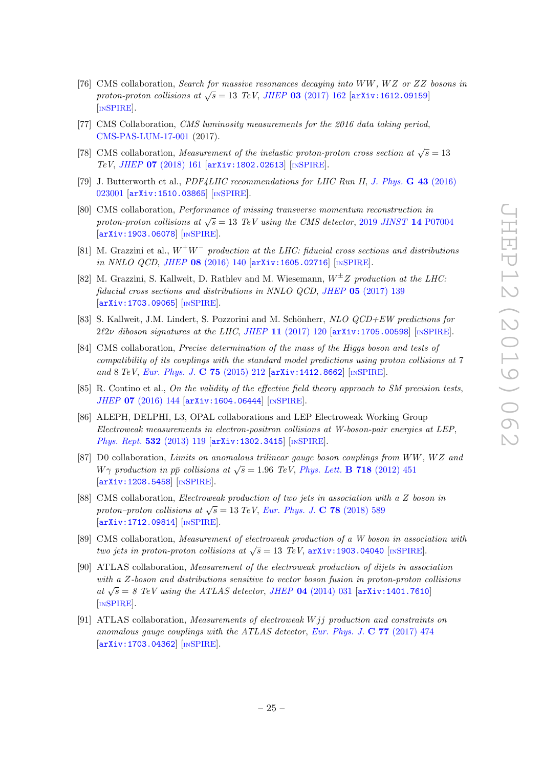- <span id="page-25-0"></span>[76] CMS collaboration, Search for massive resonances decaying into WW, WZ or ZZ bosons in proton-proton collisions at  $\sqrt{s} = 13$  TeV, JHEP 03 [\(2017\) 162](https://doi.org/10.1007/JHEP03(2017)162) [[arXiv:1612.09159](https://arxiv.org/abs/1612.09159)] [IN[SPIRE](https://inspirehep.net/search?p=find+EPRINT+arXiv:1612.09159)].
- <span id="page-25-1"></span>[77] CMS Collaboration, CMS luminosity measurements for the 2016 data taking period, [CMS-PAS-LUM-17-001](http://cds.cern.ch/record/2257069) (2017).
- <span id="page-25-2"></span>[78] CMS collaboration, *Measurement of the inelastic proton-proton cross section at*  $\sqrt{s} = 13$ TeV, JHEP 07 [\(2018\) 161](https://doi.org/10.1007/JHEP07(2018)161) [[arXiv:1802.02613](https://arxiv.org/abs/1802.02613)] [IN[SPIRE](https://inspirehep.net/search?p=find+EPRINT+arXiv:1802.02613)].
- <span id="page-25-3"></span>[79] J. Butterworth et al.,  $PDF4LHC$  recommendations for LHC Run II, [J. Phys.](https://doi.org/10.1088/0954-3899/43/2/023001) **G 43** (2016) [023001](https://doi.org/10.1088/0954-3899/43/2/023001) [[arXiv:1510.03865](https://arxiv.org/abs/1510.03865)] [IN[SPIRE](https://inspirehep.net/search?p=find+EPRINT+arXiv:1510.03865)].
- <span id="page-25-4"></span>[80] CMS collaboration, Performance of missing transverse momentum reconstruction in proton-proton collisions at  $\sqrt{s} = 13$  TeV using the CMS detector, 2019 JINST 14 [P07004](https://doi.org/10.1088/1748-0221/14/07/P07004) [[arXiv:1903.06078](https://arxiv.org/abs/1903.06078)] [IN[SPIRE](https://inspirehep.net/search?p=find+EPRINT+arXiv:1903.06078)].
- <span id="page-25-5"></span>[81] M. Grazzini et al.,  $W^+W^-$  production at the LHC: fiducial cross sections and distributions in NNLO QCD, JHEP 08 [\(2016\) 140](https://doi.org/10.1007/JHEP08(2016)140) [[arXiv:1605.02716](https://arxiv.org/abs/1605.02716)] [IN[SPIRE](https://inspirehep.net/search?p=find+EPRINT+arXiv:1605.02716)].
- <span id="page-25-6"></span>[82] M. Grazzini, S. Kallweit, D. Rathlev and M. Wiesemann,  $W^{\pm}Z$  production at the LHC: fiducial cross sections and distributions in NNLO QCD, JHEP 05 [\(2017\) 139](https://doi.org/10.1007/JHEP05(2017)139) [[arXiv:1703.09065](https://arxiv.org/abs/1703.09065)] [IN[SPIRE](https://inspirehep.net/search?p=find+EPRINT+arXiv:1703.09065)].
- <span id="page-25-7"></span>[83] S. Kallweit, J.M. Lindert, S. Pozzorini and M. Schönherr, NLO  $QCD+EW$  predictions for  $2\ell 2\nu$  diboson signatures at the LHC, JHEP 11 [\(2017\) 120](https://doi.org/10.1007/JHEP11(2017)120) [[arXiv:1705.00598](https://arxiv.org/abs/1705.00598)] [IN[SPIRE](https://inspirehep.net/search?p=find+EPRINT+arXiv:1705.00598)].
- <span id="page-25-8"></span>[84] CMS collaboration, *Precise determination of the mass of the Higgs boson and tests of* compatibility of its couplings with the standard model predictions using proton collisions at 7 and 8 TeV, [Eur. Phys. J.](https://doi.org/10.1140/epjc/s10052-015-3351-7) C 75 (2015) 212 [[arXiv:1412.8662](https://arxiv.org/abs/1412.8662)] [IN[SPIRE](https://inspirehep.net/search?p=find+EPRINT+arXiv:1412.8662)].
- <span id="page-25-9"></span>[85] R. Contino et al., On the validity of the effective field theory approach to SM precision tests, JHEP 07 [\(2016\) 144](https://doi.org/10.1007/JHEP07(2016)144) [[arXiv:1604.06444](https://arxiv.org/abs/1604.06444)] [IN[SPIRE](https://inspirehep.net/search?p=find+EPRINT+arXiv:1604.06444)].
- <span id="page-25-10"></span>[86] ALEPH, DELPHI, L3, OPAL collaborations and LEP Electroweak Working Group Electroweak measurements in electron-positron collisions at W-boson-pair energies at LEP, [Phys. Rept.](https://doi.org/10.1016/j.physrep.2013.07.004) 532 (2013) 119 [[arXiv:1302.3415](https://arxiv.org/abs/1302.3415)] [IN[SPIRE](https://inspirehep.net/search?p=find+EPRINT+arXiv:1302.3415)].
- <span id="page-25-11"></span>[87] D0 collaboration, Limits on anomalous trilinear gauge boson couplings from WW, WZ and  $W\gamma$  production in pp̄ collisions at  $\sqrt{s} = 1.96$  TeV, [Phys. Lett.](https://doi.org/10.1016/j.physletb.2012.10.062) **B** 718 (2012) 451 [[arXiv:1208.5458](https://arxiv.org/abs/1208.5458)] [IN[SPIRE](https://inspirehep.net/search?p=find+EPRINT+arXiv:1208.5458)].
- <span id="page-25-12"></span>[88] CMS collaboration, Electroweak production of two jets in association with a Z boson in proton–proton collisions at  $\sqrt{s} = 13 \text{ TeV}$ , [Eur. Phys. J.](https://doi.org/10.1140/epjc/s10052-018-6049-9) C 78 (2018) 589 [[arXiv:1712.09814](https://arxiv.org/abs/1712.09814)] [IN[SPIRE](https://inspirehep.net/search?p=find+EPRINT+arXiv:1712.09814)].
- <span id="page-25-13"></span>[89] CMS collaboration, Measurement of electroweak production of a W boson in association with two jets in proton-proton collisions at  $\sqrt{s} = 13$  TeV,  $arXiv:1903.04040$  [IN[SPIRE](https://inspirehep.net/search?p=find+EPRINT+arXiv:1903.04040)].
- <span id="page-25-14"></span>[90] ATLAS collaboration, Measurement of the electroweak production of dijets in association with a Z-boson and distributions sensitive to vector boson fusion in proton-proton collisions ata  $\sqrt{s} = 8$  TeV using the ATLAS detector, JHEP 04 [\(2014\) 031](https://doi.org/10.1007/JHEP04(2014)031) [[arXiv:1401.7610](https://arxiv.org/abs/1401.7610)] [IN[SPIRE](https://inspirehep.net/search?p=find+EPRINT+arXiv:1401.7610)].
- <span id="page-25-15"></span>[91] ATLAS collaboration, Measurements of electroweak W jj production and constraints on anomalous gauge couplings with the ATLAS detector, [Eur. Phys. J.](https://doi.org/10.1140/epjc/s10052-017-5007-2) C 77 (2017) 474 [[arXiv:1703.04362](https://arxiv.org/abs/1703.04362)] [IN[SPIRE](https://inspirehep.net/search?p=find+EPRINT+arXiv:1703.04362)].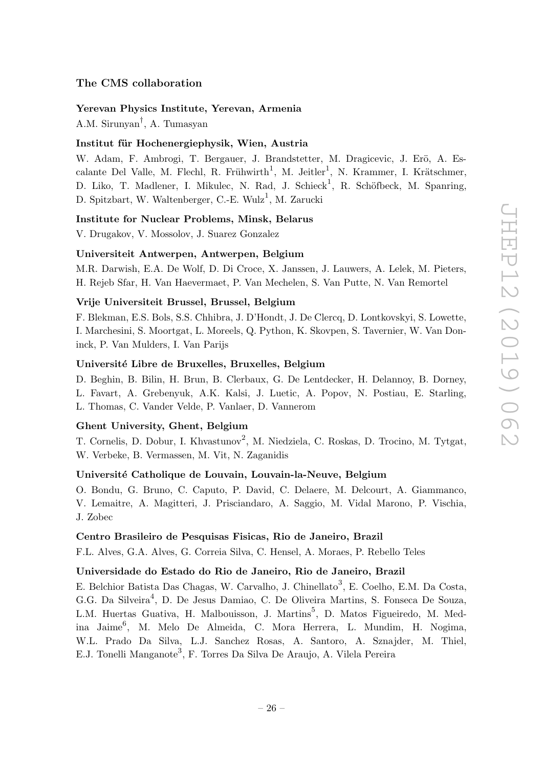## The CMS collaboration

#### <span id="page-26-0"></span>Yerevan Physics Institute, Yerevan, Armenia

A.M. Sirunyan† , A. Tumasyan

## Institut für Hochenergiephysik, Wien, Austria

W. Adam, F. Ambrogi, T. Bergauer, J. Brandstetter, M. Dragicevic, J. Erö, A. Escalante Del Valle, M. Flechl, R. Frühwirth<sup>1</sup>, M. Jeitler<sup>1</sup>, N. Krammer, I. Krätschmer, D. Liko, T. Madlener, I. Mikulec, N. Rad, J. Schieck<sup>1</sup>, R. Schöfbeck, M. Spanring, D. Spitzbart, W. Waltenberger, C.-E. Wulz<sup>1</sup>, M. Zarucki

### Institute for Nuclear Problems, Minsk, Belarus

V. Drugakov, V. Mossolov, J. Suarez Gonzalez

# Universiteit Antwerpen, Antwerpen, Belgium

M.R. Darwish, E.A. De Wolf, D. Di Croce, X. Janssen, J. Lauwers, A. Lelek, M. Pieters, H. Rejeb Sfar, H. Van Haevermaet, P. Van Mechelen, S. Van Putte, N. Van Remortel

### Vrije Universiteit Brussel, Brussel, Belgium

F. Blekman, E.S. Bols, S.S. Chhibra, J. D'Hondt, J. De Clercq, D. Lontkovskyi, S. Lowette, I. Marchesini, S. Moortgat, L. Moreels, Q. Python, K. Skovpen, S. Tavernier, W. Van Doninck, P. Van Mulders, I. Van Parijs

## Universit´e Libre de Bruxelles, Bruxelles, Belgium

D. Beghin, B. Bilin, H. Brun, B. Clerbaux, G. De Lentdecker, H. Delannoy, B. Dorney, L. Favart, A. Grebenyuk, A.K. Kalsi, J. Luetic, A. Popov, N. Postiau, E. Starling, L. Thomas, C. Vander Velde, P. Vanlaer, D. Vannerom

# Ghent University, Ghent, Belgium

T. Cornelis, D. Dobur, I. Khvastunov<sup>2</sup>, M. Niedziela, C. Roskas, D. Trocino, M. Tytgat, W. Verbeke, B. Vermassen, M. Vit, N. Zaganidis

## Université Catholique de Louvain, Louvain-la-Neuve, Belgium

O. Bondu, G. Bruno, C. Caputo, P. David, C. Delaere, M. Delcourt, A. Giammanco, V. Lemaitre, A. Magitteri, J. Prisciandaro, A. Saggio, M. Vidal Marono, P. Vischia, J. Zobec

#### Centro Brasileiro de Pesquisas Fisicas, Rio de Janeiro, Brazil

F.L. Alves, G.A. Alves, G. Correia Silva, C. Hensel, A. Moraes, P. Rebello Teles

# Universidade do Estado do Rio de Janeiro, Rio de Janeiro, Brazil

E. Belchior Batista Das Chagas, W. Carvalho, J. Chinellato<sup>3</sup>, E. Coelho, E.M. Da Costa, G.G. Da Silveira<sup>4</sup>, D. De Jesus Damiao, C. De Oliveira Martins, S. Fonseca De Souza, L.M. Huertas Guativa, H. Malbouisson, J. Martins<sup>5</sup>, D. Matos Figueiredo, M. Medina Jaime<sup>6</sup>, M. Melo De Almeida, C. Mora Herrera, L. Mundim, H. Nogima, W.L. Prado Da Silva, L.J. Sanchez Rosas, A. Santoro, A. Sznajder, M. Thiel, E.J. Tonelli Manganote<sup>3</sup>, F. Torres Da Silva De Araujo, A. Vilela Pereira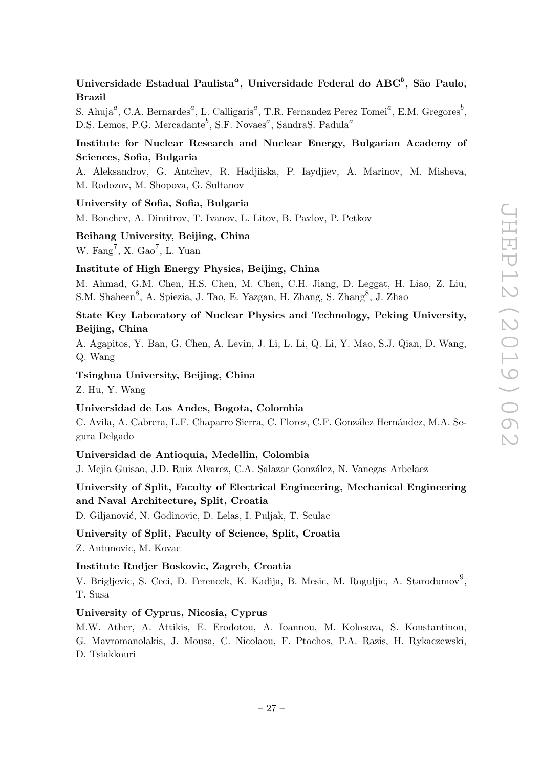# Universidade Estadual Paulista $^a,$  Universidade Federal do ABC $^b,$  São Paulo, Brazil

S. Ahuja<sup>a</sup>, C.A. Bernardes<sup>a</sup>, L. Calligaris<sup>a</sup>, T.R. Fernandez Perez Tomei<sup>a</sup>, E.M. Gregores<sup>b</sup>, D.S. Lemos, P.G. Mercadante<sup>b</sup>, S.F. Novaes<sup>a</sup>, SandraS. Padula<sup>a</sup>

# Institute for Nuclear Research and Nuclear Energy, Bulgarian Academy of Sciences, Sofia, Bulgaria

A. Aleksandrov, G. Antchev, R. Hadjiiska, P. Iaydjiev, A. Marinov, M. Misheva, M. Rodozov, M. Shopova, G. Sultanov

## University of Sofia, Sofia, Bulgaria

M. Bonchev, A. Dimitrov, T. Ivanov, L. Litov, B. Pavlov, P. Petkov

# Beihang University, Beijing, China

W.  $Fang<sup>7</sup>$ , X.  $Gao<sup>7</sup>$ , L. Yuan

## Institute of High Energy Physics, Beijing, China

M. Ahmad, G.M. Chen, H.S. Chen, M. Chen, C.H. Jiang, D. Leggat, H. Liao, Z. Liu, S.M. Shaheen<sup>8</sup>, A. Spiezia, J. Tao, E. Yazgan, H. Zhang, S. Zhang<sup>8</sup>, J. Zhao

# State Key Laboratory of Nuclear Physics and Technology, Peking University, Beijing, China

A. Agapitos, Y. Ban, G. Chen, A. Levin, J. Li, L. Li, Q. Li, Y. Mao, S.J. Qian, D. Wang, Q. Wang

Tsinghua University, Beijing, China

Z. Hu, Y. Wang

#### Universidad de Los Andes, Bogota, Colombia

C. Avila, A. Cabrera, L.F. Chaparro Sierra, C. Florez, C.F. González Hernández, M.A. Segura Delgado

# Universidad de Antioquia, Medellin, Colombia

J. Mejia Guisao, J.D. Ruiz Alvarez, C.A. Salazar González, N. Vanegas Arbelaez

# University of Split, Faculty of Electrical Engineering, Mechanical Engineering and Naval Architecture, Split, Croatia

D. Giljanović, N. Godinovic, D. Lelas, I. Puljak, T. Sculac

# University of Split, Faculty of Science, Split, Croatia

Z. Antunovic, M. Kovac

## Institute Rudjer Boskovic, Zagreb, Croatia

V. Brigljevic, S. Ceci, D. Ferencek, K. Kadija, B. Mesic, M. Roguljic, A. Starodumov<sup>9</sup>, T. Susa

## University of Cyprus, Nicosia, Cyprus

M.W. Ather, A. Attikis, E. Erodotou, A. Ioannou, M. Kolosova, S. Konstantinou, G. Mavromanolakis, J. Mousa, C. Nicolaou, F. Ptochos, P.A. Razis, H. Rykaczewski, D. Tsiakkouri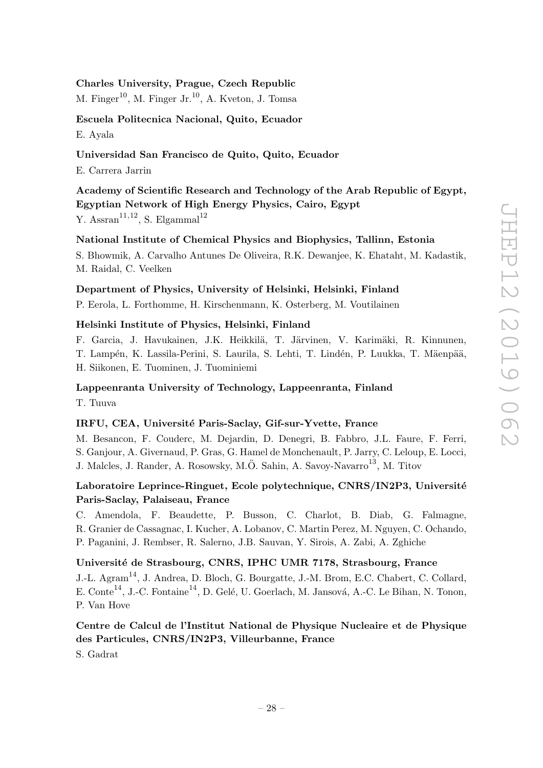## Charles University, Prague, Czech Republic

M. Finger<sup>10</sup>, M. Finger Jr.<sup>10</sup>, A. Kveton, J. Tomsa

# Escuela Politecnica Nacional, Quito, Ecuador

E. Ayala

## Universidad San Francisco de Quito, Quito, Ecuador

E. Carrera Jarrin

# Academy of Scientific Research and Technology of the Arab Republic of Egypt, Egyptian Network of High Energy Physics, Cairo, Egypt Y. Assran<sup>11,12</sup>, S. Elgammal<sup>12</sup>

## National Institute of Chemical Physics and Biophysics, Tallinn, Estonia

S. Bhowmik, A. Carvalho Antunes De Oliveira, R.K. Dewanjee, K. Ehataht, M. Kadastik, M. Raidal, C. Veelken

#### Department of Physics, University of Helsinki, Helsinki, Finland

P. Eerola, L. Forthomme, H. Kirschenmann, K. Osterberg, M. Voutilainen

# Helsinki Institute of Physics, Helsinki, Finland

F. Garcia, J. Havukainen, J.K. Heikkilä, T. Järvinen, V. Karimäki, R. Kinnunen, T. Lampén, K. Lassila-Perini, S. Laurila, S. Lehti, T. Lindén, P. Luukka, T. Mäenpää, H. Siikonen, E. Tuominen, J. Tuominiemi

Lappeenranta University of Technology, Lappeenranta, Finland

T. Tuuva

## IRFU, CEA, Université Paris-Saclay, Gif-sur-Yvette, France

M. Besancon, F. Couderc, M. Dejardin, D. Denegri, B. Fabbro, J.L. Faure, F. Ferri, S. Ganjour, A. Givernaud, P. Gras, G. Hamel de Monchenault, P. Jarry, C. Leloup, E. Locci, J. Malcles, J. Rander, A. Rosowsky, M.Ö. Sahin, A. Savov-Navarro<sup>13</sup>, M. Titov

# Laboratoire Leprince-Ringuet, Ecole polytechnique, CNRS/IN2P3, Université Paris-Saclay, Palaiseau, France

C. Amendola, F. Beaudette, P. Busson, C. Charlot, B. Diab, G. Falmagne, R. Granier de Cassagnac, I. Kucher, A. Lobanov, C. Martin Perez, M. Nguyen, C. Ochando, P. Paganini, J. Rembser, R. Salerno, J.B. Sauvan, Y. Sirois, A. Zabi, A. Zghiche

## Universit´e de Strasbourg, CNRS, IPHC UMR 7178, Strasbourg, France

J.-L. Agram14, J. Andrea, D. Bloch, G. Bourgatte, J.-M. Brom, E.C. Chabert, C. Collard, E. Conte<sup>14</sup>, J.-C. Fontaine<sup>14</sup>, D. Gelé, U. Goerlach, M. Jansová, A.-C. Le Bihan, N. Tonon, P. Van Hove

# Centre de Calcul de l'Institut National de Physique Nucleaire et de Physique des Particules, CNRS/IN2P3, Villeurbanne, France

S. Gadrat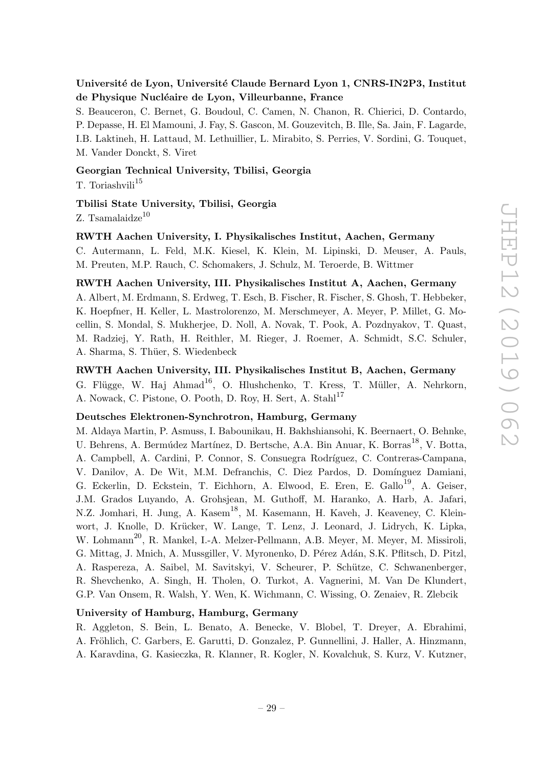# Université de Lyon, Université Claude Bernard Lyon 1, CNRS-IN2P3, Institut de Physique Nucléaire de Lyon, Villeurbanne, France

S. Beauceron, C. Bernet, G. Boudoul, C. Camen, N. Chanon, R. Chierici, D. Contardo, P. Depasse, H. El Mamouni, J. Fay, S. Gascon, M. Gouzevitch, B. Ille, Sa. Jain, F. Lagarde, I.B. Laktineh, H. Lattaud, M. Lethuillier, L. Mirabito, S. Perries, V. Sordini, G. Touquet, M. Vander Donckt, S. Viret

# Georgian Technical University, Tbilisi, Georgia

T. Toriashvili<sup>15</sup>

# Tbilisi State University, Tbilisi, Georgia

 $Z.$  Tsamalaidze<sup>10</sup>

# RWTH Aachen University, I. Physikalisches Institut, Aachen, Germany

C. Autermann, L. Feld, M.K. Kiesel, K. Klein, M. Lipinski, D. Meuser, A. Pauls, M. Preuten, M.P. Rauch, C. Schomakers, J. Schulz, M. Teroerde, B. Wittmer

# RWTH Aachen University, III. Physikalisches Institut A, Aachen, Germany

A. Albert, M. Erdmann, S. Erdweg, T. Esch, B. Fischer, R. Fischer, S. Ghosh, T. Hebbeker, K. Hoepfner, H. Keller, L. Mastrolorenzo, M. Merschmeyer, A. Meyer, P. Millet, G. Mocellin, S. Mondal, S. Mukherjee, D. Noll, A. Novak, T. Pook, A. Pozdnyakov, T. Quast, M. Radziej, Y. Rath, H. Reithler, M. Rieger, J. Roemer, A. Schmidt, S.C. Schuler, A. Sharma, S. Thüer, S. Wiedenbeck

# RWTH Aachen University, III. Physikalisches Institut B, Aachen, Germany

G. Flügge, W. Haj Ahmad<sup>16</sup>, O. Hlushchenko, T. Kress, T. Müller, A. Nehrkorn, A. Nowack, C. Pistone, O. Pooth, D. Roy, H. Sert, A. Stahl<sup>17</sup>

### Deutsches Elektronen-Synchrotron, Hamburg, Germany

M. Aldaya Martin, P. Asmuss, I. Babounikau, H. Bakhshiansohi, K. Beernaert, O. Behnke, U. Behrens, A. Bermúdez Martínez, D. Bertsche, A.A. Bin Anuar, K. Borras<sup>18</sup>, V. Botta, A. Campbell, A. Cardini, P. Connor, S. Consuegra Rodríguez, C. Contreras-Campana, V. Danilov, A. De Wit, M.M. Defranchis, C. Diez Pardos, D. Domínguez Damiani, G. Eckerlin, D. Eckstein, T. Eichhorn, A. Elwood, E. Eren, E. Gallo<sup>19</sup>, A. Geiser, J.M. Grados Luyando, A. Grohsjean, M. Guthoff, M. Haranko, A. Harb, A. Jafari, N.Z. Jomhari, H. Jung, A. Kasem<sup>18</sup>, M. Kasemann, H. Kaveh, J. Keaveney, C. Kleinwort, J. Knolle, D. Krücker, W. Lange, T. Lenz, J. Leonard, J. Lidrych, K. Lipka, W. Lohmann<sup>20</sup>, R. Mankel, I.-A. Melzer-Pellmann, A.B. Meyer, M. Meyer, M. Missiroli, G. Mittag, J. Mnich, A. Mussgiller, V. Myronenko, D. Pérez Adán, S.K. Pflitsch, D. Pitzl, A. Raspereza, A. Saibel, M. Savitskyi, V. Scheurer, P. Schütze, C. Schwanenberger, R. Shevchenko, A. Singh, H. Tholen, O. Turkot, A. Vagnerini, M. Van De Klundert, G.P. Van Onsem, R. Walsh, Y. Wen, K. Wichmann, C. Wissing, O. Zenaiev, R. Zlebcik

## University of Hamburg, Hamburg, Germany

R. Aggleton, S. Bein, L. Benato, A. Benecke, V. Blobel, T. Dreyer, A. Ebrahimi, A. Fröhlich, C. Garbers, E. Garutti, D. Gonzalez, P. Gunnellini, J. Haller, A. Hinzmann, A. Karavdina, G. Kasieczka, R. Klanner, R. Kogler, N. Kovalchuk, S. Kurz, V. Kutzner,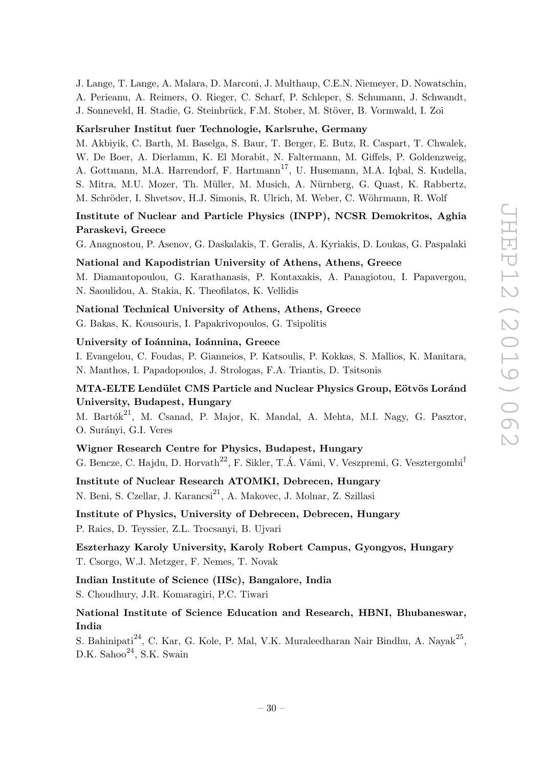J. Lange, T. Lange, A. Malara, D. Marconi, J. Multhaup, C.E.N. Niemeyer, D. Nowatschin, A. Perieanu, A. Reimers, O. Rieger, C. Scharf, P. Schleper, S. Schumann, J. Schwandt, J. Sonneveld, H. Stadie, G. Steinbrück, F.M. Stober, M. Stöver, B. Vormwald, I. Zoi

#### Karlsruher Institut fuer Technologie, Karlsruhe, Germany

M. Akbiyik, C. Barth, M. Baselga, S. Baur, T. Berger, E. Butz, R. Caspart, T. Chwalek, W. De Boer, A. Dierlamm, K. El Morabit, N. Faltermann, M. Giffels, P. Goldenzweig, A. Gottmann, M.A. Harrendorf, F. Hartmann<sup>17</sup>, U. Husemann, M.A. Iqbal, S. Kudella, S. Mitra, M.U. Mozer, Th. Müller, M. Musich, A. Nürnberg, G. Quast, K. Rabbertz, M. Schröder, I. Shvetsov, H.J. Simonis, R. Ulrich, M. Weber, C. Wöhrmann, R. Wolf

# Institute of Nuclear and Particle Physics (INPP), NCSR Demokritos, Aghia Paraskevi, Greece

G. Anagnostou, P. Asenov, G. Daskalakis, T. Geralis, A. Kyriakis, D. Loukas, G. Paspalaki

#### National and Kapodistrian University of Athens, Athens, Greece

M. Diamantopoulou, G. Karathanasis, P. Kontaxakis, A. Panagiotou, I. Papavergou, N. Saoulidou, A. Stakia, K. Theofilatos, K. Vellidis

#### National Technical University of Athens, Athens, Greece

G. Bakas, K. Kousouris, I. Papakrivopoulos, G. Tsipolitis

#### University of Ioánnina, Ioánnina, Greece

I. Evangelou, C. Foudas, P. Gianneios, P. Katsoulis, P. Kokkas, S. Mallios, K. Manitara, N. Manthos, I. Papadopoulos, J. Strologas, F.A. Triantis, D. Tsitsonis

# MTA-ELTE Lendület CMS Particle and Nuclear Physics Group, Eötvös Loránd University, Budapest, Hungary

M. Bartók<sup>21</sup>, M. Csanad, P. Major, K. Mandal, A. Mehta, M.I. Nagy, G. Pasztor, O. Surányi, G.I. Veres

# Wigner Research Centre for Physics, Budapest, Hungary

G. Bencze, C. Hajdu, D. Horvath<sup>22</sup>, F. Sikler, T.Á. Vámi, V. Veszpremi, G. Vesztergombi<sup>†</sup>

# Institute of Nuclear Research ATOMKI, Debrecen, Hungary N. Beni, S. Czellar, J. Karancsi<sup>21</sup>, A. Makovec, J. Molnar, Z. Szillasi

Institute of Physics, University of Debrecen, Debrecen, Hungary P. Raics, D. Teyssier, Z.L. Trocsanyi, B. Ujvari

Eszterhazy Karoly University, Karoly Robert Campus, Gyongyos, Hungary T. Csorgo, W.J. Metzger, F. Nemes, T. Novak

Indian Institute of Science (IISc), Bangalore, India

S. Choudhury, J.R. Komaragiri, P.C. Tiwari

# National Institute of Science Education and Research, HBNI, Bhubaneswar, India

S. Bahinipati<sup>24</sup>, C. Kar, G. Kole, P. Mal, V.K. Muraleedharan Nair Bindhu, A. Nayak<sup>25</sup>, D.K. Sahoo $^{24}$ , S.K. Swain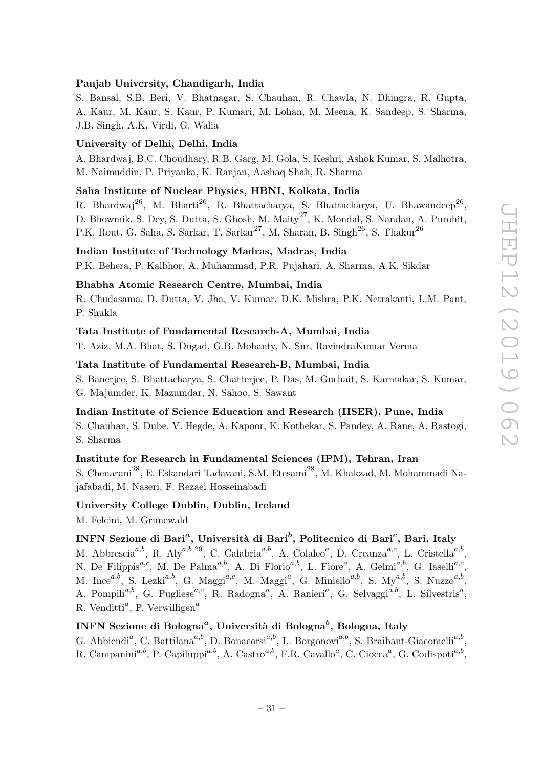# Panjab University, Chandigarh, India

S. Bansal, S.B. Beri, V. Bhatnagar, S. Chauhan, R. Chawla, N. Dhingra, R. Gupta, A. Kaur, M. Kaur, S. Kaur, P. Kumari, M. Lohan, M. Meena, K. Sandeep, S. Sharma, J.B. Singh, A.K. Virdi, G. Walia

## University of Delhi, Delhi, India

A. Bhardwaj, B.C. Choudhary, R.B. Garg, M. Gola, S. Keshri, Ashok Kumar, S. Malhotra, M. Naimuddin, P. Priyanka, K. Ranjan, Aashaq Shah, R. Sharma

## Saha Institute of Nuclear Physics, HBNI, Kolkata, India

R. Bhardwaj<sup>26</sup>, M. Bharti<sup>26</sup>, R. Bhattacharya, S. Bhattacharya, U. Bhawandeep<sup>26</sup>, D. Bhowmik, S. Dey, S. Dutta, S. Ghosh, M. Maity27, K. Mondal, S. Nandan, A. Purohit, P.K. Rout, G. Saha, S. Sarkar, T. Sarkar<sup>27</sup>, M. Sharan, B. Singh<sup>26</sup>, S. Thakur<sup>26</sup>

#### Indian Institute of Technology Madras, Madras, India

P.K. Behera, P. Kalbhor, A. Muhammad, P.R. Pujahari, A. Sharma, A.K. Sikdar

## Bhabha Atomic Research Centre, Mumbai, India

R. Chudasama, D. Dutta, V. Jha, V. Kumar, D.K. Mishra, P.K. Netrakanti, L.M. Pant, P. Shukla

#### Tata Institute of Fundamental Research-A, Mumbai, India

T. Aziz, M.A. Bhat, S. Dugad, G.B. Mohanty, N. Sur, RavindraKumar Verma

#### Tata Institute of Fundamental Research-B, Mumbai, India

S. Banerjee, S. Bhattacharya, S. Chatterjee, P. Das, M. Guchait, S. Karmakar, S. Kumar, G. Majumder, K. Mazumdar, N. Sahoo, S. Sawant

#### Indian Institute of Science Education and Research (IISER), Pune, India

S. Chauhan, S. Dube, V. Hegde, A. Kapoor, K. Kothekar, S. Pandey, A. Rane, A. Rastogi, S. Sharma

## Institute for Research in Fundamental Sciences (IPM), Tehran, Iran

S. Chenarani28, E. Eskandari Tadavani, S.M. Etesami28, M. Khakzad, M. Mohammadi Najafabadi, M. Naseri, F. Rezaei Hosseinabadi

## University College Dublin, Dublin, Ireland

M. Felcini, M. Grunewald

# INFN Sezione di Bari $^a$ , Università di Bari $^b$ , Politecnico di Bari $^c$ , Bari, Italy

M. Abbrescia<sup>a,b</sup>, R. Aly<sup>a,b,29</sup>, C. Calabria<sup>a,b</sup>, A. Colaleo<sup>a</sup>, D. Creanza<sup>a,c</sup>, L. Cristella<sup>a,b</sup>, N. De Filippis<sup>a,c</sup>, M. De Palma<sup>a,b</sup>, A. Di Florio<sup>a,b</sup>, L. Fiore<sup>a</sup>, A. Gelmi<sup>a,b</sup>, G. Iaselli<sup>a,c</sup>, M. Ince<sup>a,b</sup>, S. Lezki<sup>a,b</sup>, G. Maggi<sup>a,c</sup>, M. Maggi<sup>a</sup>, G. Miniello<sup>a,b</sup>, S. My<sup>a,b</sup>, S. Nuzzo<sup>a,b</sup>, A. Pompili<sup>a,b</sup>, G. Pugliese<sup>a,c</sup>, R. Radogna<sup>a</sup>, A. Ranieri<sup>a</sup>, G. Selvaggi<sup>a,b</sup>, L. Silvestris<sup>a</sup>, R. Venditti<sup>a</sup>, P. Verwilligen<sup>a</sup>

# INFN Sezione di Bologna $^a,$  Università di Bologna $^b,$  Bologna, Italy

G. Abbiendi<sup>a</sup>, C. Battilana<sup>a,b</sup>, D. Bonacorsi<sup>a,b</sup>, L. Borgonovi<sup>a,b</sup>, S. Braibant-Giacomelli<sup>a,b</sup>, R. Campanini<sup>a,b</sup>, P. Capiluppi<sup>a,b</sup>, A. Castro<sup>a,b</sup>, F.R. Cavallo<sup>a</sup>, C. Ciocca<sup>a</sup>, G. Codispoti<sup>a,b</sup>,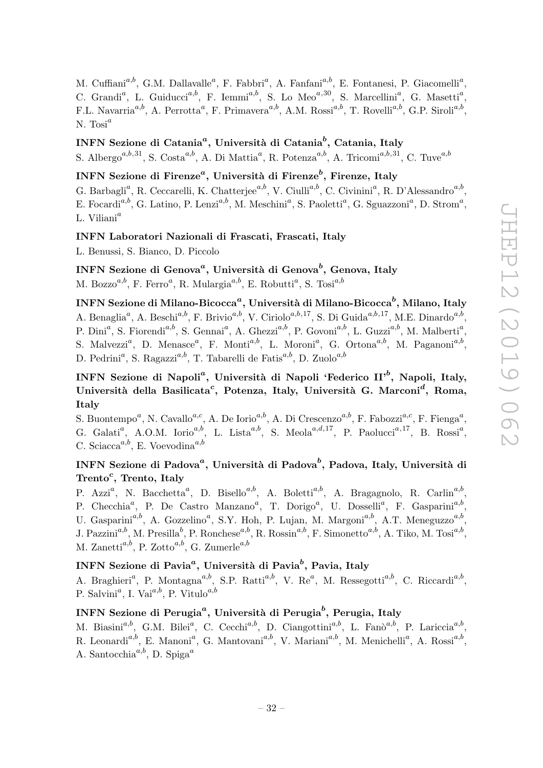M. Cuffiani<sup>a,b</sup>, G.M. Dallavalle<sup>a</sup>, F. Fabbri<sup>a</sup>, A. Fanfani<sup>a,b</sup>, E. Fontanesi, P. Giacomelli<sup>a</sup>, C. Grandi<sup>a</sup>, L. Guiducci<sup>a,b</sup>, F. Iemmi<sup>a,b</sup>, S. Lo Meo<sup>a,30</sup>, S. Marcellini<sup>a</sup>, G. Masetti<sup>a</sup>, F.L. Navarria<sup>a,b</sup>, A. Perrotta<sup>a</sup>, F. Primavera<sup>a,b</sup>, A.M. Rossi<sup>a,b</sup>, T. Rovelli<sup>a,b</sup>, G.P. Siroli<sup>a,b</sup>, N. Tosi $^a$ 

INFN Sezione di Catania $^a,$  Università di Catania $^b,$  Catania, Italy

S. Albergo<sup>a,b,31</sup>, S. Costa<sup>a,b</sup>, A. Di Mattia<sup>a</sup>, R. Potenza<sup>a,b</sup>, A. Tricomi<sup>a,b,31</sup>, C. Tuve<sup>a,b</sup>

# INFN Sezione di Firenze $^a,$  Università di Firenze $^b,$  Firenze, Italy

G. Barbagli<sup>a</sup>, R. Ceccarelli, K. Chatterjee<sup>a,b</sup>, V. Ciulli<sup>a,b</sup>, C. Civinini<sup>a</sup>, R. D'Alessandro<sup>a,b</sup>, E. Focardi<sup>a,b</sup>, G. Latino, P. Lenzi<sup>a,b</sup>, M. Meschini<sup>a</sup>, S. Paoletti<sup>a</sup>, G. Sguazzoni<sup>a</sup>, D. Strom<sup>a</sup>, L. Viliani $^a$ 

# INFN Laboratori Nazionali di Frascati, Frascati, Italy

L. Benussi, S. Bianco, D. Piccolo

INFN Sezione di Genova $^a,$  Università di Genova $^b,$  Genova, Italy M. Bozzo<sup>a,b</sup>, F. Ferro<sup>a</sup>, R. Mulargia<sup>a,b</sup>, E. Robutti<sup>a</sup>, S. Tosi<sup>a,b</sup>

INFN Sezione di Milano-Bicocca $^a,$  Università di Milano-Bicocca $^b,$  Milano, Italy A. Benaglia<sup>a</sup>, A. Beschi<sup>a,b</sup>, F. Brivio<sup>a,b</sup>, V. Ciriolo<sup>a,b,17</sup>, S. Di Guida<sup>a,b,17</sup>, M.E. Dinardo<sup>a,b</sup>, P. Dini<sup>a</sup>, S. Fiorendi<sup>a,b</sup>, S. Gennai<sup>a</sup>, A. Ghezzi<sup>a,b</sup>, P. Govoni<sup>a,b</sup>, L. Guzzi<sup>a,b</sup>, M. Malberti<sup>a</sup>, S. Malvezzi<sup>a</sup>, D. Menasce<sup>a</sup>, F. Monti<sup>a,b</sup>, L. Moroni<sup>a</sup>, G. Ortona<sup>a,b</sup>, M. Paganoni<sup>a,b</sup>,

D. Pedrini<sup>a</sup>, S. Ragazzi<sup>a,b</sup>, T. Tabarelli de Fatis<sup>a,b</sup>, D. Zuolo<sup>a,b</sup>

# INFN Sezione di Napoli $^a$ , Università di Napoli 'Federico II' $^b$ , Napoli, Italy, Università della Basilicata $^c$ , Potenza, Italy, Università G. Marconi $^d$ , Roma, Italy

S. Buontempo<sup>a</sup>, N. Cavallo<sup>a,c</sup>, A. De Iorio<sup>a,b</sup>, A. Di Crescenzo<sup>a,b</sup>, F. Fabozzi<sup>a,c</sup>, F. Fienga<sup>a</sup>, G. Galati<sup>a</sup>, A.O.M. Iorio<sup>a,b</sup>, L. Lista<sup>a,b</sup>, S. Meola<sup>a,d,17</sup>, P. Paolucci<sup>a,17</sup>, B. Rossi<sup>a</sup>, C. Sciacca<sup>a,b</sup>, E. Voevodina<sup>a,b</sup>

# INFN Sezione di Padova $^a,$  Università di Padova $^b,$  Padova, Italy, Università di  $\operatorname{Trento}^c, \operatorname{Trento}, \operatorname{Italy}$

P. Azzi<sup>a</sup>, N. Bacchetta<sup>a</sup>, D. Bisello<sup>a,b</sup>, A. Boletti<sup>a,b</sup>, A. Bragagnolo, R. Carlin<sup>a,b</sup>, P. Checchia<sup>a</sup>, P. De Castro Manzano<sup>a</sup>, T. Dorigo<sup>a</sup>, U. Dosselli<sup>a</sup>, F. Gasparini<sup>a,b</sup>, U. Gasparini<sup>a,b</sup>, A. Gozzelino<sup>a</sup>, S.Y. Hoh, P. Lujan, M. Margoni<sup>a,b</sup>, A.T. Meneguzzo<sup>a,b</sup>, J. Pazzini<sup>a,b</sup>, M. Presilla<sup>b</sup>, P. Ronchese<sup>a,b</sup>, R. Rossin<sup>a,b</sup>, F. Simonetto<sup>a,b</sup>, A. Tiko, M. Tosi<sup>a,b</sup>, M. Zanetti $a,b}$ , P. Zotto $a,b}$ , G. Zumerle $a,b}$ 

# INFN Sezione di Pavia $^a,$  Università di Pavia $^b,$  Pavia, Italy

A. Braghieri<sup>a</sup>, P. Montagna<sup>a,b</sup>, S.P. Ratti<sup>a,b</sup>, V. Re<sup>a</sup>, M. Ressegotti<sup>a,b</sup>, C. Riccardi<sup>a,b</sup>, P. Salvini<sup>a</sup>, I. Vai<sup> $a,b$ </sup>, P. Vitulo $a,b$ 

# INFN Sezione di Perugia $^a,$  Università di Perugia $^b,$  Perugia, Italy

M. Biasini<sup>a,b</sup>, G.M. Bilei<sup>a</sup>, C. Cecchi<sup>a,b</sup>, D. Ciangottini<sup>a,b</sup>, L. Fanò<sup>a,b</sup>, P. Lariccia<sup>a,b</sup>, R. Leonardi<sup>a,b</sup>, E. Manoni<sup>a</sup>, G. Mantovani<sup>a,b</sup>, V. Mariani<sup>a,b</sup>, M. Menichelli<sup>a</sup>, A. Rossi<sup>a,b</sup>, A. Santocchia<sup>a,b</sup>, D. Spiga<sup>a</sup>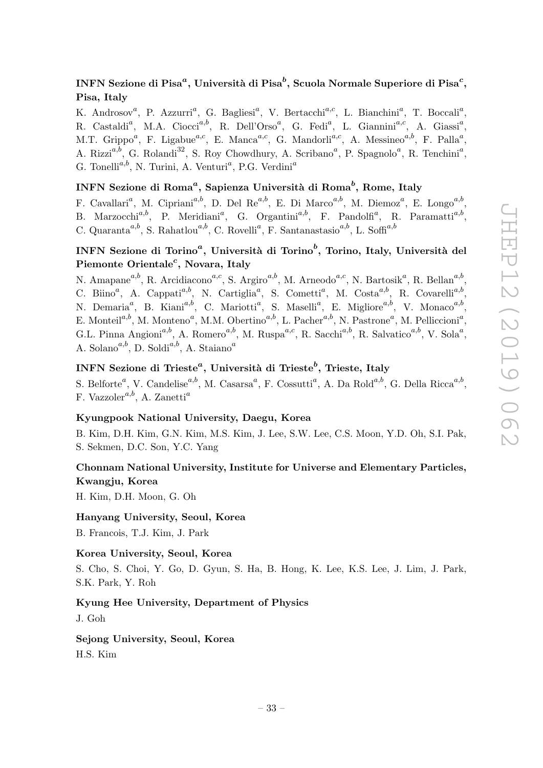# INFN Sezione di Pisa $^a,$  Università di Pisa $^b,$  Scuola Normale Superiore di Pisa $^c,$ Pisa, Italy

K. Androsov<sup>a</sup>, P. Azzurri<sup>a</sup>, G. Bagliesi<sup>a</sup>, V. Bertacchi<sup>a,c</sup>, L. Bianchini<sup>a</sup>, T. Boccali<sup>a</sup>, R. Castaldi<sup>a</sup>, M.A. Ciocci<sup>a,b</sup>, R. Dell'Orso<sup>a</sup>, G. Fedi<sup>a</sup>, L. Giannini<sup>a,c</sup>, A. Giassi<sup>a</sup>, M.T. Grippo<sup>a</sup>, F. Ligabue<sup>a,c</sup>, E. Manca<sup>a,c</sup>, G. Mandorli<sup>a,c</sup>, A. Messineo<sup>a,b</sup>, F. Palla<sup>a</sup>, A. Rizzi<sup>a,b</sup>, G. Rolandi<sup>32</sup>, S. Roy Chowdhury, A. Scribano<sup>a</sup>, P. Spagnolo<sup>a</sup>, R. Tenchini<sup>a</sup>, G. Tonelli<sup> $a,b$ </sup>, N. Turini, A. Venturi<sup>a</sup>, P.G. Verdini<sup>a</sup>

# INFN Sezione di Roma $^a,$  Sapienza Università di Roma $^b,$  Rome, Italy

F. Cavallari<sup>a</sup>, M. Cipriani<sup>a,b</sup>, D. Del Re<sup>a,b</sup>, E. Di Marco<sup>a,b</sup>, M. Diemoz<sup>a</sup>, E. Longo<sup>a,b</sup>, B. Marzocchi<sup>a,b</sup>, P. Meridiani<sup>a</sup>, G. Organtini<sup>a,b</sup>, F. Pandolfi<sup>a</sup>, R. Paramatti<sup>a,b</sup>, C. Quaranta $a,b$ , S. Rahatlou $a,b$ , C. Rovelli $^a$ , F. Santanastasio $a,b$ , L. Soffi $a,b$ 

# INFN Sezione di Torino $^a,$  Università di Torino $^b,$  Torino, Italy, Università del Piemonte Orientale $^c$ , Novara, Italy

N. Amapane<sup>a,b</sup>, R. Arcidiacono<sup>a,c</sup>, S. Argiro<sup>a,b</sup>, M. Arneodo<sup>a,c</sup>, N. Bartosik<sup>a</sup>, R. Bellan<sup>a,b</sup>, C. Biino<sup>a</sup>, A. Cappati<sup>a,b</sup>, N. Cartiglia<sup>a</sup>, S. Cometti<sup>a</sup>, M. Costa<sup>a,b</sup>, R. Covarelli<sup>a,b</sup>, N. Demaria<sup>a</sup>, B. Kiani<sup>a,b</sup>, C. Mariotti<sup>a</sup>, S. Maselli<sup>a</sup>, E. Migliore<sup>a,b</sup>, V. Monaco<sup>a,b</sup>, E. Monteil<sup>a,b</sup>, M. Monteno<sup>a</sup>, M.M. Obertino<sup>a,b</sup>, L. Pacher<sup>a,b</sup>, N. Pastrone<sup>a</sup>, M. Pelliccioni<sup>a</sup>, G.L. Pinna Angioni<sup>a,b</sup>, A. Romero<sup>a,b</sup>, M. Ruspa<sup>a,c</sup>, R. Sacchi<sup>a,b</sup>, R. Salvatico<sup>a,b</sup>, V. Sola<sup>a</sup>, A. Solano<sup>a,b</sup>, D. Soldi<sup>a,b</sup>, A. Staiano<sup>a</sup>

# INFN Sezione di Trieste $^a,$  Università di Trieste $^b,$  Trieste, Italy

S. Belforte<sup>a</sup>, V. Candelise<sup>a,b</sup>, M. Casarsa<sup>a</sup>, F. Cossutti<sup>a</sup>, A. Da Rold<sup>a,b</sup>, G. Della Ricca<sup>a,b</sup>, F. Vazzoler<sup>a,b</sup>, A. Zanetti<sup>a</sup>

## Kyungpook National University, Daegu, Korea

B. Kim, D.H. Kim, G.N. Kim, M.S. Kim, J. Lee, S.W. Lee, C.S. Moon, Y.D. Oh, S.I. Pak, S. Sekmen, D.C. Son, Y.C. Yang

# Chonnam National University, Institute for Universe and Elementary Particles, Kwangju, Korea

H. Kim, D.H. Moon, G. Oh

# Hanyang University, Seoul, Korea

B. Francois, T.J. Kim, J. Park

# Korea University, Seoul, Korea

S. Cho, S. Choi, Y. Go, D. Gyun, S. Ha, B. Hong, K. Lee, K.S. Lee, J. Lim, J. Park, S.K. Park, Y. Roh

# Kyung Hee University, Department of Physics

J. Goh

Sejong University, Seoul, Korea H.S. Kim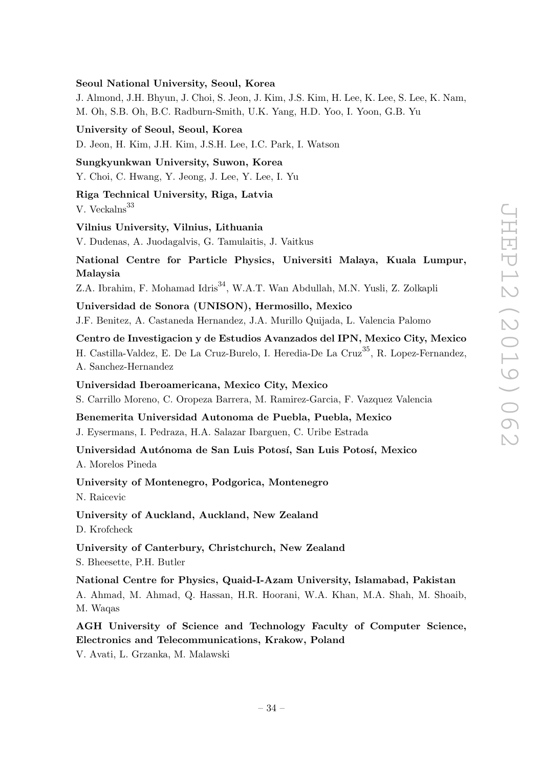### Seoul National University, Seoul, Korea

J. Almond, J.H. Bhyun, J. Choi, S. Jeon, J. Kim, J.S. Kim, H. Lee, K. Lee, S. Lee, K. Nam, M. Oh, S.B. Oh, B.C. Radburn-Smith, U.K. Yang, H.D. Yoo, I. Yoon, G.B. Yu

#### University of Seoul, Seoul, Korea

D. Jeon, H. Kim, J.H. Kim, J.S.H. Lee, I.C. Park, I. Watson

#### Sungkyunkwan University, Suwon, Korea

Y. Choi, C. Hwang, Y. Jeong, J. Lee, Y. Lee, I. Yu

Riga Technical University, Riga, Latvia V. Veckalns<sup>33</sup>

#### Vilnius University, Vilnius, Lithuania

V. Dudenas, A. Juodagalvis, G. Tamulaitis, J. Vaitkus

# National Centre for Particle Physics, Universiti Malaya, Kuala Lumpur, Malaysia

Z.A. Ibrahim, F. Mohamad Idris<sup>34</sup>, W.A.T. Wan Abdullah, M.N. Yusli, Z. Zolkapli

Universidad de Sonora (UNISON), Hermosillo, Mexico

J.F. Benitez, A. Castaneda Hernandez, J.A. Murillo Quijada, L. Valencia Palomo

Centro de Investigacion y de Estudios Avanzados del IPN, Mexico City, Mexico

H. Castilla-Valdez, E. De La Cruz-Burelo, I. Heredia-De La Cruz<sup>35</sup>, R. Lopez-Fernandez, A. Sanchez-Hernandez

#### Universidad Iberoamericana, Mexico City, Mexico

S. Carrillo Moreno, C. Oropeza Barrera, M. Ramirez-Garcia, F. Vazquez Valencia

# Benemerita Universidad Autonoma de Puebla, Puebla, Mexico

J. Eysermans, I. Pedraza, H.A. Salazar Ibarguen, C. Uribe Estrada

## Universidad Autónoma de San Luis Potosí, San Luis Potosí, Mexico

A. Morelos Pineda

#### University of Montenegro, Podgorica, Montenegro

N. Raicevic

University of Auckland, Auckland, New Zealand

D. Krofcheck

# University of Canterbury, Christchurch, New Zealand

S. Bheesette, P.H. Butler

#### National Centre for Physics, Quaid-I-Azam University, Islamabad, Pakistan

A. Ahmad, M. Ahmad, Q. Hassan, H.R. Hoorani, W.A. Khan, M.A. Shah, M. Shoaib, M. Waqas

# AGH University of Science and Technology Faculty of Computer Science, Electronics and Telecommunications, Krakow, Poland

V. Avati, L. Grzanka, M. Malawski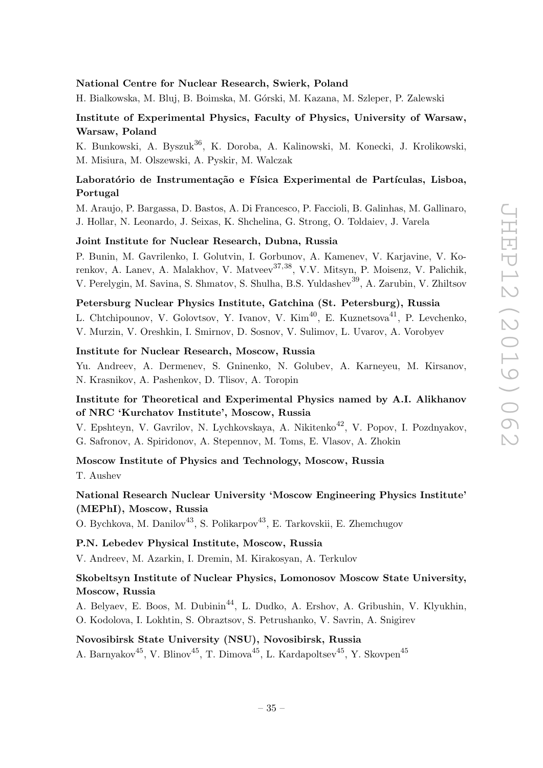#### National Centre for Nuclear Research, Swierk, Poland

H. Bialkowska, M. Bluj, B. Boimska, M. G´orski, M. Kazana, M. Szleper, P. Zalewski

# Institute of Experimental Physics, Faculty of Physics, University of Warsaw, Warsaw, Poland

K. Bunkowski, A. Byszuk<sup>36</sup>, K. Doroba, A. Kalinowski, M. Konecki, J. Krolikowski, M. Misiura, M. Olszewski, A. Pyskir, M. Walczak

# Laboratório de Instrumentação e Física Experimental de Partículas, Lisboa, Portugal

M. Araujo, P. Bargassa, D. Bastos, A. Di Francesco, P. Faccioli, B. Galinhas, M. Gallinaro, J. Hollar, N. Leonardo, J. Seixas, K. Shchelina, G. Strong, O. Toldaiev, J. Varela

#### Joint Institute for Nuclear Research, Dubna, Russia

P. Bunin, M. Gavrilenko, I. Golutvin, I. Gorbunov, A. Kamenev, V. Karjavine, V. Korenkov, A. Lanev, A. Malakhov, V. Matveev<sup>37,38</sup>, V.V. Mitsyn, P. Moisenz, V. Palichik, V. Perelygin, M. Savina, S. Shmatov, S. Shulha, B.S. Yuldashev<sup>39</sup>, A. Zarubin, V. Zhiltsov

# Petersburg Nuclear Physics Institute, Gatchina (St. Petersburg), Russia

L. Chtchipounov, V. Golovtsov, Y. Ivanov, V. Kim<sup>40</sup>, E. Kuznetsova<sup>41</sup>, P. Levchenko, V. Murzin, V. Oreshkin, I. Smirnov, D. Sosnov, V. Sulimov, L. Uvarov, A. Vorobyev

#### Institute for Nuclear Research, Moscow, Russia

Yu. Andreev, A. Dermenev, S. Gninenko, N. Golubev, A. Karneyeu, M. Kirsanov, N. Krasnikov, A. Pashenkov, D. Tlisov, A. Toropin

# Institute for Theoretical and Experimental Physics named by A.I. Alikhanov of NRC 'Kurchatov Institute', Moscow, Russia

V. Epshteyn, V. Gavrilov, N. Lychkovskaya, A. Nikitenko<sup>42</sup>, V. Popov, I. Pozdnyakov, G. Safronov, A. Spiridonov, A. Stepennov, M. Toms, E. Vlasov, A. Zhokin

#### Moscow Institute of Physics and Technology, Moscow, Russia

T. Aushev

# National Research Nuclear University 'Moscow Engineering Physics Institute' (MEPhI), Moscow, Russia

O. Bychkova, M. Danilov<sup>43</sup>, S. Polikarpov<sup>43</sup>, E. Tarkovskii, E. Zhemchugov

# P.N. Lebedev Physical Institute, Moscow, Russia

V. Andreev, M. Azarkin, I. Dremin, M. Kirakosyan, A. Terkulov

# Skobeltsyn Institute of Nuclear Physics, Lomonosov Moscow State University, Moscow, Russia

A. Belyaev, E. Boos, M. Dubinin<sup>44</sup>, L. Dudko, A. Ershov, A. Gribushin, V. Klyukhin, O. Kodolova, I. Lokhtin, S. Obraztsov, S. Petrushanko, V. Savrin, A. Snigirev

#### Novosibirsk State University (NSU), Novosibirsk, Russia

A. Barnyakov<sup>45</sup>, V. Blinov<sup>45</sup>, T. Dimova<sup>45</sup>, L. Kardapoltsev<sup>45</sup>, Y. Skovpen<sup>45</sup>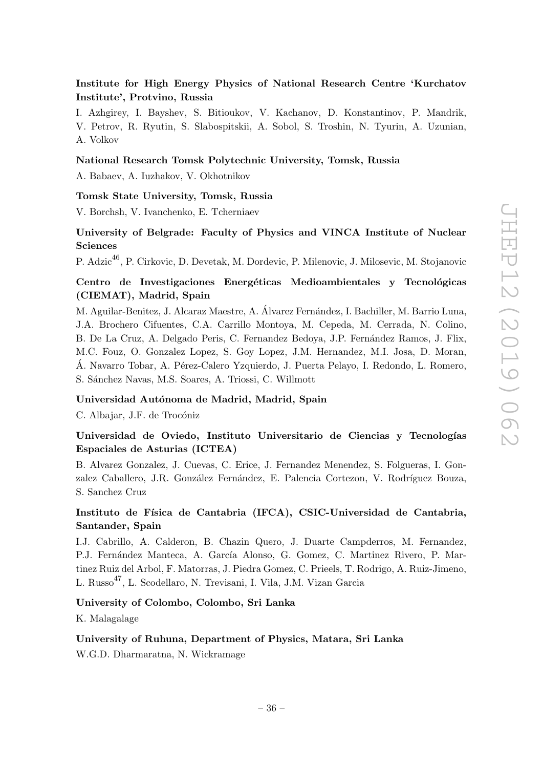# Institute for High Energy Physics of National Research Centre 'Kurchatov Institute', Protvino, Russia

I. Azhgirey, I. Bayshev, S. Bitioukov, V. Kachanov, D. Konstantinov, P. Mandrik, V. Petrov, R. Ryutin, S. Slabospitskii, A. Sobol, S. Troshin, N. Tyurin, A. Uzunian, A. Volkov

## National Research Tomsk Polytechnic University, Tomsk, Russia

A. Babaev, A. Iuzhakov, V. Okhotnikov

### Tomsk State University, Tomsk, Russia

V. Borchsh, V. Ivanchenko, E. Tcherniaev

# University of Belgrade: Faculty of Physics and VINCA Institute of Nuclear Sciences

P. Adzic<sup>46</sup>, P. Cirkovic, D. Devetak, M. Dordevic, P. Milenovic, J. Milosevic, M. Stojanovic

# Centro de Investigaciones Energéticas Medioambientales y Tecnológicas (CIEMAT), Madrid, Spain

M. Aguilar-Benitez, J. Alcaraz Maestre, A. Álvarez Fernández, I. Bachiller, M. Barrio Luna, J.A. Brochero Cifuentes, C.A. Carrillo Montoya, M. Cepeda, M. Cerrada, N. Colino, B. De La Cruz, A. Delgado Peris, C. Fernandez Bedoya, J.P. Fernández Ramos, J. Flix, M.C. Fouz, O. Gonzalez Lopez, S. Goy Lopez, J.M. Hernandez, M.I. Josa, D. Moran, Á. Navarro Tobar, A. Pérez-Calero Yzquierdo, J. Puerta Pelayo, I. Redondo, L. Romero, S. Sánchez Navas, M.S. Soares, A. Triossi, C. Willmott

## Universidad Autónoma de Madrid, Madrid, Spain

C. Albajar, J.F. de Trocóniz

# Universidad de Oviedo, Instituto Universitario de Ciencias y Tecnologías Espaciales de Asturias (ICTEA)

B. Alvarez Gonzalez, J. Cuevas, C. Erice, J. Fernandez Menendez, S. Folgueras, I. Gonzalez Caballero, J.R. González Fernández, E. Palencia Cortezon, V. Rodríguez Bouza, S. Sanchez Cruz

# Instituto de Física de Cantabria (IFCA), CSIC-Universidad de Cantabria, Santander, Spain

I.J. Cabrillo, A. Calderon, B. Chazin Quero, J. Duarte Campderros, M. Fernandez, P.J. Fernández Manteca, A. García Alonso, G. Gomez, C. Martinez Rivero, P. Martinez Ruiz del Arbol, F. Matorras, J. Piedra Gomez, C. Prieels, T. Rodrigo, A. Ruiz-Jimeno, L. Russo<sup>47</sup>, L. Scodellaro, N. Trevisani, I. Vila, J.M. Vizan Garcia

# University of Colombo, Colombo, Sri Lanka

K. Malagalage

#### University of Ruhuna, Department of Physics, Matara, Sri Lanka

W.G.D. Dharmaratna, N. Wickramage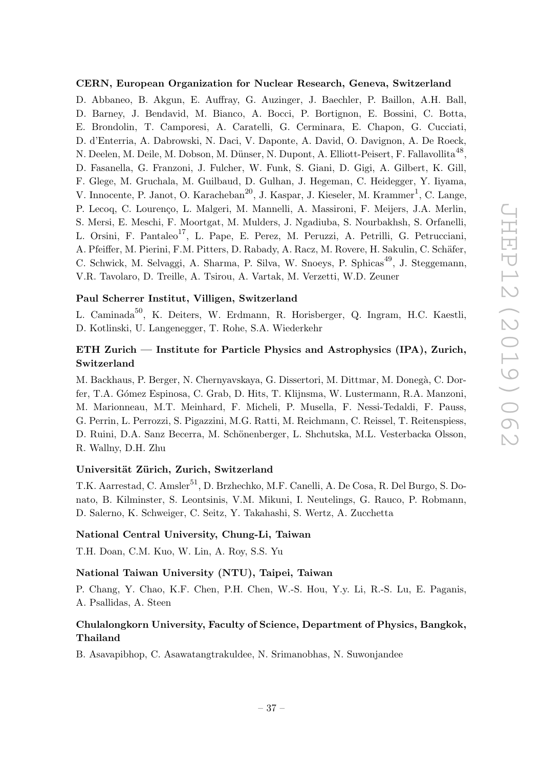#### CERN, European Organization for Nuclear Research, Geneva, Switzerland

D. Abbaneo, B. Akgun, E. Auffray, G. Auzinger, J. Baechler, P. Baillon, A.H. Ball, D. Barney, J. Bendavid, M. Bianco, A. Bocci, P. Bortignon, E. Bossini, C. Botta, E. Brondolin, T. Camporesi, A. Caratelli, G. Cerminara, E. Chapon, G. Cucciati, D. d'Enterria, A. Dabrowski, N. Daci, V. Daponte, A. David, O. Davignon, A. De Roeck, N. Deelen, M. Deile, M. Dobson, M. Dünser, N. Dupont, A. Elliott-Peisert, F. Fallavollita<sup>48</sup>, D. Fasanella, G. Franzoni, J. Fulcher, W. Funk, S. Giani, D. Gigi, A. Gilbert, K. Gill, F. Glege, M. Gruchala, M. Guilbaud, D. Gulhan, J. Hegeman, C. Heidegger, Y. Iiyama, V. Innocente, P. Janot, O. Karacheban<sup>20</sup>, J. Kaspar, J. Kieseler, M. Krammer<sup>1</sup>, C. Lange, P. Lecoq, C. Lourenço, L. Malgeri, M. Mannelli, A. Massironi, F. Meijers, J.A. Merlin, S. Mersi, E. Meschi, F. Moortgat, M. Mulders, J. Ngadiuba, S. Nourbakhsh, S. Orfanelli, L. Orsini, F. Pantaleo<sup>17</sup>, L. Pape, E. Perez, M. Peruzzi, A. Petrilli, G. Petrucciani, A. Pfeiffer, M. Pierini, F.M. Pitters, D. Rabady, A. Racz, M. Rovere, H. Sakulin, C. Schäfer, C. Schwick, M. Selvaggi, A. Sharma, P. Silva, W. Snoeys, P. Sphicas<sup>49</sup>, J. Steggemann, V.R. Tavolaro, D. Treille, A. Tsirou, A. Vartak, M. Verzetti, W.D. Zeuner

## Paul Scherrer Institut, Villigen, Switzerland

L. Caminada<sup>50</sup>, K. Deiters, W. Erdmann, R. Horisberger, Q. Ingram, H.C. Kaestli, D. Kotlinski, U. Langenegger, T. Rohe, S.A. Wiederkehr

# ETH Zurich — Institute for Particle Physics and Astrophysics (IPA), Zurich, Switzerland

M. Backhaus, P. Berger, N. Chernyavskaya, G. Dissertori, M. Dittmar, M. Donegà, C. Dorfer, T.A. G´omez Espinosa, C. Grab, D. Hits, T. Klijnsma, W. Lustermann, R.A. Manzoni, M. Marionneau, M.T. Meinhard, F. Micheli, P. Musella, F. Nessi-Tedaldi, F. Pauss, G. Perrin, L. Perrozzi, S. Pigazzini, M.G. Ratti, M. Reichmann, C. Reissel, T. Reitenspiess, D. Ruini, D.A. Sanz Becerra, M. Schönenberger, L. Shchutska, M.L. Vesterbacka Olsson, R. Wallny, D.H. Zhu

# Universität Zürich, Zurich, Switzerland

T.K. Aarrestad, C. Amsler<sup>51</sup>, D. Brzhechko, M.F. Canelli, A. De Cosa, R. Del Burgo, S. Donato, B. Kilminster, S. Leontsinis, V.M. Mikuni, I. Neutelings, G. Rauco, P. Robmann, D. Salerno, K. Schweiger, C. Seitz, Y. Takahashi, S. Wertz, A. Zucchetta

### National Central University, Chung-Li, Taiwan

T.H. Doan, C.M. Kuo, W. Lin, A. Roy, S.S. Yu

# National Taiwan University (NTU), Taipei, Taiwan

P. Chang, Y. Chao, K.F. Chen, P.H. Chen, W.-S. Hou, Y.y. Li, R.-S. Lu, E. Paganis, A. Psallidas, A. Steen

# Chulalongkorn University, Faculty of Science, Department of Physics, Bangkok, Thailand

B. Asavapibhop, C. Asawatangtrakuldee, N. Srimanobhas, N. Suwonjandee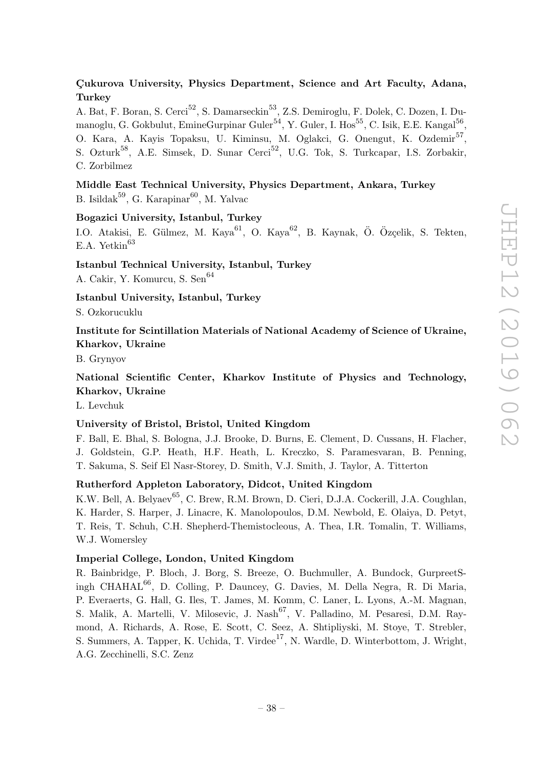# Cukurova University, Physics Department, Science and Art Faculty, Adana, **Turkey**

A. Bat, F. Boran, S. Cerci<sup>52</sup>, S. Damarseckin<sup>53</sup>, Z.S. Demiroglu, F. Dolek, C. Dozen, I. Dumanoglu, G. Gokbulut, EmineGurpinar Guler<sup>54</sup>, Y. Guler, I. Hos<sup>55</sup>, C. Isik, E.E. Kangal<sup>56</sup>, O. Kara, A. Kayis Topaksu, U. Kiminsu, M. Oglakci, G. Onengut, K. Ozdemir<sup>57</sup>, S. Ozturk<sup>58</sup>, A.E. Simsek, D. Sunar Cerci<sup>52</sup>, U.G. Tok, S. Turkcapar, I.S. Zorbakir, C. Zorbilmez

# Middle East Technical University, Physics Department, Ankara, Turkey B. Isildak $^{59}$ , G. Karapinar $^{60}$ , M. Yalvac

# Bogazici University, Istanbul, Turkey

I.O. Atakisi, E. Gülmez, M. Kaya<sup>61</sup>, O. Kaya<sup>62</sup>, B. Kaynak, Ö. Özçelik, S. Tekten, E.A. Yetkin $^{63}$ 

Istanbul Technical University, Istanbul, Turkey

A. Cakir, Y. Komurcu, S. Sen<sup>64</sup>

Istanbul University, Istanbul, Turkey

S. Ozkorucuklu

Institute for Scintillation Materials of National Academy of Science of Ukraine, Kharkov, Ukraine

B. Grynyov

# National Scientific Center, Kharkov Institute of Physics and Technology, Kharkov, Ukraine

L. Levchuk

# University of Bristol, Bristol, United Kingdom

F. Ball, E. Bhal, S. Bologna, J.J. Brooke, D. Burns, E. Clement, D. Cussans, H. Flacher, J. Goldstein, G.P. Heath, H.F. Heath, L. Kreczko, S. Paramesvaran, B. Penning, T. Sakuma, S. Seif El Nasr-Storey, D. Smith, V.J. Smith, J. Taylor, A. Titterton

# Rutherford Appleton Laboratory, Didcot, United Kingdom

K.W. Bell, A. Belyaev<sup>65</sup>, C. Brew, R.M. Brown, D. Cieri, D.J.A. Cockerill, J.A. Coughlan, K. Harder, S. Harper, J. Linacre, K. Manolopoulos, D.M. Newbold, E. Olaiya, D. Petyt, T. Reis, T. Schuh, C.H. Shepherd-Themistocleous, A. Thea, I.R. Tomalin, T. Williams, W.J. Womersley

## Imperial College, London, United Kingdom

R. Bainbridge, P. Bloch, J. Borg, S. Breeze, O. Buchmuller, A. Bundock, GurpreetSingh CHAHAL66, D. Colling, P. Dauncey, G. Davies, M. Della Negra, R. Di Maria, P. Everaerts, G. Hall, G. Iles, T. James, M. Komm, C. Laner, L. Lyons, A.-M. Magnan, S. Malik, A. Martelli, V. Milosevic, J. Nash<sup>67</sup>, V. Palladino, M. Pesaresi, D.M. Raymond, A. Richards, A. Rose, E. Scott, C. Seez, A. Shtipliyski, M. Stoye, T. Strebler, S. Summers, A. Tapper, K. Uchida, T. Virdee<sup>17</sup>, N. Wardle, D. Winterbottom, J. Wright, A.G. Zecchinelli, S.C. Zenz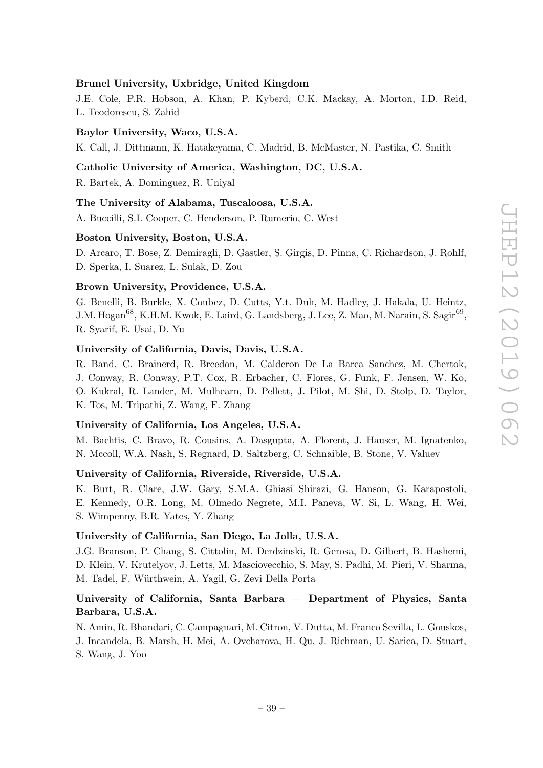#### Brunel University, Uxbridge, United Kingdom

J.E. Cole, P.R. Hobson, A. Khan, P. Kyberd, C.K. Mackay, A. Morton, I.D. Reid, L. Teodorescu, S. Zahid

#### Baylor University, Waco, U.S.A.

K. Call, J. Dittmann, K. Hatakeyama, C. Madrid, B. McMaster, N. Pastika, C. Smith

### Catholic University of America, Washington, DC, U.S.A.

R. Bartek, A. Dominguez, R. Uniyal

#### The University of Alabama, Tuscaloosa, U.S.A.

A. Buccilli, S.I. Cooper, C. Henderson, P. Rumerio, C. West

## Boston University, Boston, U.S.A.

D. Arcaro, T. Bose, Z. Demiragli, D. Gastler, S. Girgis, D. Pinna, C. Richardson, J. Rohlf, D. Sperka, I. Suarez, L. Sulak, D. Zou

## Brown University, Providence, U.S.A.

G. Benelli, B. Burkle, X. Coubez, D. Cutts, Y.t. Duh, M. Hadley, J. Hakala, U. Heintz, J.M. Hogan<sup>68</sup>, K.H.M. Kwok, E. Laird, G. Landsberg, J. Lee, Z. Mao, M. Narain, S. Sagir<sup>69</sup>, R. Syarif, E. Usai, D. Yu

### University of California, Davis, Davis, U.S.A.

R. Band, C. Brainerd, R. Breedon, M. Calderon De La Barca Sanchez, M. Chertok, J. Conway, R. Conway, P.T. Cox, R. Erbacher, C. Flores, G. Funk, F. Jensen, W. Ko, O. Kukral, R. Lander, M. Mulhearn, D. Pellett, J. Pilot, M. Shi, D. Stolp, D. Taylor, K. Tos, M. Tripathi, Z. Wang, F. Zhang

# University of California, Los Angeles, U.S.A.

M. Bachtis, C. Bravo, R. Cousins, A. Dasgupta, A. Florent, J. Hauser, M. Ignatenko, N. Mccoll, W.A. Nash, S. Regnard, D. Saltzberg, C. Schnaible, B. Stone, V. Valuev

### University of California, Riverside, Riverside, U.S.A.

K. Burt, R. Clare, J.W. Gary, S.M.A. Ghiasi Shirazi, G. Hanson, G. Karapostoli, E. Kennedy, O.R. Long, M. Olmedo Negrete, M.I. Paneva, W. Si, L. Wang, H. Wei, S. Wimpenny, B.R. Yates, Y. Zhang

#### University of California, San Diego, La Jolla, U.S.A.

J.G. Branson, P. Chang, S. Cittolin, M. Derdzinski, R. Gerosa, D. Gilbert, B. Hashemi, D. Klein, V. Krutelyov, J. Letts, M. Masciovecchio, S. May, S. Padhi, M. Pieri, V. Sharma, M. Tadel, F. Würthwein, A. Yagil, G. Zevi Della Porta

# University of California, Santa Barbara — Department of Physics, Santa Barbara, U.S.A.

N. Amin, R. Bhandari, C. Campagnari, M. Citron, V. Dutta, M. Franco Sevilla, L. Gouskos, J. Incandela, B. Marsh, H. Mei, A. Ovcharova, H. Qu, J. Richman, U. Sarica, D. Stuart, S. Wang, J. Yoo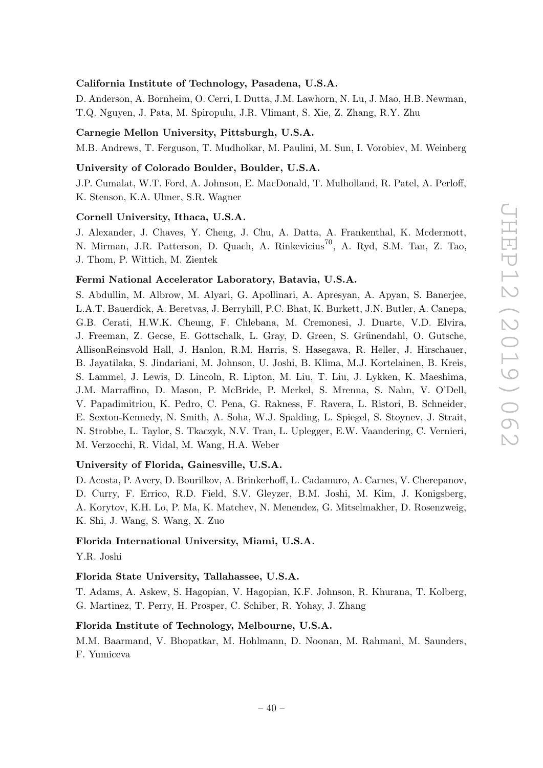### California Institute of Technology, Pasadena, U.S.A.

D. Anderson, A. Bornheim, O. Cerri, I. Dutta, J.M. Lawhorn, N. Lu, J. Mao, H.B. Newman, T.Q. Nguyen, J. Pata, M. Spiropulu, J.R. Vlimant, S. Xie, Z. Zhang, R.Y. Zhu

#### Carnegie Mellon University, Pittsburgh, U.S.A.

M.B. Andrews, T. Ferguson, T. Mudholkar, M. Paulini, M. Sun, I. Vorobiev, M. Weinberg

#### University of Colorado Boulder, Boulder, U.S.A.

J.P. Cumalat, W.T. Ford, A. Johnson, E. MacDonald, T. Mulholland, R. Patel, A. Perloff, K. Stenson, K.A. Ulmer, S.R. Wagner

#### Cornell University, Ithaca, U.S.A.

J. Alexander, J. Chaves, Y. Cheng, J. Chu, A. Datta, A. Frankenthal, K. Mcdermott, N. Mirman, J.R. Patterson, D. Quach, A. Rinkevicius<sup>70</sup>, A. Ryd, S.M. Tan, Z. Tao, J. Thom, P. Wittich, M. Zientek

#### Fermi National Accelerator Laboratory, Batavia, U.S.A.

S. Abdullin, M. Albrow, M. Alyari, G. Apollinari, A. Apresyan, A. Apyan, S. Banerjee, L.A.T. Bauerdick, A. Beretvas, J. Berryhill, P.C. Bhat, K. Burkett, J.N. Butler, A. Canepa, G.B. Cerati, H.W.K. Cheung, F. Chlebana, M. Cremonesi, J. Duarte, V.D. Elvira, J. Freeman, Z. Gecse, E. Gottschalk, L. Gray, D. Green, S. Grünendahl, O. Gutsche, AllisonReinsvold Hall, J. Hanlon, R.M. Harris, S. Hasegawa, R. Heller, J. Hirschauer, B. Jayatilaka, S. Jindariani, M. Johnson, U. Joshi, B. Klima, M.J. Kortelainen, B. Kreis, S. Lammel, J. Lewis, D. Lincoln, R. Lipton, M. Liu, T. Liu, J. Lykken, K. Maeshima, J.M. Marraffino, D. Mason, P. McBride, P. Merkel, S. Mrenna, S. Nahn, V. O'Dell, V. Papadimitriou, K. Pedro, C. Pena, G. Rakness, F. Ravera, L. Ristori, B. Schneider, E. Sexton-Kennedy, N. Smith, A. Soha, W.J. Spalding, L. Spiegel, S. Stoynev, J. Strait, N. Strobbe, L. Taylor, S. Tkaczyk, N.V. Tran, L. Uplegger, E.W. Vaandering, C. Vernieri, M. Verzocchi, R. Vidal, M. Wang, H.A. Weber

### University of Florida, Gainesville, U.S.A.

D. Acosta, P. Avery, D. Bourilkov, A. Brinkerhoff, L. Cadamuro, A. Carnes, V. Cherepanov, D. Curry, F. Errico, R.D. Field, S.V. Gleyzer, B.M. Joshi, M. Kim, J. Konigsberg, A. Korytov, K.H. Lo, P. Ma, K. Matchev, N. Menendez, G. Mitselmakher, D. Rosenzweig, K. Shi, J. Wang, S. Wang, X. Zuo

# Florida International University, Miami, U.S.A.

Y.R. Joshi

# Florida State University, Tallahassee, U.S.A.

T. Adams, A. Askew, S. Hagopian, V. Hagopian, K.F. Johnson, R. Khurana, T. Kolberg, G. Martinez, T. Perry, H. Prosper, C. Schiber, R. Yohay, J. Zhang

#### Florida Institute of Technology, Melbourne, U.S.A.

M.M. Baarmand, V. Bhopatkar, M. Hohlmann, D. Noonan, M. Rahmani, M. Saunders, F. Yumiceva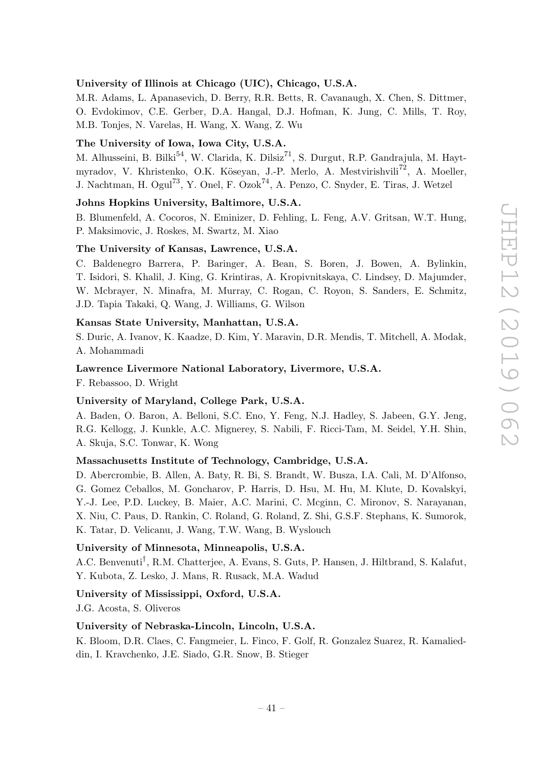## University of Illinois at Chicago (UIC), Chicago, U.S.A.

M.R. Adams, L. Apanasevich, D. Berry, R.R. Betts, R. Cavanaugh, X. Chen, S. Dittmer, O. Evdokimov, C.E. Gerber, D.A. Hangal, D.J. Hofman, K. Jung, C. Mills, T. Roy, M.B. Tonjes, N. Varelas, H. Wang, X. Wang, Z. Wu

# The University of Iowa, Iowa City, U.S.A.

M. Alhusseini, B. Bilki<sup>54</sup>, W. Clarida, K. Dilsiz<sup>71</sup>, S. Durgut, R.P. Gandrajula, M. Haytmyradov, V. Khristenko, O.K. Kösevan, J.-P. Merlo, A. Mestvirishvili<sup>72</sup>, A. Moeller, J. Nachtman, H. Ogul73, Y. Onel, F. Ozok74, A. Penzo, C. Snyder, E. Tiras, J. Wetzel

## Johns Hopkins University, Baltimore, U.S.A.

B. Blumenfeld, A. Cocoros, N. Eminizer, D. Fehling, L. Feng, A.V. Gritsan, W.T. Hung, P. Maksimovic, J. Roskes, M. Swartz, M. Xiao

## The University of Kansas, Lawrence, U.S.A.

C. Baldenegro Barrera, P. Baringer, A. Bean, S. Boren, J. Bowen, A. Bylinkin, T. Isidori, S. Khalil, J. King, G. Krintiras, A. Kropivnitskaya, C. Lindsey, D. Majumder, W. Mcbrayer, N. Minafra, M. Murray, C. Rogan, C. Royon, S. Sanders, E. Schmitz, J.D. Tapia Takaki, Q. Wang, J. Williams, G. Wilson

### Kansas State University, Manhattan, U.S.A.

S. Duric, A. Ivanov, K. Kaadze, D. Kim, Y. Maravin, D.R. Mendis, T. Mitchell, A. Modak, A. Mohammadi

## Lawrence Livermore National Laboratory, Livermore, U.S.A.

F. Rebassoo, D. Wright

#### University of Maryland, College Park, U.S.A.

A. Baden, O. Baron, A. Belloni, S.C. Eno, Y. Feng, N.J. Hadley, S. Jabeen, G.Y. Jeng, R.G. Kellogg, J. Kunkle, A.C. Mignerey, S. Nabili, F. Ricci-Tam, M. Seidel, Y.H. Shin, A. Skuja, S.C. Tonwar, K. Wong

#### Massachusetts Institute of Technology, Cambridge, U.S.A.

D. Abercrombie, B. Allen, A. Baty, R. Bi, S. Brandt, W. Busza, I.A. Cali, M. D'Alfonso, G. Gomez Ceballos, M. Goncharov, P. Harris, D. Hsu, M. Hu, M. Klute, D. Kovalskyi, Y.-J. Lee, P.D. Luckey, B. Maier, A.C. Marini, C. Mcginn, C. Mironov, S. Narayanan, X. Niu, C. Paus, D. Rankin, C. Roland, G. Roland, Z. Shi, G.S.F. Stephans, K. Sumorok, K. Tatar, D. Velicanu, J. Wang, T.W. Wang, B. Wyslouch

# University of Minnesota, Minneapolis, U.S.A.

A.C. Benvenuti† , R.M. Chatterjee, A. Evans, S. Guts, P. Hansen, J. Hiltbrand, S. Kalafut, Y. Kubota, Z. Lesko, J. Mans, R. Rusack, M.A. Wadud

#### University of Mississippi, Oxford, U.S.A.

J.G. Acosta, S. Oliveros

#### University of Nebraska-Lincoln, Lincoln, U.S.A.

K. Bloom, D.R. Claes, C. Fangmeier, L. Finco, F. Golf, R. Gonzalez Suarez, R. Kamalieddin, I. Kravchenko, J.E. Siado, G.R. Snow, B. Stieger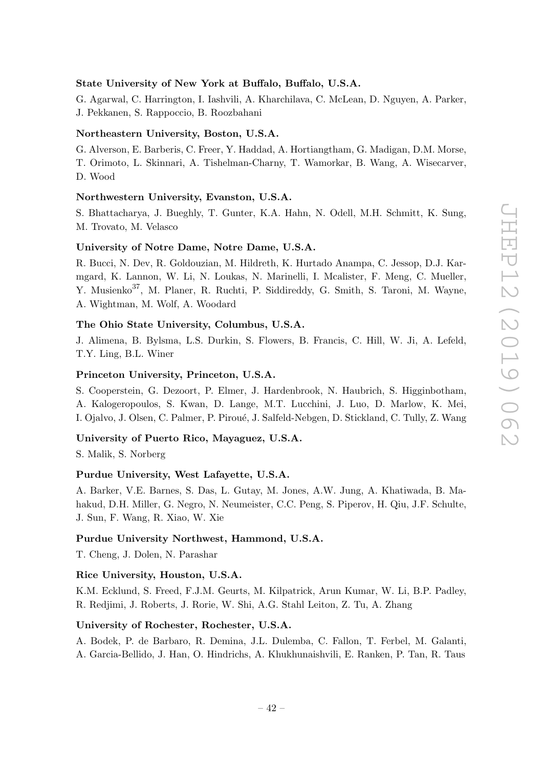#### State University of New York at Buffalo, Buffalo, U.S.A.

G. Agarwal, C. Harrington, I. Iashvili, A. Kharchilava, C. McLean, D. Nguyen, A. Parker, J. Pekkanen, S. Rappoccio, B. Roozbahani

### Northeastern University, Boston, U.S.A.

G. Alverson, E. Barberis, C. Freer, Y. Haddad, A. Hortiangtham, G. Madigan, D.M. Morse, T. Orimoto, L. Skinnari, A. Tishelman-Charny, T. Wamorkar, B. Wang, A. Wisecarver, D. Wood

### Northwestern University, Evanston, U.S.A.

S. Bhattacharya, J. Bueghly, T. Gunter, K.A. Hahn, N. Odell, M.H. Schmitt, K. Sung, M. Trovato, M. Velasco

#### University of Notre Dame, Notre Dame, U.S.A.

R. Bucci, N. Dev, R. Goldouzian, M. Hildreth, K. Hurtado Anampa, C. Jessop, D.J. Karmgard, K. Lannon, W. Li, N. Loukas, N. Marinelli, I. Mcalister, F. Meng, C. Mueller, Y. Musienko<sup>37</sup>. M. Planer, R. Ruchti, P. Siddireddy, G. Smith, S. Taroni, M. Wayne, A. Wightman, M. Wolf, A. Woodard

### The Ohio State University, Columbus, U.S.A.

J. Alimena, B. Bylsma, L.S. Durkin, S. Flowers, B. Francis, C. Hill, W. Ji, A. Lefeld, T.Y. Ling, B.L. Winer

## Princeton University, Princeton, U.S.A.

S. Cooperstein, G. Dezoort, P. Elmer, J. Hardenbrook, N. Haubrich, S. Higginbotham, A. Kalogeropoulos, S. Kwan, D. Lange, M.T. Lucchini, J. Luo, D. Marlow, K. Mei, I. Ojalvo, J. Olsen, C. Palmer, P. Piroué, J. Salfeld-Nebgen, D. Stickland, C. Tully, Z. Wang

## University of Puerto Rico, Mayaguez, U.S.A.

S. Malik, S. Norberg

# Purdue University, West Lafayette, U.S.A.

A. Barker, V.E. Barnes, S. Das, L. Gutay, M. Jones, A.W. Jung, A. Khatiwada, B. Mahakud, D.H. Miller, G. Negro, N. Neumeister, C.C. Peng, S. Piperov, H. Qiu, J.F. Schulte, J. Sun, F. Wang, R. Xiao, W. Xie

## Purdue University Northwest, Hammond, U.S.A.

T. Cheng, J. Dolen, N. Parashar

# Rice University, Houston, U.S.A.

K.M. Ecklund, S. Freed, F.J.M. Geurts, M. Kilpatrick, Arun Kumar, W. Li, B.P. Padley, R. Redjimi, J. Roberts, J. Rorie, W. Shi, A.G. Stahl Leiton, Z. Tu, A. Zhang

### University of Rochester, Rochester, U.S.A.

A. Bodek, P. de Barbaro, R. Demina, J.L. Dulemba, C. Fallon, T. Ferbel, M. Galanti, A. Garcia-Bellido, J. Han, O. Hindrichs, A. Khukhunaishvili, E. Ranken, P. Tan, R. Taus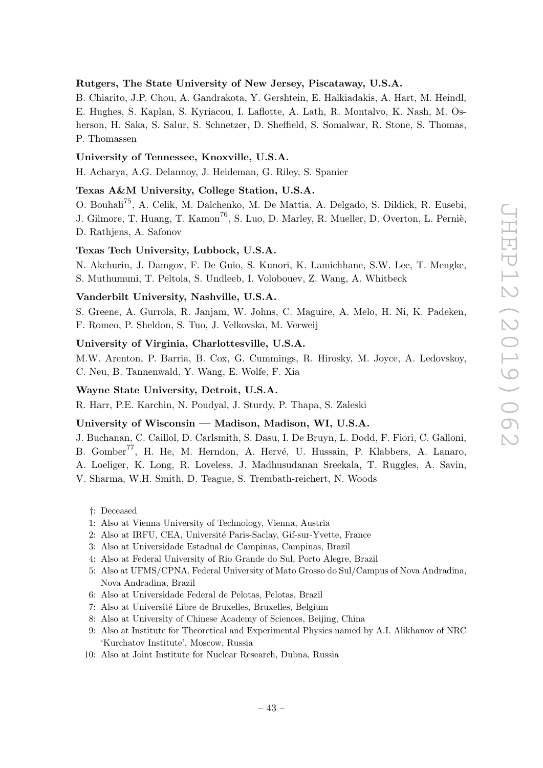### Rutgers, The State University of New Jersey, Piscataway, U.S.A.

B. Chiarito, J.P. Chou, A. Gandrakota, Y. Gershtein, E. Halkiadakis, A. Hart, M. Heindl, E. Hughes, S. Kaplan, S. Kyriacou, I. Laflotte, A. Lath, R. Montalvo, K. Nash, M. Osherson, H. Saka, S. Salur, S. Schnetzer, D. Sheffield, S. Somalwar, R. Stone, S. Thomas, P. Thomassen

## University of Tennessee, Knoxville, U.S.A.

H. Acharya, A.G. Delannoy, J. Heideman, G. Riley, S. Spanier

## Texas A&M University, College Station, U.S.A.

O. Bouhali<sup>75</sup>, A. Celik, M. Dalchenko, M. De Mattia, A. Delgado, S. Dildick, R. Eusebi, J. Gilmore, T. Huang, T. Kamon<sup>76</sup>, S. Luo, D. Marley, R. Mueller, D. Overton, L. Perniè, D. Rathjens, A. Safonov

#### Texas Tech University, Lubbock, U.S.A.

N. Akchurin, J. Damgov, F. De Guio, S. Kunori, K. Lamichhane, S.W. Lee, T. Mengke, S. Muthumuni, T. Peltola, S. Undleeb, I. Volobouev, Z. Wang, A. Whitbeck

#### Vanderbilt University, Nashville, U.S.A.

S. Greene, A. Gurrola, R. Janjam, W. Johns, C. Maguire, A. Melo, H. Ni, K. Padeken, F. Romeo, P. Sheldon, S. Tuo, J. Velkovska, M. Verweij

### University of Virginia, Charlottesville, U.S.A.

M.W. Arenton, P. Barria, B. Cox, G. Cummings, R. Hirosky, M. Joyce, A. Ledovskoy, C. Neu, B. Tannenwald, Y. Wang, E. Wolfe, F. Xia

#### Wayne State University, Detroit, U.S.A.

R. Harr, P.E. Karchin, N. Poudyal, J. Sturdy, P. Thapa, S. Zaleski

# University of Wisconsin — Madison, Madison, WI, U.S.A.

J. Buchanan, C. Caillol, D. Carlsmith, S. Dasu, I. De Bruyn, L. Dodd, F. Fiori, C. Galloni,

- B. Gomber<sup>77</sup>, H. He, M. Herndon, A. Hervé, U. Hussain, P. Klabbers, A. Lanaro,
- A. Loeliger, K. Long, R. Loveless, J. Madhusudanan Sreekala, T. Ruggles, A. Savin,
- V. Sharma, W.H. Smith, D. Teague, S. Trembath-reichert, N. Woods
	- †: Deceased
	- 1: Also at Vienna University of Technology, Vienna, Austria
	- 2: Also at IRFU, CEA, Université Paris-Saclay, Gif-sur-Yvette, France
	- 3: Also at Universidade Estadual de Campinas, Campinas, Brazil
	- 4: Also at Federal University of Rio Grande do Sul, Porto Alegre, Brazil
	- 5: Also at UFMS/CPNA, Federal University of Mato Grosso do Sul/Campus of Nova Andradina, Nova Andradina, Brazil
	- 6: Also at Universidade Federal de Pelotas, Pelotas, Brazil
	- 7: Also at Université Libre de Bruxelles, Bruxelles, Belgium
	- 8: Also at University of Chinese Academy of Sciences, Beijing, China
	- 9: Also at Institute for Theoretical and Experimental Physics named by A.I. Alikhanov of NRC 'Kurchatov Institute', Moscow, Russia
	- 10: Also at Joint Institute for Nuclear Research, Dubna, Russia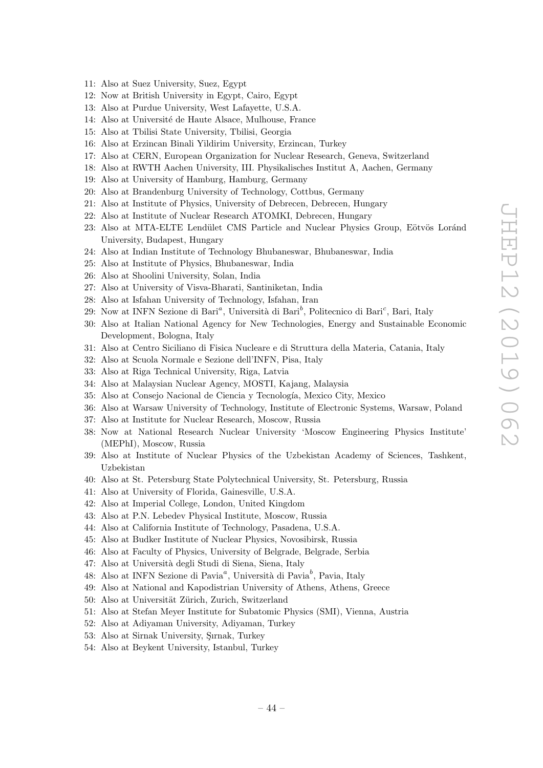- 11: Also at Suez University, Suez, Egypt
- 12: Now at British University in Egypt, Cairo, Egypt
- 13: Also at Purdue University, West Lafayette, U.S.A.
- 14: Also at Université de Haute Alsace, Mulhouse, France
- 15: Also at Tbilisi State University, Tbilisi, Georgia
- 16: Also at Erzincan Binali Yildirim University, Erzincan, Turkey
- 17: Also at CERN, European Organization for Nuclear Research, Geneva, Switzerland
- 18: Also at RWTH Aachen University, III. Physikalisches Institut A, Aachen, Germany
- 19: Also at University of Hamburg, Hamburg, Germany
- 20: Also at Brandenburg University of Technology, Cottbus, Germany
- 21: Also at Institute of Physics, University of Debrecen, Debrecen, Hungary
- 22: Also at Institute of Nuclear Research ATOMKI, Debrecen, Hungary
- 23: Also at MTA-ELTE Lendület CMS Particle and Nuclear Physics Group, Eötvös Loránd University, Budapest, Hungary
- 24: Also at Indian Institute of Technology Bhubaneswar, Bhubaneswar, India
- 25: Also at Institute of Physics, Bhubaneswar, India
- 26: Also at Shoolini University, Solan, India
- 27: Also at University of Visva-Bharati, Santiniketan, India
- 28: Also at Isfahan University of Technology, Isfahan, Iran
- 29: Now at INFN Sezione di Bari<sup>a</sup>, Università di Bari<sup>b</sup>, Politecnico di Bari<sup>c</sup>, Bari, Italy
- 30: Also at Italian National Agency for New Technologies, Energy and Sustainable Economic Development, Bologna, Italy
- 31: Also at Centro Siciliano di Fisica Nucleare e di Struttura della Materia, Catania, Italy
- 32: Also at Scuola Normale e Sezione dell'INFN, Pisa, Italy
- 33: Also at Riga Technical University, Riga, Latvia
- 34: Also at Malaysian Nuclear Agency, MOSTI, Kajang, Malaysia
- 35: Also at Consejo Nacional de Ciencia y Tecnología, Mexico City, Mexico
- 36: Also at Warsaw University of Technology, Institute of Electronic Systems, Warsaw, Poland
- 37: Also at Institute for Nuclear Research, Moscow, Russia
- 38: Now at National Research Nuclear University 'Moscow Engineering Physics Institute' (MEPhI), Moscow, Russia
- 39: Also at Institute of Nuclear Physics of the Uzbekistan Academy of Sciences, Tashkent, Uzbekistan
- 40: Also at St. Petersburg State Polytechnical University, St. Petersburg, Russia
- 41: Also at University of Florida, Gainesville, U.S.A.
- 42: Also at Imperial College, London, United Kingdom
- 43: Also at P.N. Lebedev Physical Institute, Moscow, Russia
- 44: Also at California Institute of Technology, Pasadena, U.S.A.
- 45: Also at Budker Institute of Nuclear Physics, Novosibirsk, Russia
- 46: Also at Faculty of Physics, University of Belgrade, Belgrade, Serbia
- 47: Also at Università degli Studi di Siena, Siena, Italy
- 48: Also at INFN Sezione di Pavia<sup>a</sup>, Università di Pavia<sup>b</sup>, Pavia, Italy
- 49: Also at National and Kapodistrian University of Athens, Athens, Greece
- 50: Also at Universität Zürich, Zurich, Switzerland
- 51: Also at Stefan Meyer Institute for Subatomic Physics (SMI), Vienna, Austria
- 52: Also at Adiyaman University, Adiyaman, Turkey
- 53: Also at Sirnak University, Sırnak, Turkey
- 54: Also at Beykent University, Istanbul, Turkey